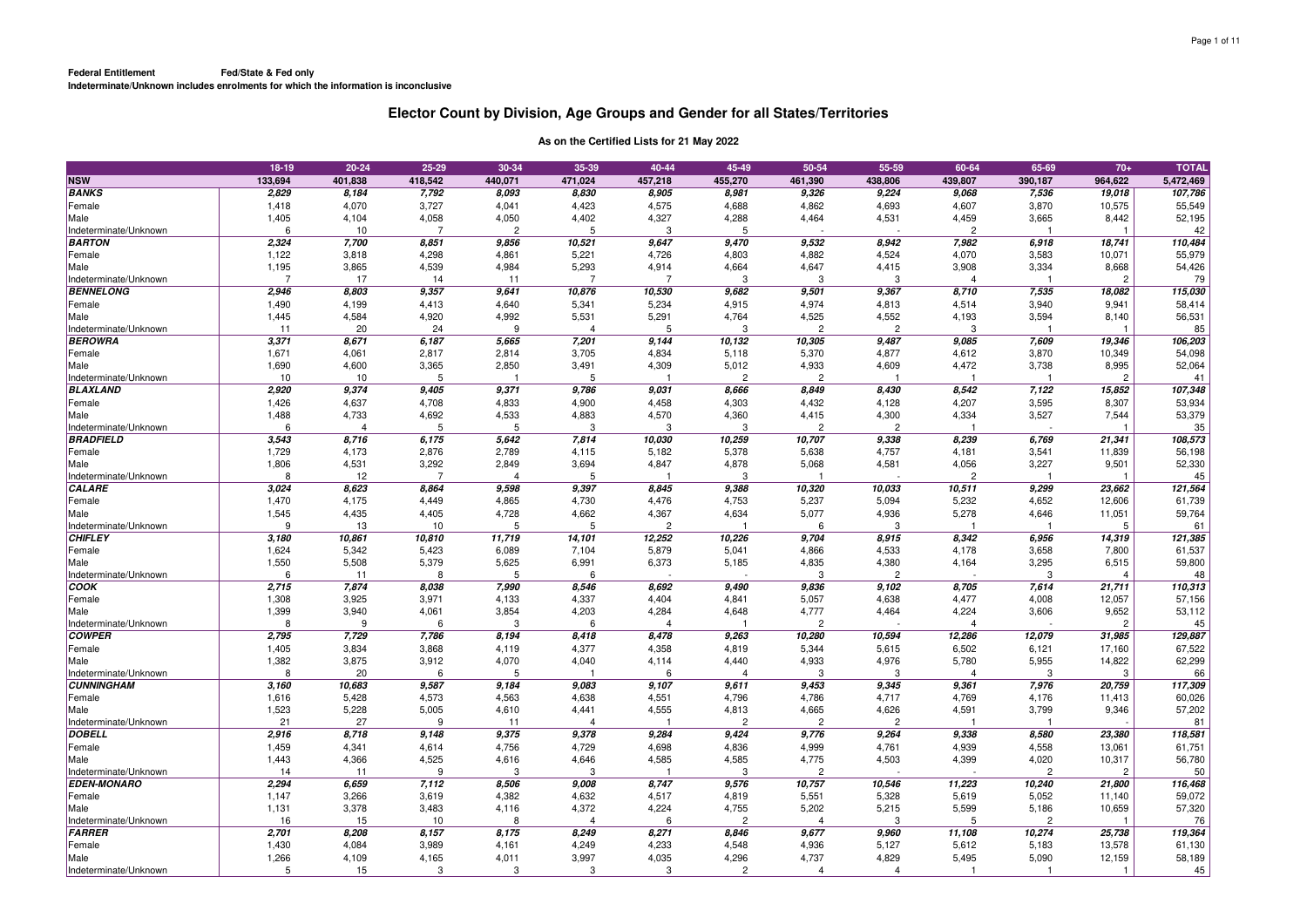|                                           | 18-19      | $20 - 24$               | 25-29          | 30-34          | 35-39          | 40-44         | 45-49          | 50-54                   | 55-59                   | 60-64          | 65-69          | $70+$          | <b>TOTAL</b>  |
|-------------------------------------------|------------|-------------------------|----------------|----------------|----------------|---------------|----------------|-------------------------|-------------------------|----------------|----------------|----------------|---------------|
| <b>NSW</b>                                | 133,694    | 401,838                 | 418,542        | 440,071        | 471,024        | 457,218       | 455,270        | 461,390                 | 438,806                 | 439,807        | 390,187        | 964,622        | 5,472,469     |
| <b>BANKS</b>                              | 2,829      | 8,184                   | 7,792          | 8,093          | 8,830          | 8,905         | 8,981          | 9,326                   | 9,224                   | 9,068          | 7,536          | 19,018         | 107,786       |
| Female                                    | 1,418      | 4,070                   | 3,727          | 4,041          | 4,423          | 4,575         | 4,688          | 4,862                   | 4,693                   | 4,607          | 3,870          | 10,575         | 55,549        |
| Male                                      | 1,405      | 4,104                   | 4,058          | 4,050          | 4,402          | 4,327         | 4,288          | 4,464                   | 4,531                   | 4,459          | 3,665          | 8,442          | 52,195        |
| Indeterminate/Unknown                     | 6          | 10                      | -7             | $\overline{c}$ | 5              | 3             | 5              |                         |                         | $\overline{2}$ |                |                | 42            |
| <b>BARTON</b>                             | 2,324      | 7,700                   | 8,851          | 9,856          | 10,521         | 9,647         | 9,470          | 9,532                   | 8,942                   | 7,982          | 6,918          | 18,741         | 110,484       |
| Female                                    | 1,122      | 3,818                   | 4,298          | 4,861          | 5,221          | 4,726         | 4,803          | 4,882                   | 4,524                   | 4,070          | 3,583          | 10,071         | 55,979        |
| Male                                      | 1,195      | 3,865                   | 4,539          | 4,984          | 5,293          | 4,914         | 4,664          | 4,647                   | 4,415                   | 3,908          | 3,334          | 8,668          | 54,426        |
| Indeterminate/Unknown                     |            | 17                      | 14             | 11             | $\overline{7}$ | 7             | 3              | 3                       | 3                       |                |                | $\mathcal{P}$  | 79            |
| <b>BENNELONG</b>                          | 2,946      | 8,803                   | 9,357          | 9,641          | 10,876         | 10,530        | 9,682          | 9,501                   | 9,367                   | 8,710          | 7,535          | 18,082         | 115,030       |
| Female                                    | 1,490      | 4,199                   | 4,413          | 4,640          | 5,341          | 5,234         | 4,915          | 4,974                   | 4,813                   | 4,514          | 3,940          | 9,941          | 58,414        |
| Male                                      | 1,445      | 4,584                   | 4,920          | 4,992          | 5,531          | 5,291         | 4,764          | 4,525                   | 4,552                   | 4,193          | 3,594          | 8,140          | 56,531        |
| Indeterminate/Unknown                     | 11         | 20                      | 24             | 9              | $\Delta$       | 5             | 3              | $\overline{c}$          | $\overline{2}$          | -3             |                |                | 85            |
| <b>BEROWRA</b>                            | 3,371      | 8,671                   | 6,187          | 5,665          | 7,201          | 9,144         | 10,132         | 10,305                  | 9,487                   | 9,085          | 7,609          | 19,346         | 106,203       |
| Female                                    | 1,671      | 4,061                   | 2,817          | 2,814          | 3,705          | 4,834         | 5,118          | 5,370                   | 4,877                   | 4,612          | 3,870          | 10,349         | 54,098        |
| Male                                      | 1,690      | 4,600                   | 3,365          | 2,850<br>1     | 3,491          | 4,309         | 5,012          | 4,933                   | 4,609                   | 4,472          | 3,738          | 8,995          | 52,064        |
| Indeterminate/Unknown                     | 10         | 10                      | 5              |                | 5              | -1            | $\overline{2}$ | $\overline{2}$          |                         | $\mathbf{1}$   |                | $\overline{2}$ | 41            |
| <b>BLAXLAND</b>                           | 2,920      | 9,374                   | 9,405          | 9,371          | 9,786          | 9,031         | 8,666          | 8,849                   | 8,430                   | 8,542          | 7,122          | 15,852         | 107,348       |
| Female                                    | 1,426      | 4,637                   | 4,708          | 4,833          | 4,900          | 4,458         | 4,303          | 4,432                   | 4,128                   | 4,207          | 3,595          | 8,307          | 53,934        |
| Male                                      | 1,488<br>6 | 4,733<br>$\overline{4}$ | 4,692<br>5     | 4,533<br>5     | 4,883<br>3     | 4,570<br>3    | 4,360<br>3     | 4,415<br>$\overline{2}$ | 4,300<br>$\overline{c}$ | 4,334          | 3,527          | 7,544          | 53,379        |
| Indeterminate/Unknown<br><b>BRADFIELD</b> | 3,543      | 8,716                   | 6,175          | 5,642          | 7,814          | 10,030        | 10,259         | 10,707                  | 9,338                   | 8,239          | 6,769          | 21,341         | 35<br>108,573 |
| Female                                    | 1,729      | 4,173                   | 2,876          | 2,789          | 4,115          | 5,182         | 5,378          | 5,638                   | 4,757                   | 4,181          | 3,541          | 11,839         | 56,198        |
| Male                                      | 1,806      | 4,531                   | 3,292          | 2,849          | 3,694          | 4,847         | 4,878          | 5,068                   | 4,581                   | 4,056          | 3,227          | 9,501          | 52,330        |
| Indeterminate/Unknown                     | 8          | 12                      | $\overline{7}$ | $\overline{4}$ | 5              |               | 3              |                         |                         | $\overline{2}$ |                |                | 45            |
| <b>CALARE</b>                             | 3,024      | 8,623                   | 8,864          | 9,598          | 9,397          | 8,845         | 9,388          | 10,320                  | 10,033                  | 10,511         | 9,299          | 23,662         | 121,564       |
| Female                                    | 1,470      | 4.175                   | 4,449          | 4,865          | 4,730          | 4,476         | 4,753          | 5,237                   | 5,094                   | 5,232          | 4,652          | 12,606         | 61,739        |
| Male                                      | 1,545      | 4,435                   | 4,405          | 4,728          | 4,662          | 4,367         | 4,634          | 5,077                   | 4,936                   | 5,278          | 4,646          | 11,051         | 59,764        |
| Indeterminate/Unknown                     | 9          | 13                      | 10             | 5              | 5              | $\mathcal{P}$ |                | 6                       | 3                       |                |                | 5              | 61            |
| <b>CHIFLEY</b>                            | 3,180      | 10,861                  | 10,810         | 11,719         | 14,101         | 12,252        | 10,226         | 9,704                   | 8,915                   | 8,342          | 6,956          | 14,319         | 121,385       |
| Female                                    | 1,624      | 5,342                   | 5,423          | 6,089          | 7,104          | 5,879         | 5,041          | 4,866                   | 4,533                   | 4,178          | 3,658          | 7,800          | 61,537        |
| Male                                      | 1,550      | 5,508                   | 5,379          | 5,625          | 6,991          | 6,373         | 5,185          | 4,835                   | 4,380                   | 4,164          | 3,295          | 6,515          | 59,800        |
| Indeterminate/Unknown                     | 6          | 11                      | 8              | 5              | 6              |               |                | 3                       | $\overline{c}$          |                | 3              | $\overline{4}$ | 48            |
| cook                                      | 2,715      | 7,874                   | 8,038          | 7,990          | 8,546          | 8,692         | 9,490          | 9,836                   | 9,102                   | 8,705          | 7,614          | 21,711         | 110,313       |
| Female                                    | 1,308      | 3,925                   | 3,971          | 4,133          | 4,337          | 4,404         | 4,841          | 5,057                   | 4,638                   | 4,477          | 4,008          | 12,057         | 57,156        |
| Male                                      | 1,399      | 3,940                   | 4,061          | 3,854          | 4,203          | 4,284         | 4,648          | 4,777                   | 4,464                   | 4,224          | 3,606          | 9,652          | 53,112        |
| Indeterminate/Unknown                     | 8          | 9                       | 6              | 3              | 6              | 4             |                | $\overline{c}$          |                         | 4              |                | $\overline{2}$ | 45            |
| <b>COWPER</b>                             | 2,795      | 7,729                   | 7,786          | 8,194          | 8,418          | 8,478         | 9,263          | 10,280                  | 10,594                  | 12,286         | 12,079         | 31,985         | 129,887       |
| Female                                    | 1,405      | 3,834                   | 3,868          | 4,119          | 4,377          | 4,358         | 4,819          | 5,344                   | 5,615                   | 6,502          | 6,121          | 17,160         | 67,522        |
| Male                                      | 1,382      | 3,875                   | 3,912          | 4,070          | 4,040          | 4,114         | 4,440          | 4,933                   | 4,976                   | 5,780          | 5,955          | 14,822         | 62,299        |
| Indeterminate/Unknown                     | 8          | 20                      | 6              | 5              |                | 6             | Δ              | 3                       | 3                       | $\overline{4}$ | 3              | 3              | 66            |
| <b>CUNNINGHAM</b>                         | 3,160      | 10,683                  | 9,587          | 9,184          | 9,083          | 9,107         | 9,611          | 9,453                   | 9,345                   | 9,361          | 7,976          | 20,759         | 117,309       |
| Female                                    | 1,616      | 5,428                   | 4,573          | 4,563          | 4,638          | 4,551         | 4,796          | 4,786                   | 4,717                   | 4,769          | 4,176          | 11,413         | 60,026        |
| Male                                      | 1,523      | 5,228                   | 5,005          | 4,610          | 4,441          | 4,555         | 4,813          | 4,665                   | 4,626                   | 4,591          | 3,799          | 9,346          | 57,202        |
| Indeterminate/Unknown                     | 21         | 27                      | 9              | 11             | $\Delta$       |               | $\overline{c}$ | $\overline{c}$          | $\overline{2}$          |                |                |                | 81            |
| <b>DOBELL</b>                             | 2,916      | 8,718                   | 9,148          | 9,375          | 9,378          | 9,284         | 9,424          | 9,776                   | 9,264                   | 9,338          | 8,580          | 23,380         | 118,581       |
| Female                                    | 1,459      | 4,341                   | 4,614          | 4,756          | 4,729          | 4,698         | 4,836          | 4,999                   | 4,761                   | 4,939          | 4,558          | 13,061         | 61,751        |
| Male                                      | 1,443      | 4,366                   | 4,525          | 4,616          | 4,646          | 4,585         | 4,585          | 4,775                   | 4,503                   | 4,399          | 4,020          | 10,317         | 56,780        |
| Indeterminate/Unknown                     | 14         | 11                      | 9              | 3              | 3              |               | 3              | $\overline{c}$          |                         |                | $\overline{c}$ | $\overline{c}$ | 50            |
| <b>EDEN-MONARO</b>                        | 2,294      | 6,659                   | 7,112          | 8,506          | 9,008          | 8,747         | 9,576          | 10,757                  | 10,546                  | 11,223         | 10,240         | 21,800         | 116,468       |
| Female                                    | 1,147      | 3,266                   | 3,619          | 4,382          | 4,632          | 4,517         | 4,819          | 5,551                   | 5,328                   | 5,619          | 5,052          | 11,140         | 59,072        |
| Male                                      | 1,131      | 3,378                   | 3,483          | 4,116          | 4,372          | 4,224         | 4,755          | 5,202                   | 5,215                   | 5,599          | 5,186          | 10,659         | 57,320        |
| Indeterminate/Unknown                     | 16         | 15                      | 10             | 8              | 4              | 6             | $\overline{c}$ | $\Delta$                | 3                       | 5              | $\overline{2}$ |                | 76            |
| FARRER                                    | 2,701      | 8,208                   | 8,157          | 8,175          | 8,249          | 8,271         | 8,846          | 9,677                   | 9,960                   | 11,108         | 10,274         | 25,738         | 119,364       |
| Female                                    | 1,430      | 4,084                   | 3,989          | 4,161          | 4,249          | 4,233         | 4,548          | 4,936                   | 5,127                   | 5,612          | 5,183          | 13,578         | 61,130        |
| Male                                      | 1,266      | 4,109                   | 4,165          | 4,011          | 3,997          | 4,035         | 4,296          | 4,737                   | 4,829                   | 5,495          | 5,090          | 12,159         | 58,189        |
| Indeterminate/Unknown                     | 5          | 15                      | 3              | 3              | 3              | 3             | $\overline{2}$ | $\overline{4}$          | $\overline{4}$          | $\overline{1}$ | -1             | -1             | 45            |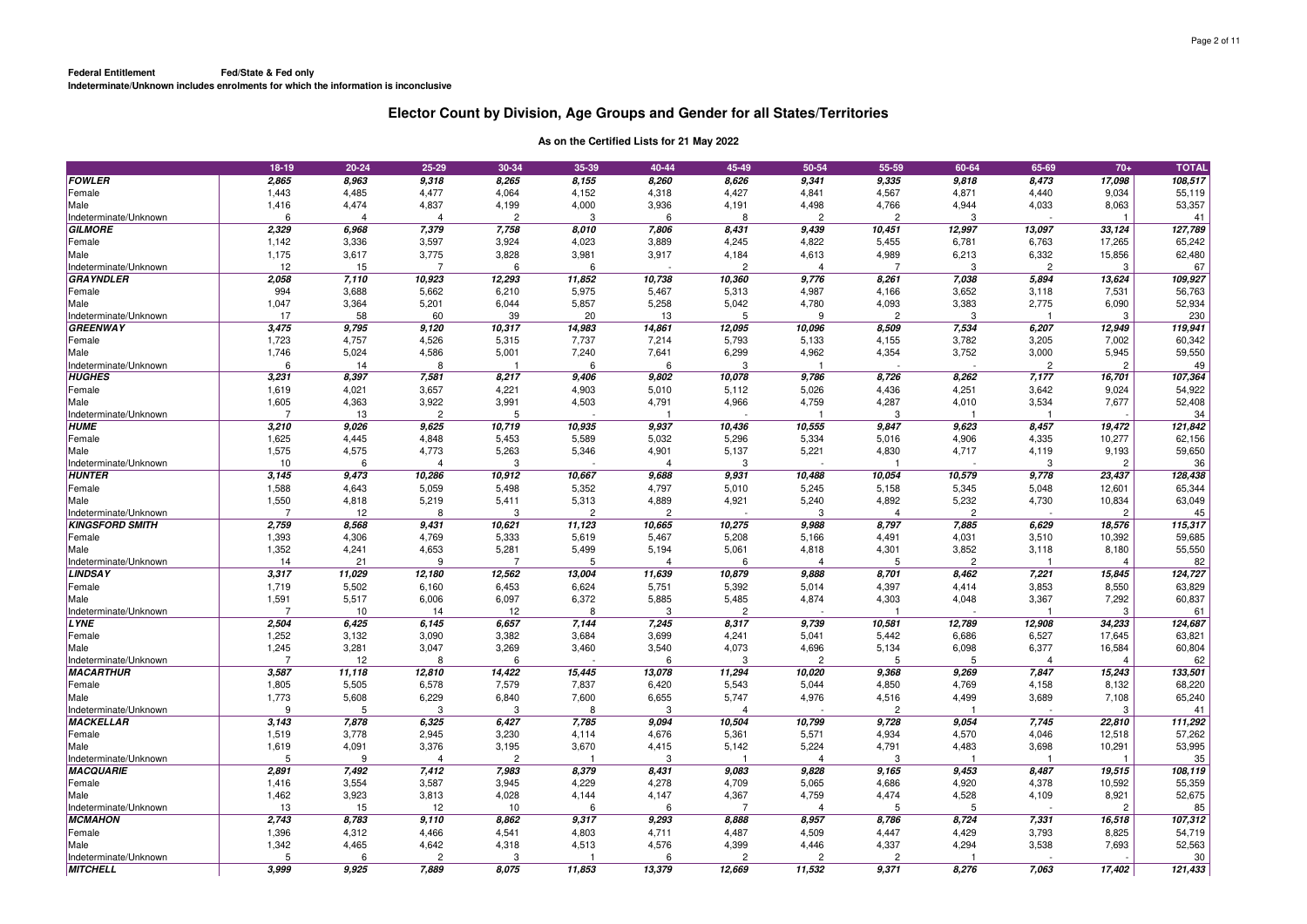|                                           | 18-19                   | 20-24          | 25-29          | 30-34          | 35-39          | 40-44          | 45-49          | 50-54          | 55-59          | 60-64          | 65-69          | $70+$          | <b>TOTAL</b>     |
|-------------------------------------------|-------------------------|----------------|----------------|----------------|----------------|----------------|----------------|----------------|----------------|----------------|----------------|----------------|------------------|
| <b>FOWLER</b>                             | 2,865                   | 8,963          | 9,318          | 8,265          | 8,155          | 8,260          | 8,626          | 9,341          | 9,335          | 9,818          | 8,473          | 17,098         | 108,517          |
| Female                                    | 1,443                   | 4,485          | 4,477          | 4,064          | 4,152          | 4,318          | 4,427          | 4,841          | 4,567          | 4,871          | 4,440          | 9,034          | 55,119           |
| Male                                      | 1,416                   | 4,474          | 4,837          | 4,199          | 4,000          | 3,936          | 4,191          | 4,498          | 4,766          | 4,944          | 4,033          | 8,063          | 53,357           |
| Indeterminate/Unknown                     | 6                       | $\overline{4}$ | $\overline{4}$ | $\overline{2}$ | 3              | 6              | 8              | $\overline{2}$ | $\overline{c}$ | -3             |                |                | 41               |
| <b>GILMORE</b>                            | 2,329                   | 6,968          | 7,379          | 7,758          | 8,010          | 7,806          | 8,431          | 9.439          | 10,451         | 12,997         | 13,097         | 33,124         | 127,789          |
| Female                                    | 1,142                   | 3,336          | 3,597          | 3,924          | 4,023          | 3,889          | 4,245          | 4,822          | 5,455          | 6,781          | 6,763          | 17,265         | 65,242           |
| Male                                      | 1,175                   | 3,617          | 3,775          | 3,828          | 3,981          | 3,917          | 4,184          | 4,613          | 4,989          | 6,213          | 6,332          | 15,856         | 62,480           |
| Indeterminate/Unknown                     | 12                      | 15             | $\overline{7}$ | 6              | 6              |                | 2              | $\overline{4}$ |                | -3             | $\overline{2}$ | 3              | 67               |
| <b>GRAYNDLER</b>                          | 2,058                   | 7,110          | 10,923         | 12,293         | 11,852         | 10,738         | 10,360         | 9,776          | 8,261          | 7,038          | 5,894          | 13,624         | 109,927          |
| Female                                    | 994                     | 3,688          | 5,662          | 6,210          | 5,975          | 5,467          | 5,313          | 4,987          | 4,166          | 3,652          | 3,118          | 7,531          | 56,763           |
| Male                                      | 1,047                   | 3,364          | 5,201          | 6,044          | 5,857          | 5,258          | 5,042          | 4,780          | 4,093          | 3,383          | 2,775          | 6,090          | 52,934           |
| Indeterminate/Unknown                     | 17                      | 58             | 60             | 39             | 20             | 13             | 5              | 9              | $\overline{2}$ | -3             |                | -3             | 230              |
| <b>GREENWAY</b>                           | 3,475                   | 9,795          | 9,120          | 10,317         | 14,983         | 14,861         | 12,095         | 10,096         | 8,509          | 7,534          | 6,207          | 12,949         | 119,941          |
| Female                                    | 1,723                   | 4,757          | 4,526          | 5,315          | 7,737          | 7,214          | 5,793          | 5,133          | 4,155          | 3,782          | 3,205          | 7,002          | 60,342           |
| Male                                      | 1,746                   | 5,024          | 4,586          | 5,001          | 7,240          | 7,641          | 6,299          | 4,962          | 4,354          | 3,752          | 3,000          | 5,945          | 59,550           |
| Indeterminate/Unknown                     | 6                       | 14             | 8              | -1             | 6              | 6              | 3              |                |                |                | $\overline{c}$ | $\overline{c}$ | 49               |
| <b>HUGHES</b>                             | 3,231                   | 8,397          | 7,581          | 8,217          | 9,406          | 9,802          | 10,078         | 9,786          | 8,726          | 8,262          | 7,177          | 16,701         | 107,364          |
| Female                                    | 1,619                   | 4,021          | 3,657          | 4,221          | 4,903          | 5,010          | 5,112          | 5,026          | 4,436          | 4,251          | 3,642          | 9,024          | 54,922           |
| Male                                      | 1,605                   | 4,363          | 3,922          | 3,991          | 4,503          | 4,791          | 4,966          | 4,759          | 4,287          | 4,010          | 3,534          | 7,677          | 52,408           |
| Indeterminate/Unknown                     | $\overline{7}$          | 13             | $\overline{2}$ | 5              |                |                |                |                | 3              |                |                |                | 34               |
| <b>HUME</b>                               | 3,210                   | 9,026          | 9,625          | 10,719         | 10,935         | 9,937          | 10,436         | 10,555         | 9,847          | 9,623          | 8,457          | 19,472         | 121,842          |
| Female                                    | 1,625                   | 4,445          | 4,848          | 5,453          | 5,589          | 5,032          | 5,296          | 5,334          | 5,016          | 4,906          | 4,335          | 10,277         | 62,156           |
| Male                                      | 1,575                   | 4,575          | 4,773          | 5,263          | 5,346          | 4,901          | 5,137          | 5,221          | 4,830          | 4,717          | 4,119          | 9,193          | 59,650           |
| Indeterminate/Unknown                     | 10                      | 6              | 4              | 3              |                | 4              | 3              |                |                |                | -3             | $\overline{2}$ | 36               |
| <b>HUNTER</b>                             | 3,145                   | 9,473          | 10,286         | 10,912         | 10,667         | 9,688          | 9,931          | 10,488         | 10,054         | 10,579         | 9,778          | 23,437         | 128,438          |
| Female                                    | 1,588                   | 4,643          | 5,059          | 5,498          | 5,352          | 4,797          | 5,010          | 5,245          | 5,158          | 5,345          | 5,048          | 12,601         | 65,344           |
| Male                                      | 1,550                   | 4,818          | 5,219          | 5,411          | 5,313          | 4,889          | 4,921          | 5,240          | 4,892          | 5,232          | 4,730          | 10,834         | 63,049           |
| Indeterminate/Unknown                     | 7                       | 12             | 8              | 3              | $\overline{2}$ | $\overline{c}$ |                | 3              | $\overline{4}$ | $\overline{2}$ |                | $\overline{2}$ | 45               |
| <b>KINGSFORD SMITH</b>                    | 2,759                   | 8,568          | 9,431          | 10,621         | 11,123         | 10,665         | 10,275         | 9,988          | 8,797          | 7,885          | 6.629          | 18.576         | 115,317          |
| Female                                    | 1,393                   | 4,306          | 4,769          | 5,333          | 5,619          | 5,467          | 5,208          | 5,166          | 4,491          | 4,031          | 3,510          | 10,392         | 59,685           |
| Male                                      | 1,352                   | 4,241          | 4,653          | 5,281          | 5,499          | 5,194          | 5,061          | 4,818          | 4,301          | 3,852          | 3,118          | 8,180          | 55,550           |
| Indeterminate/Unknown                     | 14                      | 21             | 9              |                | 5              | $\overline{4}$ | 6              | 4              | 5              | $\overline{2}$ |                |                | 82               |
| <b>LINDSAY</b>                            | 3,317                   | 11,029         | 12,180         | 12,562         | 13,004         | 11,639         | 10,879         | 9,888          | 8,701          | 8,462          | 7,221          | 15,845         | 124, 727         |
| Female                                    | 1,719                   | 5,502          | 6,160          | 6,453          | 6,624          | 5,751          | 5,392          | 5,014          | 4,397          | 4,414          | 3,853          | 8,550          | 63,829           |
| Male                                      | 1,591                   | 5,517          | 6,006          | 6,097          | 6,372          | 5,885          | 5,485          | 4,874          | 4,303          | 4,048          | 3,367          | 7,292          | 60,837           |
| Indeterminate/Unknown                     | 7                       | 10             | 14             | 12             | 8              | 3              | $\overline{2}$ |                |                |                |                | 3              | 61               |
| <b>LYNE</b>                               | 2,504                   | 6,425          | 6,145          | 6,657          | 7,144          | 7,245          | 8,317          | 9,739          | 10,581         | 12,789         | 12,908         | 34,233         | 124,687          |
| Female                                    | 1,252                   | 3,132          | 3,090          | 3,382          | 3,684          | 3,699          | 4,241          | 5,041          | 5,442          | 6,686          | 6,527          | 17,645         | 63,821           |
| Male                                      | 1,245<br>$\overline{7}$ | 3,281          | 3,047          | 3,269          | 3,460          | 3,540          | 4,073          | 4,696          | 5,134          | 6,098          | 6,377          | 16,584         | 60,804           |
| Indeterminate/Unknown                     |                         | 12             | 8              | 6              |                | 6              | 3              | $\overline{2}$ | 5              | 5              | 4              | $\overline{4}$ | 62               |
| <b>MACARTHUR</b>                          | 3,587                   | 11,118         | 12,810         | 14,422         | 15,445         | 13,078         | 11,294         | 10,020         | 9,368          | 9,269          | 7,847          | 15,243         | 133,501          |
| Female                                    | 1,805<br>1,773          | 5,505<br>5,608 | 6,578          | 7,579          | 7,837          | 6,420          | 5,543<br>5,747 | 5,044<br>4,976 | 4,850          | 4,769          | 4,158          | 8,132          | 68,220<br>65,240 |
| Male                                      | 9                       | 5              | 6,229<br>3     | 6,840<br>3     | 7,600<br>8     | 6,655<br>3     | 4              |                | 4,516<br>2     | 4,499          | 3,689          | 7,108<br>3     |                  |
| Indeterminate/Unknown<br><b>MACKELLAR</b> | 3,143                   | 7,878          | 6,325          | 6,427          | 7,785          | 9,094          | 10,504         | 10,799         | 9,728          | 9,054          | 7,745          | 22,810         | 41<br>111,292    |
| Female                                    | 1,519                   | 3,778          | 2,945          | 3,230          | 4,114          | 4,676          | 5,361          | 5,571          | 4,934          | 4,570          | 4,046          | 12,518         | 57,262           |
| Male                                      | 1,619                   | 4,091          | 3,376          | 3,195          | 3,670          | 4,415          | 5,142          | 5,224          | 4,791          | 4,483          | 3,698          | 10,291         | 53,995           |
| Indeterminate/Unknown                     | 5                       | 9              | 4              | $\overline{c}$ |                | 3              |                | 4              | 3              |                |                |                | 35               |
| <b>MACQUARIE</b>                          | 2,891                   | 7,492          | 7,412          | 7,983          | 8,379          | 8,431          | 9,083          | 9,828          | 9,165          | 9,453          | 8,487          | 19,515         | 108,119          |
| Female                                    | 1,416                   | 3,554          | 3,587          | 3,945          | 4,229          | 4,278          | 4,709          | 5,065          | 4,686          | 4,920          | 4,378          | 10,592         | 55,359           |
| Male                                      | 1,462                   | 3,923          | 3,813          | 4,028          | 4,144          | 4,147          | 4,367          | 4,759          | 4,474          | 4,528          | 4,109          | 8,921          | 52,675           |
| Indeterminate/Unknown                     | 13                      | 15             | 12             | 10             | 6              | 6              | 7              | $\Delta$       | 5              | 5              |                | $\overline{2}$ | 85               |
| <b>MCMAHON</b>                            | 2,743                   | 8,783          | 9,110          | 8,862          | 9,317          | 9,293          | 8,888          | 8,957          | 8,786          | 8,724          | 7,331          | 16,518         | 107,312          |
| Female                                    | 1,396                   | 4,312          | 4,466          | 4,541          | 4,803          | 4,711          | 4,487          | 4,509          | 4,447          | 4,429          | 3,793          | 8,825          | 54,719           |
| Male                                      | 1,342                   | 4,465          | 4,642          | 4,318          | 4,513          | 4,576          | 4,399          | 4.446          | 4,337          | 4,294          | 3,538          | 7.693          | 52,563           |
| Indeterminate/Unknown                     | 5                       | 6              | $\overline{2}$ | 3              |                | 6              | $\overline{2}$ | $\overline{2}$ | $\overline{2}$ |                |                |                | 30               |
| <b>MITCHELL</b>                           | 3.999                   | 9.925          | 7.889          | 8.075          | 11,853         | 13,379         | 12,669         | 11.532         | 9,371          | 8.276          | 7,063          | 17,402         | 121,433          |
|                                           |                         |                |                |                |                |                |                |                |                |                |                |                |                  |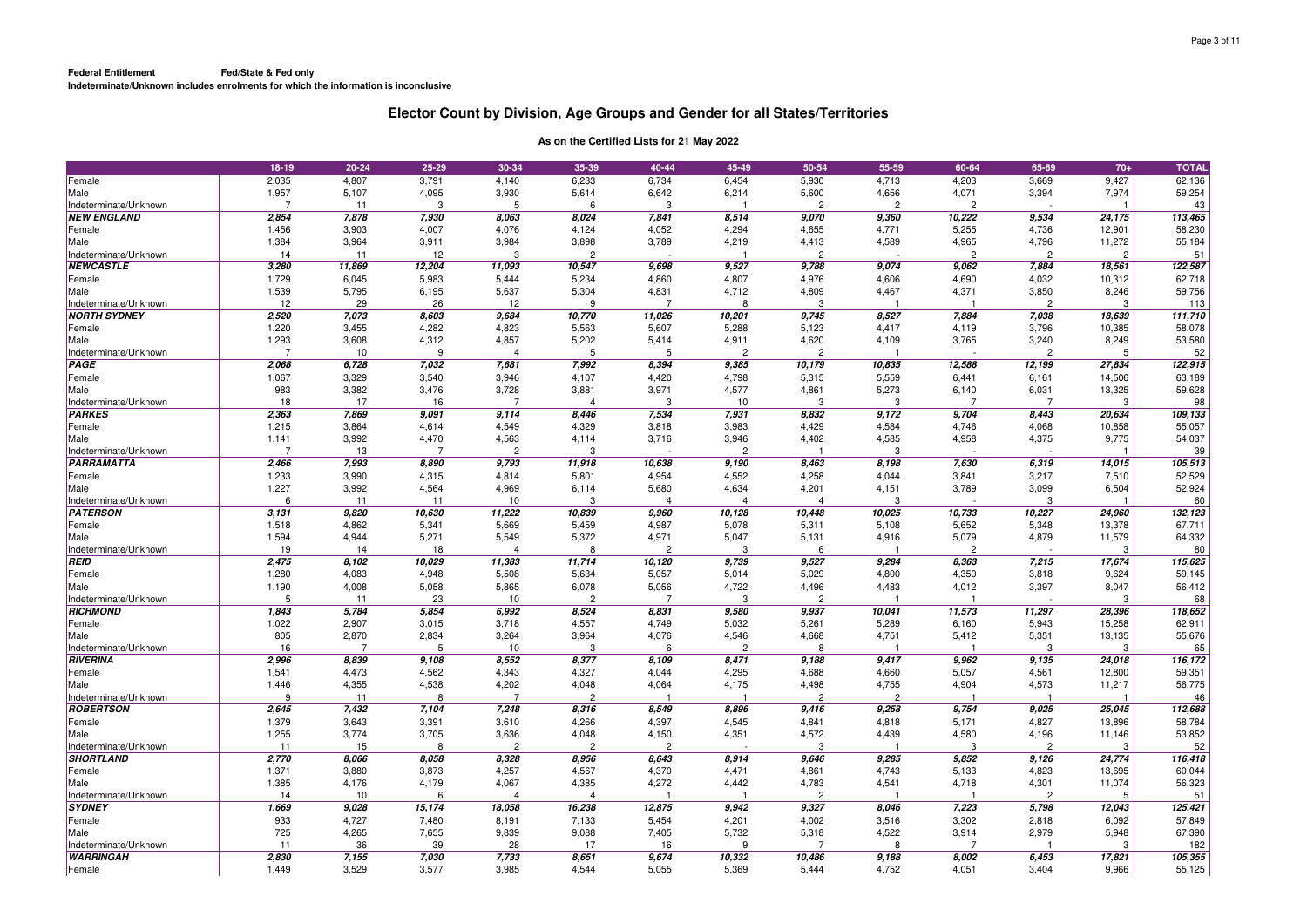|                                           | 18-19                   | 20-24          | 25-29                 | 30-34                   | 35-39                   | 40-44          | 45-49                   | 50-54                    | 55-59          | 60-64                   | 65-69                   | $70+$          | <b>TOTAL</b>  |
|-------------------------------------------|-------------------------|----------------|-----------------------|-------------------------|-------------------------|----------------|-------------------------|--------------------------|----------------|-------------------------|-------------------------|----------------|---------------|
| Female                                    | 2,035                   | 4,807          | 3,791                 | 4,140                   | 6,233                   | 6,734          | 6,454                   | 5,930                    | 4,713          | 4,203                   | 3,669                   | 9,427          | 62,136        |
| Male                                      | 1,957                   | 5,107          | 4,095                 | 3,930                   | 5,614                   | 6,642          | 6,214                   | 5,600                    | 4,656          | 4,071                   | 3,394                   | 7,974          | 59,254        |
| Indeterminate/Unknown                     | $\overline{7}$          | 11             | 3                     | 5                       | 6                       | 3              |                         | $\overline{2}$           | $\overline{2}$ | $\overline{2}$          |                         |                | 43            |
| <b>NEW ENGLAND</b>                        | 2,854                   | 7,878          | 7,930                 | 8,063                   | 8,024                   | 7,841          | 8,514                   | 9,070                    | 9,360          | 10,222                  | 9,534                   | 24,175         | 113,465       |
| Female                                    | 1,456                   | 3,903          | 4,007                 | 4,076                   | 4,124                   | 4,052          | 4,294                   | 4,655                    | 4,771          | 5,255                   | 4,736                   | 12,901         | 58,230        |
| Male                                      | 1,384                   | 3,964          | 3,911                 | 3,984                   | 3,898                   | 3,789          | 4,219                   | 4,413                    | 4,589          | 4,965                   | 4,796                   | 11,272         | 55,184        |
| Indeterminate/Unknown                     | 14                      | 11             | 12                    | 3                       | $\overline{2}$          |                |                         | $\overline{2}$           |                | $\overline{2}$          | $\overline{2}$          | $\overline{2}$ | 51            |
| <b>NEWCASTLE</b>                          | 3,280                   | 11,869         | 12,204                | 11,093                  | 10,547                  | 9,698          | 9,527                   | 9,788                    | 9,074          | 9,062                   | 7,884                   | 18,561         | 122,587       |
| Female                                    | 1,729                   | 6,045          | 5,983                 | 5,444                   | 5,234                   | 4,860          | 4,807                   | 4,976                    | 4,606          | 4,690                   | 4,032                   | 10,312         | 62,718        |
| Male                                      | 1,539                   | 5,795          | 6,195                 | 5,637                   | 5,304                   | 4,831          | 4,712                   | 4,809                    | 4,467          | 4,371                   | 3,850                   | 8,246          | 59,756        |
| Indeterminate/Unknown                     | 12                      | 29             | 26                    | 12                      | 9                       |                | 8                       | 3                        |                |                         | $\overline{2}$          | 3              | 113           |
| <b>NORTH SYDNEY</b>                       | 2,520                   | 7,073          | 8,603                 | 9,684                   | 10,770                  | 11,026         | 10,201                  | 9,745                    | 8,527          | 7,884                   | 7,038                   | 18,639         | 111,710       |
| Female                                    | 1,220                   | 3,455          | 4,282                 | 4,823                   | 5,563                   | 5,607          | 5,288                   | 5,123                    | 4,417          | 4,119                   | 3,796                   | 10,385         | 58,078        |
| Male                                      | 1,293<br>$\overline{7}$ | 3,608          | 4,312<br>$\mathbf{q}$ | 4,857                   | 5,202<br>5              | 5,414<br>5     | 4,911<br>$\overline{c}$ | 4,620                    | 4,109          | 3,765                   | 3,240<br>$\overline{2}$ | 8,249          | 53,580        |
| Indeterminate/Unknown<br>PAGE             |                         | 10             | 7,032                 | $\overline{4}$          | 7,992                   |                |                         | $\overline{2}$<br>10,179 | 10,835         | 12,588                  |                         | 5<br>27,834    | 52<br>122,915 |
|                                           | 2,068                   | 6,728          |                       | 7,681                   |                         | 8,394          | 9,385                   |                          |                |                         | 12,199                  |                |               |
| Female                                    | 1,067<br>983            | 3,329<br>3,382 | 3,540<br>3,476        | 3,946<br>3,728          | 4,107                   | 4,420<br>3,971 | 4,798                   | 5,315                    | 5,559<br>5,273 | 6,441                   | 6,161                   | 14,506         | 63,189        |
| Male<br>Indeterminate/Unknown             | 18                      | 17             | 16                    | $\overline{7}$          | 3,881<br>$\overline{4}$ | 3              | 4,577<br>10             | 4,861<br>3               | 3              | 6,140<br>$\overline{7}$ | 6,031<br>$\overline{7}$ | 13,325<br>3    | 59,628<br>98  |
| <b>PARKES</b>                             | 2,363                   | 7,869          | 9,091                 | 9.114                   | 8,446                   | 7,534          | 7,931                   | 8,832                    | 9,172          | 9,704                   | 8,443                   | 20,634         | 109,133       |
| Female                                    | 1,215                   | 3,864          | 4,614                 | 4,549                   | 4,329                   | 3,818          | 3,983                   | 4,429                    | 4,584          | 4,746                   | 4,068                   | 10,858         | 55,057        |
| Male                                      | 1,141                   | 3,992          | 4,470                 | 4,563                   | 4,114                   | 3,716          | 3,946                   | 4,402                    | 4,585          | 4,958                   | 4,375                   | 9,775          | 54,037        |
| Indeterminate/Unknown                     | 7                       | 13             | 7                     | $\overline{c}$          | 3                       |                | $\overline{c}$          |                          | 3              |                         |                         |                | 39            |
| <b>PARRAMATTA</b>                         | 2,466                   | 7,993          | 8,890                 | 9,793                   | 11,918                  | 10,638         | 9,190                   | 8,463                    | 8,198          | 7,630                   | 6,319                   | 14,015         | 105,513       |
| Female                                    | 1,233                   | 3,990          | 4,315                 | 4,814                   | 5,801                   | 4,954          | 4,552                   | 4,258                    | 4,044          | 3,841                   | 3,217                   | 7,510          | 52,529        |
| Male                                      | 1,227                   | 3,992          | 4,564                 | 4,969                   | 6,114                   | 5,680          | 4,634                   | 4,201                    | 4,151          | 3,789                   | 3,099                   | 6,504          | 52,924        |
| Indeterminate/Unknown                     | 6                       | 11             | 11                    | 10                      | 3                       | 4              | $\overline{4}$          | $\overline{4}$           | 3              |                         | 3                       |                | 60            |
| <b>PATERSON</b>                           | 3,131                   | 9,820          | 10,630                | 11,222                  | 10,839                  | 9,960          | 10,128                  | 10,448                   | 10,025         | 10,733                  | 10,227                  | 24,960         | 132,123       |
| Female                                    | 1,518                   | 4,862          | 5,341                 | 5,669                   | 5,459                   | 4,987          | 5,078                   | 5,311                    | 5,108          | 5,652                   | 5,348                   | 13,378         | 67,711        |
| Male                                      | 1,594                   | 4,944          | 5,271                 | 5,549                   | 5,372                   | 4,971          | 5,047                   | 5,131                    | 4,916          | 5,079                   | 4,879                   | 11,579         | 64,332        |
| Indeterminate/Unknown                     | 19                      | 14             | 18                    | $\overline{4}$          | 8                       | $\overline{c}$ | 3                       | 6                        |                | $\overline{2}$          |                         | 3              | 80            |
| <b>REID</b>                               | 2,475                   | 8,102          | 10,029                | 11,383                  | 11,714                  | 10,120         | 9,739                   | 9,527                    | 9,284          | 8,363                   | 7,215                   | 17,674         | 115,625       |
| Female                                    | 1,280                   | 4,083          | 4,948                 | 5,508                   | 5,634                   | 5,057          | 5,014                   | 5,029                    | 4,800          | 4,350                   | 3,818                   | 9,624          | 59,145        |
| Male                                      | 1,190                   | 4,008          | 5,058                 | 5,865                   | 6,078                   | 5,056          | 4,722                   | 4,496                    | 4,483          | 4,012                   | 3,397                   | 8,047          | 56,412        |
| Indeterminate/Unknown                     | 5                       | 11             | 23                    | 10                      | $\overline{c}$          | $\overline{7}$ | 3                       | $\overline{c}$           |                |                         |                         | 3              | 68            |
| <b>RICHMOND</b>                           | 1,843                   | 5,784          | 5,854                 | 6,992                   | 8,524                   | 8,831          | 9,580                   | 9,937                    | 10,041         | 11,573                  | 11,297                  | 28,396         | 118,652       |
| Female                                    | 1,022                   | 2,907          | 3,015                 | 3,718                   | 4,557                   | 4,749          | 5,032                   | 5,261                    | 5,289          | 6,160                   | 5,943                   | 15,258         | 62,911        |
| Male                                      | 805                     | 2,870          | 2,834                 | 3,264                   | 3,964                   | 4,076          | 4,546                   | 4,668                    | 4,751          | 5,412                   | 5,351                   | 13,135         | 55,676        |
| Indeterminate/Unknown                     | 16                      | $\overline{7}$ | 5                     | 10                      | 3                       | 6              | $\overline{c}$          | 8                        |                |                         | 3                       | 3              | 65            |
| RIVERINA                                  | 2,996                   | 8,839          | 9,108                 | 8,552                   | 8,377                   | 8,109          | 8,471                   | 9,188                    | 9,417          | 9,962                   | 9,135                   | 24,018         | 116,172       |
| Female                                    | 1,541                   | 4,473          | 4,562                 | 4,343                   | 4,327                   | 4,044          | 4,295                   | 4,688                    | 4,660          | 5,057                   | 4,561                   | 12,800         | 59,351        |
| Male                                      | 1,446                   | 4,355          | 4,538                 | 4,202                   | 4,048                   | 4,064          | 4,175                   | 4,498                    | 4,755          | 4,904                   | 4,573                   | 11,217         | 56,775        |
| Indeterminate/Unknown                     | 9                       | 11             | 8                     | $\overline{7}$          | $\overline{2}$          |                |                         | $\overline{c}$           | $\overline{c}$ |                         |                         |                | 46            |
| <b>ROBERTSON</b>                          | 2,645                   | 7,432          | 7,104                 | 7,248                   | 8,316                   | 8,549          | 8,896                   | 9,416                    | 9,258          | 9,754                   | 9,025                   | 25,045         | 112,688       |
| Female                                    | 1,379                   | 3,643          | 3,391                 | 3,610                   | 4,266                   | 4,397          | 4,545                   | 4,841                    | 4,818          | 5,171                   | 4,827                   | 13,896         | 58,784        |
| Male                                      | 1,255                   | 3,774          | 3,705                 | 3,636                   | 4,048                   | 4,150          | 4,351                   | 4,572                    | 4,439          | 4,580                   | 4,196                   | 11,146         | 53,852        |
| Indeterminate/Unknown<br><b>SHORTLAND</b> | 11                      | 15             | 8                     | $\overline{c}$          | $\overline{2}$          | $\overline{2}$ |                         | -3                       |                | -3                      | $\overline{2}$          | 3              | 52            |
|                                           | 2,770                   | 8,066          | 8,058                 | 8,328                   | 8,956                   | 8,643          | 8,914                   | 9,646                    | 9,285          | 9,852                   | 9,126                   | 24,774         | 116,418       |
| Female                                    | 1,371                   | 3,880          | 3,873                 | 4,257                   | 4,567                   | 4,370          | 4,471                   | 4,861                    | 4,743          | 5,133                   | 4,823                   | 13,695         | 60,044        |
| Male<br>Indeterminate/Unknown             | 1,385<br>14             | 4,176<br>10    | 4,179<br>6            | 4,067<br>$\overline{4}$ | 4,385<br>$\overline{4}$ | 4,272          | 4,442                   | 4,783<br>$\overline{c}$  | 4,541          | 4,718                   | 4,301<br>$\overline{c}$ | 11,074<br>5    | 56,323<br>51  |
| <b>SYDNEY</b>                             | 1,669                   | 9,028          | 15,174                | 18,058                  | 16,238                  | 12,875         | 9,942                   | 9,327                    | 8,046          | 7,223                   | 5,798                   | 12,043         | 125,421       |
| Female                                    | 933                     | 4,727          | 7,480                 | 8,191                   | 7,133                   | 5,454          | 4,201                   | 4,002                    | 3,516          | 3,302                   | 2,818                   | 6,092          | 57,849        |
| Male                                      | 725                     | 4,265          | 7,655                 | 9,839                   | 9,088                   | 7,405          | 5,732                   | 5,318                    | 4,522          | 3,914                   | 2,979                   | 5,948          | 67,390        |
| Indeterminate/Unknown                     | 11                      | 36             | 39                    | 28                      | 17                      | 16             | 9                       | -7                       | 8              | -7                      |                         | 3              | 182           |
| <b>WARRINGAH</b>                          | 2,830                   | 7,155          | 7,030                 | 7,733                   | 8,651                   | 9,674          | 10,332                  | 10,486                   | 9,188          | 8,002                   | 6,453                   | 17,821         | 105,355       |
| Female                                    | 1,449                   | 3,529          | 3,577                 | 3,985                   | 4,544                   | 5,055          | 5,369                   | 5,444                    | 4,752          | 4,051                   | 3,404                   | 9,966          | 55,125        |
|                                           |                         |                |                       |                         |                         |                |                         |                          |                |                         |                         |                |               |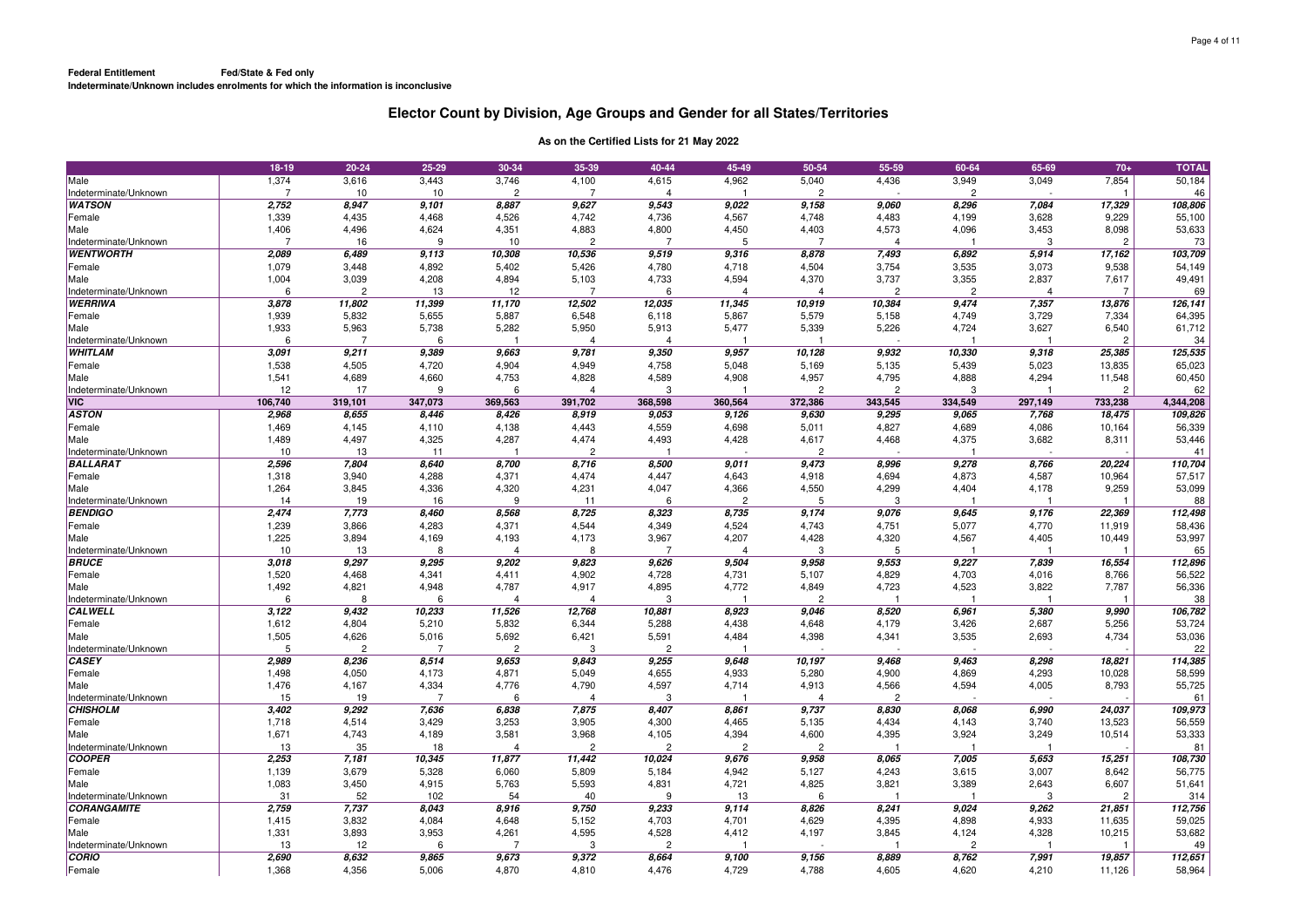|                                         | 18-19          | $20 - 24$               | 25-29          | 30-34          | 35-39                   | 40-44                   | 45-49          | 50-54          | 55-59          | 60-64          | 65-69          | $70+$                   | <b>TOTAL</b> |
|-----------------------------------------|----------------|-------------------------|----------------|----------------|-------------------------|-------------------------|----------------|----------------|----------------|----------------|----------------|-------------------------|--------------|
| Male                                    | 1,374          | 3,616                   | 3,443          | 3,746          | 4,100                   | 4,615                   | 4,962          | 5,040          | 4,436          | 3,949          | 3,049          | 7,854                   | 50,184       |
| Indeterminate/Unknown                   | $\overline{7}$ | 10                      | 10             | $\mathcal{P}$  | $\overline{7}$          | $\overline{4}$          |                | $\mathcal{P}$  |                | 2              |                | $\overline{1}$          | 46           |
| <b>WATSON</b>                           | 2,752          | 8,947                   | 9,101          | 8,887          | 9,627                   | 9,543                   | 9,022          | 9,158          | 9,060          | 8,296          | 7,084          | 17,329                  | 108,806      |
| Female                                  | 1,339          | 4,435                   | 4,468          | 4,526          | 4,742                   | 4,736                   | 4,567          | 4,748          | 4,483          | 4,199          | 3,628          | 9,229                   | 55,100       |
| Male                                    | 1,406          | 4,496                   | 4,624          | 4,351          | 4,883                   | 4,800                   | 4,450          | 4,403          | 4,573          | 4,096          | 3,453          | 8,098                   | 53,633       |
| Indeterminate/Unknown                   | 7              | 16                      | 9              | 10             | $\overline{2}$          | $\overline{7}$          | 5              | 7              | 4              |                | 3              | $\overline{c}$          | 73           |
| <b>WENTWORTH</b>                        | 2,089          | 6,489                   | 9,113          | 10,308         | 10,536                  | 9,519                   | 9,316          | 8,878          | 7,493          | 6,892          | 5,914          | 17,162                  | 103,709      |
| Female                                  | 1,079          | 3,448                   | 4,892          | 5,402          | 5,426                   | 4,780                   | 4,718          | 4,504          | 3,754          | 3,535          | 3,073          | 9,538                   | 54,149       |
| Male                                    | 1,004          | 3,039                   | 4,208          | 4,894          | 5,103                   | 4,733                   | 4,594          | 4,370          | 3,737          | 3,355          | 2,837          | 7,617                   | 49,491       |
| Indeterminate/Unknown                   | ĥ              | $\overline{2}$          | 13             | 12             | $\overline{7}$          | 6                       | Δ              | $\Delta$       | $\mathcal{P}$  | 2              | $\overline{4}$ | $\overline{7}$          | 69           |
| <b>WERRIWA</b>                          | 3,878          | 11,802                  | 11,399         | 11,170         | 12,502                  | 12,035                  | 11,345         | 10,919         | 10,384         | 9,474          | 7,357          | 13,876                  | 126, 141     |
| Female                                  | 1,939          | 5,832                   | 5,655          | 5,887          | 6,548                   | 6,118                   | 5,867          | 5,579          | 5,158          | 4,749          | 3,729          | 7,334                   | 64,395       |
|                                         |                |                         |                |                |                         |                         |                |                |                |                |                |                         |              |
| Male                                    | 1,933<br>6     | 5,963<br>$\overline{7}$ | 5,738          | 5,282<br>-1    | 5,950<br>$\overline{4}$ | 5,913<br>$\overline{4}$ | 5,477          | 5,339<br>1     | 5,226          | 4,724          | 3,627          | 6,540<br>$\overline{c}$ | 61,712       |
| Indeterminate/Unknown<br><b>WHITLAM</b> |                |                         | 6              |                |                         |                         |                |                |                |                |                |                         | 34           |
|                                         | 3,091          | 9,211                   | 9,389          | 9,663          | 9,781                   | 9,350                   | 9,957          | 10,128         | 9,932          | 10,330         | 9,318          | 25,385                  | 125,535      |
| Female                                  | 1,538          | 4,505                   | 4,720          | 4,904          | 4,949                   | 4,758                   | 5,048          | 5,169          | 5,135          | 5,439          | 5,023          | 13,835                  | 65,023       |
| Male                                    | 1,541          | 4,689                   | 4,660          | 4,753          | 4,828                   | 4,589                   | 4,908          | 4,957          | 4,795          | 4,888          | 4,294          | 11,548                  | 60,450       |
| Indeterminate/Unknown                   | 12             | 17                      | 9              | 6              | $\overline{4}$          | 3                       |                | $\mathcal{P}$  | $\mathfrak{p}$ | 3              |                | $\overline{2}$          | 62           |
| <b>VIC</b>                              | 106,740        | 319,101                 | 347,073        | 369,563        | 391,702                 | 368,598                 | 360,564        | 372,386        | 343,545        | 334,549        | 297,149        | 733,238                 | 4,344,208    |
| <b>ASTON</b>                            | 2,968          | 8,655                   | 8,446          | 8,426          | 8,919                   | 9,053                   | 9,126          | 9,630          | 9,295          | 9,065          | 7,768          | 18,475                  | 109,826      |
| Female                                  | 1,469          | 4,145                   | 4,110          | 4,138          | 4,443                   | 4,559                   | 4,698          | 5,011          | 4,827          | 4,689          | 4,086          | 10,164                  | 56,339       |
| Male                                    | 1,489          | 4,497                   | 4,325          | 4,287          | 4,474                   | 4,493                   | 4,428          | 4,617          | 4,468          | 4,375          | 3,682          | 8,311                   | 53,446       |
| Indeterminate/Unknown                   | 10             | 13                      | 11             |                | $\overline{2}$          |                         |                | $\overline{c}$ |                |                |                |                         | 41           |
| <b>BALLARAT</b>                         | 2,596          | 7,804                   | 8,640          | 8,700          | 8,716                   | 8,500                   | 9,011          | 9,473          | 8,996          | 9,278          | 8,766          | 20,224                  | 110,704      |
| Female                                  | 1,318          | 3,940                   | 4,288          | 4,371          | 4,474                   | 4,447                   | 4,643          | 4,918          | 4,694          | 4,873          | 4,587          | 10,964                  | 57,517       |
| Male                                    | 1,264          | 3,845                   | 4,336          | 4,320          | 4,231                   | 4,047                   | 4,366          | 4,550          | 4,299          | 4,404          | 4,178          | 9,259                   | 53,099       |
| Indeterminate/Unknown                   | 14             | 19                      | 16             | 9              | 11                      | 6                       | $\overline{c}$ | 5              | 3              |                |                |                         | 88           |
| <b>BENDIGO</b>                          | 2,474          | 7,773                   | 8,460          | 8,568          | 8,725                   | 8,323                   | 8,735          | 9,174          | 9,076          | 9,645          | 9,176          | 22,369                  | 112,498      |
| Female                                  | 1,239          | 3,866                   | 4,283          | 4,371          | 4,544                   | 4,349                   | 4,524          | 4,743          | 4,751          | 5,077          | 4,770          | 11,919                  | 58,436       |
| Male                                    | 1,225          | 3,894                   | 4,169          | 4,193          | 4,173                   | 3,967                   | 4,207          | 4,428          | 4,320          | 4,567          | 4,405          | 10,449                  | 53,997       |
| Indeterminate/Unknown                   | 10             | 13                      | 8              | $\overline{4}$ | 8                       | $\overline{7}$          | 4              | 3              | 5              | -1             | -1             | $\overline{\mathbf{1}}$ | 65           |
| <b>BRUCE</b>                            | 3,018          | 9,297                   | 9,295          | 9,202          | 9,823                   | 9,626                   | 9,504          | 9,958          | 9,553          | 9,227          | 7,839          | 16,554                  | 112,896      |
| Female                                  | 1,520          | 4,468                   | 4,341          | 4,411          | 4,902                   | 4,728                   | 4,731          | 5,107          | 4,829          | 4,703          | 4,016          | 8,766                   | 56,522       |
| Male                                    | 1,492          | 4,821                   | 4,948          | 4,787          | 4,917                   | 4,895                   | 4,772          | 4,849          | 4,723          | 4,523          | 3,822          | 7,787                   | 56,336       |
| Indeterminate/Unknown                   | 6              | 8                       | 6              | $\overline{4}$ | $\overline{4}$          | 3                       |                | $\overline{c}$ |                |                | $\overline{1}$ |                         | 38           |
| <b>CALWELL</b>                          | 3,122          | 9,432                   | 10,233         | 11,526         | 12,768                  | 10,881                  | 8,923          | 9,046          | 8,520          | 6,961          | 5,380          | 9,990                   | 106,782      |
| Female                                  | 1,612          | 4,804                   | 5,210          | 5,832          | 6,344                   | 5,288                   | 4,438          | 4,648          | 4,179          | 3,426          | 2,687          | 5,256                   | 53,724       |
| Male                                    | 1,505          | 4,626                   | 5,016          | 5,692          | 6,421                   | 5,591                   | 4,484          | 4,398          | 4,341          | 3,535          | 2,693          | 4,734                   | 53,036       |
| Indeterminate/Unknown                   | 5              | $\overline{c}$          | $\overline{7}$ | $\overline{c}$ | 3                       | $\overline{2}$          |                |                |                |                |                |                         | 22           |
| CASEY                                   | 2,989          | 8,236                   | 8,514          | 9,653          | 9,843                   | 9,255                   | 9,648          | 10,197         | 9,468          | 9,463          | 8,298          | 18,821                  | 114,385      |
| Female                                  | 1,498          | 4,050                   | 4,173          | 4,871          | 5,049                   | 4,655                   | 4,933          | 5,280          | 4,900          | 4,869          | 4,293          | 10,028                  | 58,599       |
| Male                                    | 1,476          | 4,167                   | 4,334          | 4,776          | 4,790                   | 4,597                   | 4,714          | 4,913          | 4,566          | 4,594          | 4,005          | 8,793                   | 55,725       |
| Indeterminate/Unknown                   | 15             | 19                      | $\overline{7}$ | 6              | $\overline{4}$          | 3                       |                | $\overline{4}$ | $\overline{2}$ |                |                |                         | 61           |
| <b>CHISHOLM</b>                         | 3,402          | 9,292                   | 7,636          | 6,838          | 7,875                   | 8,407                   | 8,861          | 9,737          | 8,830          | 8,068          | 6,990          | 24,037                  | 109,973      |
| Female                                  | 1,718          | 4,514                   | 3,429          | 3,253          | 3,905                   | 4,300                   | 4,465          | 5,135          | 4,434          | 4,143          | 3,740          | 13,523                  | 56,559       |
| Male                                    | 1,671          | 4,743                   | 4,189          | 3,581          | 3,968                   | 4,105                   | 4,394          | 4,600          | 4,395          | 3,924          | 3,249          | 10,514                  | 53,333       |
| Indeterminate/Unknown                   | 13             | 35                      | 18             | $\overline{4}$ | $\overline{2}$          | $\overline{c}$          | $\overline{2}$ | $\overline{2}$ |                | -1             | -1             |                         | 81           |
| COOPER                                  | 2,253          | 7,181                   | 10,345         | 11,877         | 11,442                  | 10,024                  | 9,676          | 9,958          | 8,065          | 7,005          | 5,653          | 15,251                  | 108,730      |
| Female                                  | 1,139          | 3,679                   | 5,328          | 6,060          | 5,809                   | 5,184                   | 4,942          | 5,127          | 4,243          | 3,615          | 3,007          | 8,642                   | 56,775       |
| Male                                    | 1,083          | 3,450                   | 4,915          | 5,763          | 5,593                   | 4,831                   | 4,721          | 4,825          | 3,821          | 3,389          | 2,643          | 6,607                   | 51,641       |
| Indeterminate/Unknown                   | 31             | 52                      | 102            | 54             | 40                      | 9                       | 13             | 6              |                |                | 3              | $\overline{c}$          | 314          |
| <b>CORANGAMITE</b>                      | 2,759          | 7,737                   | 8,043          | 8,916          | 9,750                   | 9,233                   | 9,114          | 8,826          | 8,241          | 9,024          | 9,262          | 21,851                  | 112,756      |
| Female                                  | 1,415          | 3,832                   | 4,084          | 4,648          | 5,152                   | 4,703                   | 4,701          | 4,629          | 4,395          | 4,898          | 4,933          | 11,635                  | 59,025       |
| Male                                    | 1,331          | 3,893                   | 3,953          | 4,261          | 4,595                   | 4,528                   | 4,412          | 4,197          | 3,845          | 4,124          | 4,328          | 10,215                  | 53,682       |
| Indeterminate/Unknown                   | 13             | 12                      | 6              | -7             | 3                       | $\overline{2}$          |                |                |                | $\overline{c}$ |                | -1                      | 49           |
| <b>CORIO</b>                            | 2,690          | 8,632                   | 9,865          | 9,673          | 9,372                   | 8,664                   | 9,100          | 9,156          | 8,889          | 8,762          | 7,991          | 19,857                  | 112,651      |
| Female                                  | 1,368          | 4,356                   | 5,006          | 4,870          | 4,810                   | 4,476                   | 4,729          | 4,788          | 4,605          | 4,620          | 4,210          | 11,126                  | 58,964       |
|                                         |                |                         |                |                |                         |                         |                |                |                |                |                |                         |              |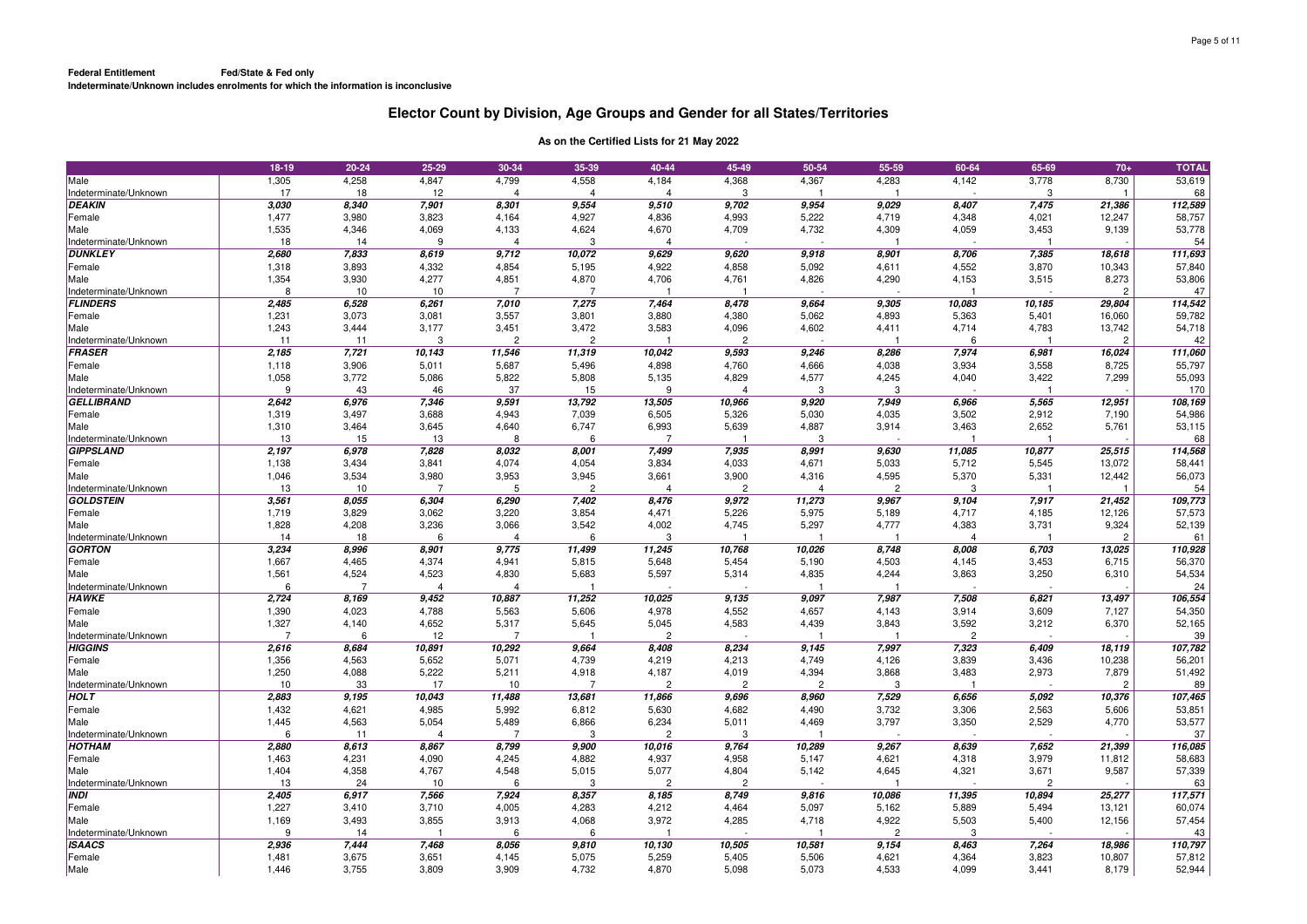|                       | 18-19 | $20 - 24$ | 25-29          | 30-34          | 35-39          | 40-44          | 45-49          | 50-54    | 55-59          | 60-64          | 65-69  | $70+$          | <b>TOTAL</b> |
|-----------------------|-------|-----------|----------------|----------------|----------------|----------------|----------------|----------|----------------|----------------|--------|----------------|--------------|
| Male                  | 1,305 | 4,258     | 4,847          | 4,799          | 4,558          | 4,184          | 4,368          | 4,367    | 4,283          | 4,142          | 3,778  | 8,730          | 53,619       |
| Indeterminate/Unknown | 17    | 18        | 12             | $\overline{4}$ | Δ              | $\Delta$       | 3              |          |                |                | 3      |                | 68           |
| <b>DEAKIN</b>         | 3,030 | 8,340     | 7,901          | 8,301          | 9,554          | 9,510          | 9,702          | 9,954    | 9,029          | 8,407          | 7,475  | 21,386         | 112,589      |
| Female                | 1,477 | 3,980     | 3,823          | 4,164          | 4,927          | 4,836          | 4,993          | 5,222    | 4,719          | 4,348          | 4,021  | 12,247         | 58,757       |
| Male                  | 1,535 | 4,346     | 4,069          | 4,133          | 4,624          | 4,670          | 4,709          | 4,732    | 4,309          | 4,059          | 3,453  | 9,139          | 53,778       |
| Indeterminate/Unknown | 18    | 14        | $\mathbf{Q}$   | $\overline{4}$ | 3              | $\overline{4}$ |                |          |                |                |        |                | 54           |
| <b>DUNKLEY</b>        | 2,680 | 7,833     | 8,619          | 9,712          | 10,072         | 9,629          | 9,620          | 9,918    | 8,901          | 8,706          | 7,385  | 18,618         | 111,693      |
| Female                | 1,318 | 3,893     | 4,332          | 4,854          | 5,195          | 4,922          | 4,858          | 5,092    | 4,611          | 4,552          | 3,870  | 10,343         | 57,840       |
| Male                  | 1,354 | 3,930     | 4,277          | 4,851          | 4,870          | 4,706          | 4,761          | 4,826    | 4,290          | 4,153          | 3,515  | 8,273          | 53,806       |
| Indeterminate/Unknown | 8     | 10        | 10             | 7              | 7              |                |                |          |                |                |        | 2              | 47           |
| <b>FLINDERS</b>       | 2,485 | 6,528     | 6,261          | 7,010          | 7,275          | 7,464          | 8,478          | 9,664    | 9,305          | 10,083         | 10,185 | 29,804         | 114,542      |
| Female                | 1,231 | 3,073     | 3,081          | 3,557          | 3,801          | 3,880          | 4,380          | 5,062    | 4,893          | 5,363          | 5,401  | 16,060         | 59,782       |
| Male                  | 1,243 | 3,444     | 3,177          | 3,451          | 3,472          | 3,583          | 4,096          | 4,602    | 4,411          | 4,714          | 4,783  | 13,742         | 54,718       |
| Indeterminate/Unknown | 11    | 11        | 3              | $\overline{2}$ | $\overline{2}$ | -1             | $\overline{2}$ |          |                | 6              |        | $\overline{2}$ | 42           |
| FRASER                | 2,185 | 7,721     | 10,143         | 11,546         | 11,319         | 10,042         | 9,593          | 9,246    | 8,286          | 7,974          | 6,981  | 16,024         | 111,060      |
| Female                | 1,118 | 3,906     | 5,011          | 5,687          | 5,496          | 4,898          | 4,760          | 4,666    | 4,038          | 3,934          | 3,558  | 8,725          | 55,797       |
| Male                  | 1,058 | 3,772     | 5,086          | 5,822          | 5,808          | 5,135          | 4,829          | 4,577    | 4,245          | 4,040          | 3,422  | 7,299          | 55,093       |
| Indeterminate/Unknown | q     | 43        | 46             | 37             | 15             | 9              | Δ              | 3        | 3              |                |        |                | 170          |
| <b>GELLIBRAND</b>     | 2,642 | 6,976     | 7,346          | 9,591          | 13,792         | 13,505         | 10,966         | 9,920    | 7,949          | 6,966          | 5,565  | 12,951         | 108,169      |
| Female                | 1,319 | 3,497     | 3,688          | 4,943          | 7,039          | 6,505          | 5,326          | 5,030    | 4,035          | 3,502          | 2,912  | 7,190          | 54,986       |
| Male                  | 1,310 | 3,464     | 3,645          | 4,640          | 6,747          | 6,993          | 5,639          | 4,887    | 3,914          | 3,463          | 2,652  | 5,761          | 53,115       |
| Indeterminate/Unknown | 13    | 15        | 13             | 8              | 6              | 7              |                | 3        |                |                |        |                | 68           |
| <b>GIPPSLAND</b>      | 2,197 | 6,978     | 7,828          | 8.032          | 8,001          | 7,499          | 7,935          | 8,991    | 9,630          | 11,085         | 10,877 | 25,515         | 114,568      |
| Female                | 1,138 | 3,434     | 3,841          | 4,074          | 4,054          | 3,834          | 4,033          | 4,671    | 5,033          | 5,712          | 5,545  | 13,072         | 58,441       |
| Male                  | 1,046 | 3,534     | 3,980          | 3,953          | 3,945          | 3,661          | 3,900          | 4,316    | 4,595          | 5,370          | 5,331  | 12,442         | 56,073       |
| Indeterminate/Unknown | 13    | 10        | $\overline{7}$ | 5              | $\mathcal{P}$  | $\Delta$       | $\mathcal{P}$  | $\Delta$ | $\mathfrak{p}$ | -3             |        |                | 54           |
| <b>GOLDSTEIN</b>      | 3,561 | 8,055     | 6,304          | 6,290          | 7,402          | 8,476          | 9,972          | 11,273   | 9,967          | 9,104          | 7,917  | 21,452         | 109,773      |
| Female                | 1,719 | 3,829     | 3,062          | 3,220          | 3,854          | 4,471          | 5,226          | 5,975    | 5,189          | 4,717          | 4,185  | 12,126         | 57,573       |
| Male                  | 1,828 | 4,208     | 3,236          | 3,066          | 3,542          | 4,002          | 4,745          | 5,297    | 4,777          | 4,383          | 3,731  | 9,324          | 52,139       |
| Indeterminate/Unknown | 14    | 18        | 6              | $\overline{4}$ | 6              | 3              |                |          |                | $\Delta$       |        | $\overline{c}$ | 61           |
| GORTON                | 3,234 | 8,996     | 8,901          | 9,775          | 11,499         | 11,245         | 10,768         | 10,026   | 8,748          | 8,008          | 6,703  | 13,025         | 110,928      |
| Female                | 1,667 | 4,465     | 4,374          | 4,941          | 5,815          | 5,648          | 5,454          | 5,190    | 4,503          | 4,145          | 3,453  | 6,715          | 56,370       |
| Male                  | 1,561 | 4,524     | 4,523          | 4,830          | 5,683          | 5,597          | 5,314          | 4,835    | 4,244          | 3,863          | 3,250  | 6,310          | 54,534       |
| Indeterminate/Unknown | ĥ     | 7         | 4              | $\overline{4}$ |                |                |                |          |                |                |        |                | 24           |
| <b>HAWKE</b>          | 2,724 | 8,169     | 9,452          | 10,887         | 11,252         | 10,025         | 9,135          | 9,097    | 7,987          | 7,508          | 6,821  | 13,497         | 106,554      |
| Female                | 1,390 | 4,023     | 4,788          | 5,563          | 5,606          | 4,978          | 4,552          | 4,657    | 4,143          | 3,914          | 3,609  | 7,127          | 54,350       |
| Male                  | 1,327 | 4,140     | 4,652          | 5,317          | 5,645          | 5,045          | 4,583          | 4,439    | 3,843          | 3,592          | 3,212  | 6,370          | 52,165       |
| Indeterminate/Unknown | 7     | 6         | 12             | -7             |                | $\overline{2}$ |                |          |                | $\overline{2}$ |        |                | 39           |
| <b>HIGGINS</b>        | 2,616 | 8,684     | 10,891         | 10,292         | 9,664          | 8,408          | 8,234          | 9,145    | 7,997          | 7,323          | 6,409  | 18,119         | 107,782      |
| Female                | 1,356 | 4,563     | 5,652          | 5,071          | 4,739          | 4,219          | 4,213          | 4,749    | 4,126          | 3,839          | 3,436  | 10,238         | 56,201       |
| Male                  | 1,250 | 4,088     | 5,222          | 5,211          | 4,918          | 4,187          | 4,019          | 4,394    | 3,868          | 3,483          | 2,973  | 7,879          | 51,492       |
| Indeterminate/Unknown | 10    | 33        | 17             | 10             | $\overline{7}$ | $\mathcal{D}$  | $\mathcal{D}$  | 2        | з              |                |        | $\mathcal{P}$  | 89           |
| <b>HOLT</b>           | 2,883 | 9,195     | 10,043         | 11,488         | 13,681         | 11,866         | 9,696          | 8,960    | 7,529          | 6,656          | 5,092  | 10,376         | 107,465      |
| Female                | 1,432 | 4,621     | 4,985          | 5,992          | 6,812          | 5,630          | 4,682          | 4,490    | 3,732          | 3,306          | 2,563  | 5,606          | 53,851       |
| Male                  | 1,445 | 4,563     | 5,054          | 5,489          | 6,866          | 6,234          | 5,011          | 4,469    | 3,797          | 3,350          | 2,529  | 4,770          | 53,577       |
| Indeterminate/Unknown | 6     | 11        | $\overline{4}$ | 7              | 3              | $\overline{2}$ | 3              |          |                |                |        |                | 37           |
| <b>HOTHAM</b>         | 2,880 | 8,613     | 8,867          | 8,799          | 9,900          | 10,016         | 9.764          | 10,289   | 9.267          | 8.639          | 7.652  | 21.399         | 116,085      |
| Female                | 1,463 | 4,231     | 4,090          | 4,245          | 4,882          | 4,937          | 4,958          | 5,147    | 4,621          | 4,318          | 3,979  | 11,812         | 58,683       |
| Male                  | 1,404 | 4,358     | 4,767          | 4,548          | 5,015          | 5,077          | 4,804          | 5,142    | 4,645          | 4,321          | 3,671  | 9,587          | 57,339       |
| Indeterminate/Unknown | 13    | 24        | 10             | 6              | 3              | $\overline{c}$ | $\overline{c}$ |          |                |                | 2      |                | 63           |
| <b>INDI</b>           | 2,405 | 6,917     | 7,566          | 7,924          | 8,357          | 8,185          | 8,749          | 9,816    | 10,086         | 11,395         | 10,894 | 25,277         | 117,571      |
| Female                | 1,227 | 3,410     | 3,710          | 4,005          | 4,283          | 4,212          | 4,464          | 5,097    | 5,162          | 5,889          | 5,494  | 13,121         | 60,074       |
| Male                  | 1,169 | 3,493     | 3,855          | 3,913          | 4,068          | 3,972          | 4,285          | 4,718    | 4,922          | 5,503          | 5,400  | 12,156         | 57,454       |
| Indeterminate/Unknown | 9     | 14        |                | 6              | 6              |                |                |          | $\overline{c}$ | 3              |        |                | 43           |
| <b>ISAACS</b>         | 2,936 | 7,444     | 7,468          | 8,056          | 9,810          | 10,130         | 10,505         | 10,581   | 9,154          | 8,463          | 7,264  | 18,986         | 110,797      |
| Female                | 1,481 | 3,675     | 3,651          | 4,145          | 5,075          | 5,259          | 5,405          | 5,506    | 4,621          | 4,364          | 3,823  | 10,807         | 57,812       |
| Male                  | 1,446 | 3,755     | 3,809          | 3,909          | 4,732          | 4,870          | 5,098          | 5,073    | 4,533          | 4,099          | 3,441  | 8,179          | 52,944       |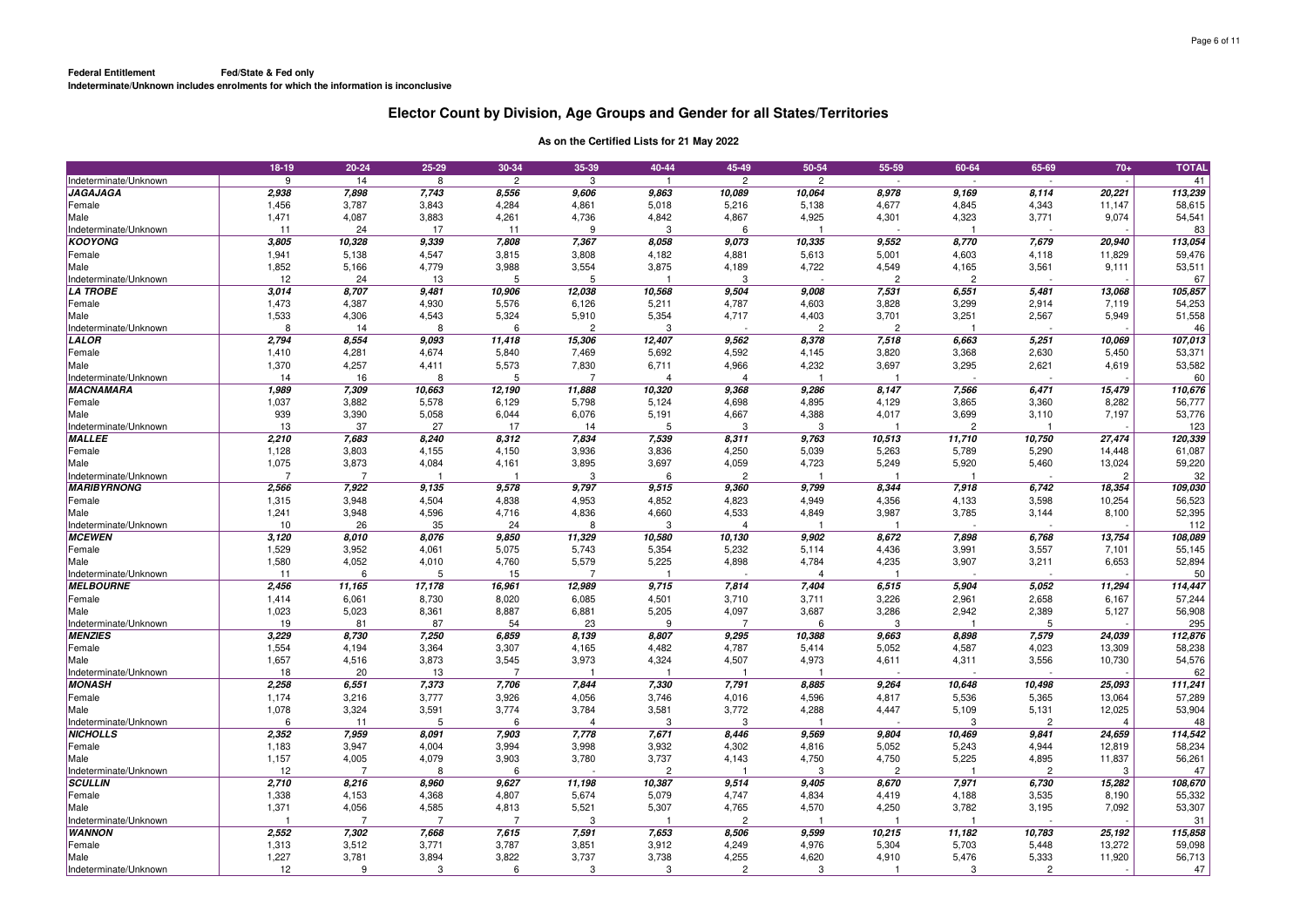|                       | 18-19 | $20 - 24$      | 25-29          | 30-34          | 35-39          | 40-44          | 45-49          | 50-54                   | 55-59                   | 60-64          | 65-69          | $70+$          | <b>TOTAL</b> |
|-----------------------|-------|----------------|----------------|----------------|----------------|----------------|----------------|-------------------------|-------------------------|----------------|----------------|----------------|--------------|
| Indeterminate/Unknown | 9     | 14             | 8              | $\overline{c}$ | 3              | -1             | $\overline{c}$ | $\overline{c}$          |                         | ÷,             |                |                | 41           |
| <b>JAGAJAGA</b>       | 2,938 | 7,898          | 7,743          | 8,556          | 9,606          | 9,863          | 10,089         | 10,064                  | 8,978                   | 9,169          | 8,114          | 20,221         | 113,239      |
| Female                | 1,456 | 3,787          | 3,843          | 4,284          | 4,861          | 5,018          | 5,216          | 5,138                   | 4,677                   | 4,845          | 4,343          | 11,147         | 58,615       |
| Male                  | 1,471 | 4,087          | 3,883          | 4,261          | 4,736          | 4,842          | 4,867          | 4,925                   | 4,301                   | 4,323          | 3,771          | 9,074          | 54,541       |
| Indeterminate/Unknown | 11    | 24             | 17             | 11             | 9              | 3              | 6              | $\overline{\mathbf{1}}$ |                         |                |                |                | 83           |
| <b>KOOYONG</b>        | 3,805 | 10,328         | 9,339          | 7,808          | 7,367          | 8,058          | 9,073          | 10,335                  | 9,552                   | 8,770          | 7,679          | 20,940         | 113,054      |
| Female                | 1,941 | 5,138          | 4,547          | 3,815          | 3,808          | 4,182          | 4,881          | 5,613                   | 5,001                   | 4,603          | 4,118          | 11,829         | 59,476       |
| Male                  | 1,852 | 5,166          | 4,779          | 3,988          | 3,554          | 3,875          | 4,189          | 4,722                   | 4,549                   | 4,165          | 3,561          | 9,111          | 53,511       |
| Indeterminate/Unknown | 12    | 24             | 13             | 5              | 5              |                | 3              |                         | $\overline{c}$          | $\overline{2}$ |                |                | 67           |
| <b>LA TROBE</b>       | 3,014 | 8,707          | 9,481          | 10,906         | 12,038         | 10,568         | 9,504          | 9,008                   | 7,531                   | 6,551          | 5,481          | 13,068         | 105,857      |
| Female                | 1,473 | 4,387          | 4,930          | 5,576          | 6,126          | 5,211          | 4,787          | 4,603                   | 3,828                   | 3,299          | 2,914          | 7,119          | 54,253       |
| Male                  | 1,533 | 4,306          | 4,543          | 5,324          | 5,910          | 5,354          | 4,717          | 4,403                   | 3,701                   | 3,251          | 2,567          | 5,949          | 51,558       |
| Indeterminate/Unknown | 8     | 14             | 8              | 6              | $\overline{2}$ | 3              |                | $\overline{2}$          | $\overline{c}$          |                |                |                | 46           |
| LALOR                 | 2,794 | 8,554          | 9,093          | 11,418         | 15,306         | 12,407         | 9,562          | 8,378                   | 7,518                   | 6,663          | 5,251          | 10,069         | 107,013      |
| Female                | 1,410 | 4,281          | 4,674          | 5,840          | 7,469          | 5,692          | 4,592          | 4,145                   | 3,820                   | 3,368          | 2,630          | 5,450          | 53,371       |
| Male                  | 1,370 | 4,257          | 4,411          | 5,573          | 7,830          | 6,711          | 4,966          | 4,232                   | 3,697                   | 3,295          | 2,621          | 4,619          | 53,582       |
| Indeterminate/Unknown | 14    | 16             | 8              | 5              | $\overline{7}$ | 4              | 4              |                         |                         |                |                |                | 60           |
| <b>MACNAMARA</b>      | 1,989 | 7,309          | 10,663         | 12,190         | 11,888         | 10,320         | 9,368          | 9,286                   | 8,147                   | 7,566          | 6,471          | 15,479         | 110,676      |
| Female                | 1,037 | 3,882          | 5,578          | 6,129          | 5,798          | 5,124          | 4,698          | 4,895                   | 4,129                   | 3,865          | 3,360          | 8,282          | 56,777       |
| Male                  | 939   | 3,390          | 5,058          | 6,044          | 6,076          | 5,191          | 4,667          | 4,388                   | 4,017                   | 3,699          | 3,110          | 7,197          | 53,776       |
| Indeterminate/Unknown | 13    | 37             | 27             | 17             | 14             | 5              | 3              | 3                       | $\overline{\mathbf{1}}$ | $\overline{2}$ |                |                | 123          |
| <b>MALLEE</b>         | 2,210 | 7,683          | 8,240          | 8,312          | 7,834          | 7,539          | 8,311          | 9,763                   | 10,513                  | 11,710         | 10,750         | 27,474         | 120,339      |
| Female                | 1,128 | 3,803          | 4,155          | 4,150          | 3,936          | 3,836          | 4,250          | 5,039                   | 5,263                   | 5,789          | 5,290          | 14,448         | 61,087       |
| Male                  | 1,075 | 3,873          | 4,084          | 4,161          | 3,895          | 3,697          | 4,059          | 4,723                   | 5,249                   | 5,920          | 5,460          | 13,024         | 59,220       |
| Indeterminate/Unknown | 7     | $\overline{7}$ |                |                | 3              | 6              | $\mathcal{P}$  |                         |                         |                |                | $\mathcal{P}$  | 32           |
| <b>MARIBYRNONG</b>    | 2,566 | 7,922          | 9,135          | 9,578          | 9,797          | 9,515          | 9,360          | 9,799                   | 8,344                   | 7,918          | 6,742          | 18,354         | 109,030      |
| Female                | 1,315 | 3,948          | 4,504          | 4,838          | 4,953          | 4,852          | 4,823          | 4,949                   | 4,356                   | 4,133          | 3,598          | 10,254         | 56,523       |
| Male                  | 1,241 | 3,948          | 4,596          | 4,716          | 4,836          | 4,660          | 4,533          | 4,849                   | 3,987                   | 3,785          | 3,144          | 8,100          | 52,395       |
| Indeterminate/Unknown | 10    | 26             | 35             | 24             | 8              | 3              | $\Delta$       |                         |                         |                |                |                | 112          |
| <b>MCEWEN</b>         | 3,120 | 8,010          | 8,076          | 9,850          | 11,329         | 10,580         | 10,130         | 9,902                   | 8,672                   | 7,898          | 6,768          | 13,754         | 108,089      |
| Female                | 1,529 | 3,952          | 4,061          | 5,075          | 5,743          | 5,354          | 5,232          | 5,114                   | 4,436                   | 3,991          | 3,557          | 7,101          | 55,145       |
| Male                  | 1,580 | 4,052          | 4,010          | 4,760          | 5,579          | 5,225          | 4,898          | 4,784                   | 4,235                   | 3,907          | 3,211          | 6,653          | 52,894       |
| Indeterminate/Unknown | 11    | 6              | 5              | 15             | $\overline{7}$ |                |                | $\overline{4}$          |                         |                |                |                | 50           |
| <b>MELBOURNE</b>      | 2,456 | 11,165         | 17,178         | 16,961         | 12,989         | 9,715          | 7,814          | 7,404                   | 6,515                   | 5,904          | 5,052          | 11,294         | 114,447      |
| Female                | 1,414 | 6,061          | 8,730          | 8,020          | 6,085          | 4,501          | 3,710          | 3,711                   | 3,226                   | 2,961          | 2,658          | 6,167          | 57,244       |
| Male                  | 1,023 | 5,023          | 8,361          | 8,887          | 6,881          | 5,205          | 4,097          | 3,687                   | 3,286                   | 2,942          | 2,389          | 5,127          | 56,908       |
| Indeterminate/Unknown | 19    | 81             | 87             | 54             | 23             | 9              | $\overline{7}$ | 6                       | 3                       | -1             | 5              |                | 295          |
| <b>MENZIES</b>        | 3,229 | 8,730          | 7,250          | 6,859          | 8,139          | 8,807          | 9,295          | 10,388                  | 9,663                   | 8,898          | 7,579          | 24,039         | 112,876      |
| Female                | 1,554 | 4,194          | 3,364          | 3,307          | 4,165          | 4,482          | 4,787          | 5,414                   | 5,052                   | 4,587          | 4,023          | 13,309         | 58,238       |
| Male                  | 1,657 | 4,516          | 3,873          | 3,545          | 3,973          | 4,324          | 4,507          | 4,973                   | 4,611                   | 4,311          | 3,556          | 10,730         | 54,576       |
| Indeterminate/Unknown | 18    | 20             | 13             | 7              |                |                |                |                         |                         |                |                |                | 62           |
| <b>MONASH</b>         | 2,258 | 6,551          | 7,373          | 7,706          | 7,844          | 7,330          | 7,791          | 8,885                   | 9,264                   | 10,648         | 10,498         | 25,093         | 111,241      |
| Female                | 1,174 | 3,216          | 3,777          | 3,926          | 4,056          | 3,746          | 4,016          | 4,596                   | 4,817                   | 5,536          | 5,365          | 13,064         | 57,289       |
| Male                  | 1,078 | 3,324          | 3,591          | 3,774          | 3,784          | 3,581          | 3,772          | 4,288                   | 4,447                   | 5,109          | 5,131          | 12,025         | 53,904       |
| Indeterminate/Unknown | 6     | 11             | 5              | 6              | $\overline{4}$ | 3              | 3              | -1                      |                         | 3              | $\overline{2}$ | $\overline{4}$ | 48           |
| <b>NICHOLLS</b>       | 2,352 | 7,959          | 8,091          | 7,903          | 7,778          | 7,671          | 8,446          | 9,569                   | 9,804                   | 10,469         | 9,841          | 24,659         | 114,542      |
| Female                | 1,183 | 3,947          | 4,004          | 3,994          | 3,998          | 3,932          | 4,302          | 4,816                   | 5,052                   | 5,243          | 4,944          | 12,819         | 58,234       |
| Male                  | 1,157 | 4,005          | 4,079          | 3,903          | 3,780          | 3,737          | 4,143          | 4,750                   | 4,750                   | 5,225          | 4,895          | 11,837         | 56,261       |
| Indeterminate/Unknown | 12    | $\overline{7}$ | 8              | 6              |                | $\overline{c}$ |                | 3                       | $\overline{c}$          |                | $\overline{c}$ | 3              | 47           |
| <b>SCULLIN</b>        | 2,710 | 8,216          | 8,960          | 9,627          | 11,198         | 10,387         | 9,514          | 9,405                   | 8,670                   | 7,971          | 6,730          | 15,282         | 108,670      |
| Female                | 1,338 | 4,153          | 4,368          | 4,807          | 5,674          | 5,079          | 4,747          | 4,834                   | 4,419                   | 4,188          | 3,535          | 8,190          | 55,332       |
| Male                  | 1,371 | 4,056          | 4,585          | 4,813          | 5,521          | 5,307          | 4,765          | 4,570                   | 4,250                   | 3,782          | 3,195          | 7,092          | 53,307       |
| Indeterminate/Unknown |       | $\overline{7}$ | $\overline{7}$ | $\overline{7}$ | 3              |                | $\overline{2}$ |                         |                         |                |                |                | 31           |
| <b>WANNON</b>         | 2,552 | 7,302          | 7,668          | 7,615          | 7,591          | 7,653          | 8,506          | 9,599                   | 10,215                  | 11,182         | 10,783         | 25,192         | 115,858      |
| Female                | 1,313 | 3,512          | 3,771          | 3,787          | 3,851          | 3,912          | 4,249          | 4,976                   | 5,304                   | 5,703          | 5,448          | 13,272         | 59,098       |
| Male                  | 1,227 | 3,781          | 3,894          | 3,822          | 3,737          | 3,738          | 4,255          | 4,620                   | 4,910                   | 5,476          | 5,333          | 11,920         | 56,713       |
| Indeterminate/Unknown | 12    | 9              | 3              | 6              | 3              | 3              | $\overline{2}$ | 3                       | $\overline{\mathbf{1}}$ | 3              | $\overline{c}$ |                | 47           |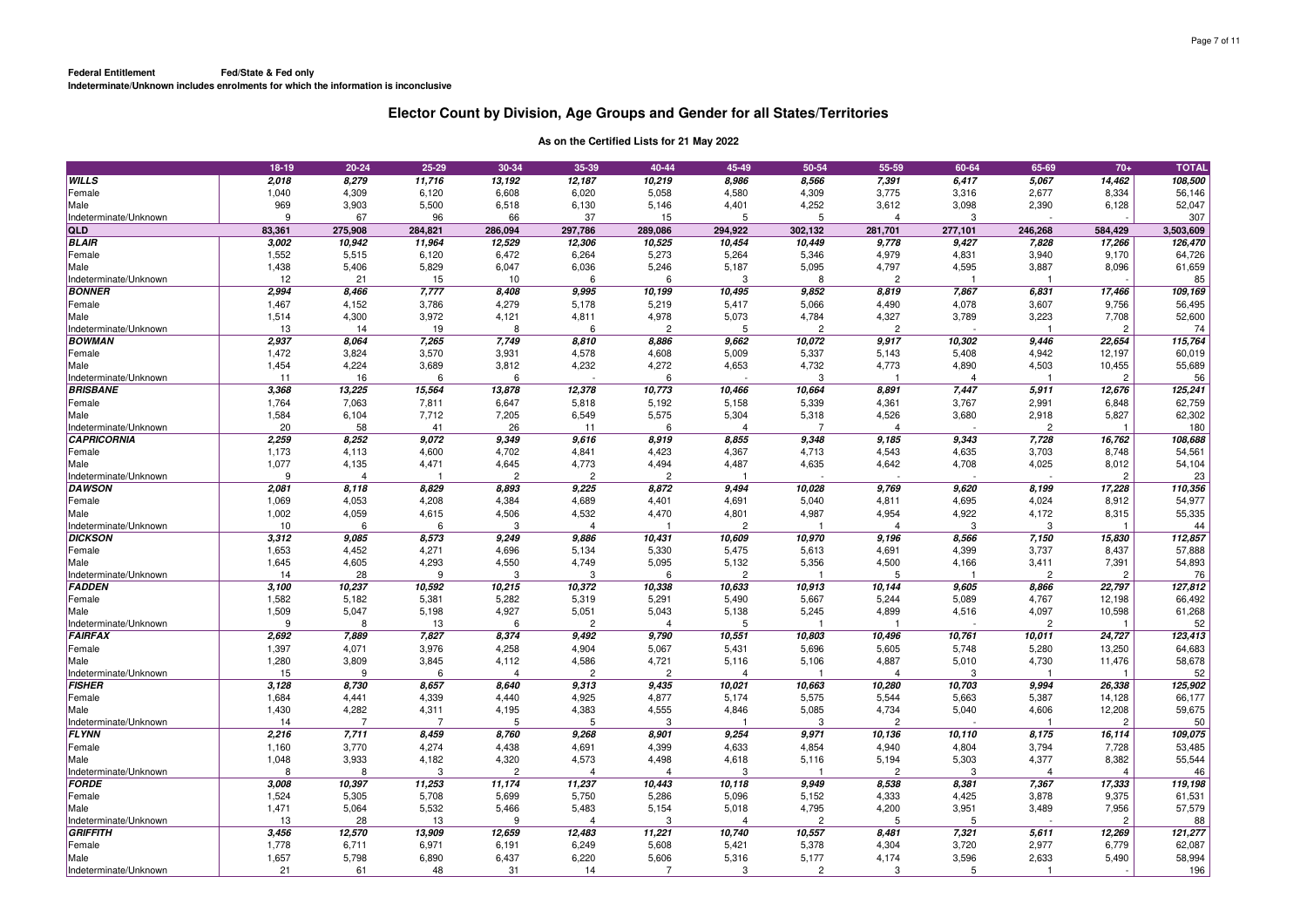| 108,500<br>WILLS<br>2,018<br>8,279<br>11,716<br>13,192<br>12,187<br>10,219<br>8,986<br>8,566<br>7,391<br>6,417<br>5,067<br>14,462<br>1,040<br>4,309<br>4,580<br>4,309<br>3,775<br>2,677<br>8,334<br>56,146<br>6,120<br>6,608<br>6,020<br>5,058<br>3,316<br>Female<br>Male<br>969<br>3,903<br>5,500<br>4,252<br>6,128<br>52,047<br>6,518<br>6,130<br>5,146<br>4,401<br>3,612<br>3,098<br>2,390<br>307<br>67<br>96<br>66<br>37<br>Indeterminate/Unknown<br>9<br>15<br>5<br>5<br>$\overline{4}$<br>3<br><b>QLD</b><br>83,361<br>284,821<br>246,268<br>3,503,609<br>275,908<br>286,094<br>297,786<br>289,086<br>294,922<br>302,132<br>281,701<br>277,101<br>584,429<br><b>BLAIR</b><br>3,002<br>10,942<br>11,964<br>12,529<br>12,306<br>10,525<br>10,454<br>10,449<br>9,778<br>9,427<br>7,828<br>17,266<br>126,470<br>1,552<br>64,726<br>Female<br>5,515<br>6,120<br>6,472<br>6,264<br>5,273<br>5,264<br>5,346<br>4,979<br>4,831<br>3,940<br>9,170<br>61,659<br>1,438<br>6,036<br>5,187<br>5,095<br>4,797<br>4,595<br>3,887<br>Male<br>5,406<br>5,829<br>6,047<br>5,246<br>8,096<br>85<br>Indeterminate/Unknown<br>12<br>21<br>15<br>10<br>Э<br>8<br>$\mathcal{P}$<br>ĥ<br>6<br>2,994<br>8,408<br>9,995<br><b>BONNER</b><br>8,466<br>7,777<br>10,199<br>10,495<br>9,852<br>8,819<br>7,867<br>6,831<br>17,466<br>109,169<br>1,467<br>4,152<br>3,786<br>56,495<br>4,279<br>5,178<br>5,219<br>5,417<br>5,066<br>4,490<br>4,078<br>3,607<br>9,756<br>Female<br>52,600<br>Male<br>1,514<br>4,300<br>3,972<br>4,121<br>4,811<br>4,978<br>5,073<br>4,784<br>4,327<br>3,789<br>3,223<br>7,708<br>$\overline{c}$<br>$\overline{c}$<br>$\overline{2}$<br>74<br>Indeterminate/Unknown<br>13<br>14<br>19<br>8<br>6<br>5<br>2<br><b>BOWMAN</b><br>2,937<br>7,265<br>115,764<br>8,064<br>7,749<br>8,810<br>8,886<br>9,662<br>10,072<br>9,917<br>10,302<br>9,446<br>22,654<br>1,472<br>3,824<br>60,019<br>3,570<br>3,931<br>4,578<br>4,608<br>5,009<br>5,337<br>5,143<br>5,408<br>4,942<br>12,197<br>Female<br>55,689<br>Male<br>1,454<br>4,224<br>3,689<br>4,232<br>4,272<br>4,653<br>4,732<br>4,773<br>4,503<br>10,455<br>3,812<br>4,890<br>56<br>Indeterminate/Unknown<br>11<br>16<br>6<br>3<br>6<br>6<br>$\overline{4}$<br>$\overline{2}$<br>3,368<br>125,241<br><b>BRISBANE</b><br>13,225<br>15,564<br>13,878<br>12,378<br>10,773<br>10,466<br>10,664<br>8,891<br>7,447<br>5,911<br>12,676<br>1,764<br>7,063<br>6,647<br>5,192<br>5,339<br>4,361<br>3,767<br>2,991<br>62,759<br>Female<br>7,811<br>5,818<br>5,158<br>6,848<br>1,584<br>4,526<br>5,827<br>62,302<br>Male<br>6,104<br>7,712<br>7,205<br>6,549<br>5,575<br>5,304<br>5,318<br>3,680<br>2,918<br>20<br>58<br>26<br>180<br>Indeterminate/Unknown<br>41<br>11<br>6<br>$\overline{7}$<br>$\overline{2}$<br>$\overline{4}$<br>$\overline{4}$<br><b>CAPRICORNIA</b><br>2,259<br>8,252<br>9,072<br>9,349<br>9,616<br>8,855<br>9,185<br>9,343<br>7,728<br>108,688<br>8,919<br>9,348<br>16,762<br>1,173<br>4,600<br>4,367<br>4,543<br>3,703<br>54,561<br>Female<br>4,113<br>4,702<br>4,841<br>4,423<br>4,713<br>4,635<br>8,748<br>Male<br>1,077<br>4,135<br>4,471<br>4,645<br>4,773<br>4,494<br>4,487<br>4,635<br>4,642<br>4,708<br>4,025<br>8,012<br>54,104<br>9<br>23<br>Indeterminate/Unknown<br>$\overline{4}$<br>$\overline{2}$<br>$\overline{c}$<br>$\overline{2}$<br>2,081<br>8,118<br>8,829<br>10,028<br>9,769<br>9,620<br>8,199<br>17,228<br>110,356<br><b>DAWSON</b><br>8,893<br>9,225<br>8,872<br>9,494<br>54,977<br>1,069<br>4,053<br>4,208<br>4,384<br>4,689<br>4,691<br>4,695<br>4,024<br>8.912<br>Female<br>4.401<br>5.040<br>4,811<br>55,335<br>Male<br>1,002<br>4,059<br>4,615<br>4,506<br>4,532<br>4,470<br>4,801<br>4,987<br>4,954<br>4,922<br>4,172<br>8,315<br>10<br>44<br>Indeterminate/Unknown<br>$\mathsf{G}$<br>$\epsilon$<br>3<br>$\mathcal{P}$<br>$\overline{4}$<br>-3<br>3<br>$\Delta$<br>$\overline{1}$<br>3,312<br>112,857<br><b>DICKSON</b><br>8,573<br>9,886<br>10,431<br>10,609<br>10,970<br>9,196<br>8,566<br>7,150<br>15,830<br>9,085<br>9,249<br>1,653<br>4,452<br>4,271<br>4,696<br>5,134<br>5,330<br>5,475<br>4,691<br>3,737<br>8,437<br>57,888<br>Female<br>5,613<br>4,399<br>54,893<br>1,645<br>4,605<br>4,293<br>4,550<br>4,749<br>5,095<br>5,132<br>5,356<br>4,500<br>Male<br>4,166<br>3,411<br>7,391<br>76<br>Indeterminate/Unknown<br>14<br>28<br>9<br>3<br>3<br>6<br>$\overline{2}$<br>5<br>$\overline{c}$<br>$\overline{2}$<br>FADDEN<br>3,100<br>10,237<br>10,592<br>10,215<br>10,372<br>10,338<br>10,633<br>10,913<br>10,144<br>9,605<br>8,866<br>22,797<br>127,812<br>1,582<br>66,492<br>5,182<br>5,381<br>5,282<br>5,319<br>5,291<br>5,490<br>5,667<br>5,244<br>5,089<br>4,767<br>12,198<br>Female<br>61,268<br>Male<br>1,509<br>5,047<br>5,198<br>4,927<br>5,051<br>5,043<br>5,138<br>5,245<br>4,899<br>4,516<br>4,097<br>10,598<br>52<br>Indeterminate/Unknown<br>9<br>13<br>$\overline{c}$<br>5<br>$\overline{c}$<br>8<br>6<br>$\overline{4}$<br><b>FAIRFAX</b><br>2,692<br>7,889<br>7,827<br>8,374<br>9,492<br>9,790<br>10,551<br>10,803<br>10,496<br>10,761<br>10,011<br>24,727<br>123,413<br>3,976<br>64,683<br>Female<br>1,397<br>4,071<br>4,258<br>4,904<br>5,067<br>5,431<br>5,696<br>5,605<br>5,748<br>5,280<br>13,250<br>58,678<br>Male<br>1,280<br>3,809<br>3,845<br>4,112<br>4,586<br>4,721<br>5,106<br>4,887<br>5,010<br>4,730<br>11,476<br>5,116<br>52<br>Indeterminate/Unknown<br>15<br>9<br>$\overline{2}$<br>$\overline{c}$<br>6<br>$\overline{4}$<br>4<br>3<br>4<br>-1<br><b>FISHER</b><br>3,128<br>125,902<br>8,730<br>8,657<br>8,640<br>9,313<br>9,435<br>10,021<br>10,663<br>10,280<br>10,703<br>9,994<br>26,338<br>66,177<br>Female<br>1,684<br>4,441<br>4,339<br>4,440<br>4,925<br>4,877<br>5,174<br>5,575<br>5,544<br>5,663<br>5,387<br>14,128<br>Male<br>1,430<br>4,282<br>4,311<br>4,195<br>4,383<br>4,555<br>4,846<br>5,085<br>4,734<br>5,040<br>4,606<br>12,208<br>59,675<br>50<br>Indeterminate/Unknown<br>14<br>$\overline{7}$<br>7<br>5<br>5<br>3<br>-3<br>$\overline{2}$<br>$\overline{2}$<br><b>FLYNN</b><br>109,075<br>2,216<br>7,711<br>8,459<br>8,760<br>9,268<br>8,901<br>9,254<br>9,971<br>10,136<br>10,110<br>8,175<br>16,114<br>1,160<br>3,770<br>4,274<br>4,438<br>4,399<br>4,633<br>4,854<br>3,794<br>53,485<br>Female<br>4,691<br>4,940<br>4,804<br>7,728<br>3,933<br>55,544<br>Male<br>1,048<br>4,182<br>4,320<br>4,573<br>4,498<br>4,618<br>5,194<br>5,303<br>4,377<br>8,382<br>5,116<br>$\overline{2}$<br>46<br>8<br>8<br>3<br>$\overline{2}$<br>3<br>Indeterminate/Unknown<br>$\overline{4}$<br>$\overline{4}$<br>-3<br>$\overline{4}$<br>$\overline{4}$<br><b>FORDE</b><br>119,198<br>3,008<br>10,397<br>11,253<br>11,174<br>11,237<br>10,443<br>10,118<br>9,949<br>8,538<br>8,381<br>7,367<br>17,333<br>1,524<br>5,708<br>5,750<br>5,286<br>5,096<br>4,333<br>3,878<br>9,375<br>61,531<br>Female<br>5,305<br>5,699<br>5,152<br>4,425<br>Male<br>1,471<br>5,064<br>5,532<br>5,466<br>5,483<br>5,154<br>5,018<br>4,795<br>4,200<br>3,951<br>3,489<br>7,956<br>57,579<br>13<br>28<br>3<br>$\overline{2}$<br>88<br>Indeterminate/Unknown<br>13<br>9<br>5<br>5<br>$\overline{2}$<br>$\Delta$<br>$\Delta$<br><b>GRIFFITH</b><br>3,456<br>12,570<br>13,909<br>12,659<br>12,483<br>11,221<br>10,740<br>10,557<br>8,481<br>7,321<br>5,611<br>12,269<br>121,277<br>1,778<br>6,971<br>62,087<br>Female<br>6.711<br>6,191<br>6,249<br>5,608<br>5,421<br>5,378<br>4,304<br>3,720<br>2,977<br>6.779<br>58,994<br>Male<br>1,657<br>5,798<br>6,890<br>6,437<br>6,220<br>5,606<br>5,316<br>5,177<br>4,174<br>3,596<br>2,633<br>5,490<br>$\overline{2}$<br>3<br>5 |                       | 18-19 | $20 - 24$ | 25-29 | 30-34 | 35-39 | 40-44          | 45-49 | 50-54 | 55-59 | 60-64 | 65-69 | $70+$ | <b>TOTAL</b> |
|------------------------------------------------------------------------------------------------------------------------------------------------------------------------------------------------------------------------------------------------------------------------------------------------------------------------------------------------------------------------------------------------------------------------------------------------------------------------------------------------------------------------------------------------------------------------------------------------------------------------------------------------------------------------------------------------------------------------------------------------------------------------------------------------------------------------------------------------------------------------------------------------------------------------------------------------------------------------------------------------------------------------------------------------------------------------------------------------------------------------------------------------------------------------------------------------------------------------------------------------------------------------------------------------------------------------------------------------------------------------------------------------------------------------------------------------------------------------------------------------------------------------------------------------------------------------------------------------------------------------------------------------------------------------------------------------------------------------------------------------------------------------------------------------------------------------------------------------------------------------------------------------------------------------------------------------------------------------------------------------------------------------------------------------------------------------------------------------------------------------------------------------------------------------------------------------------------------------------------------------------------------------------------------------------------------------------------------------------------------------------------------------------------------------------------------------------------------------------------------------------------------------------------------------------------------------------------------------------------------------------------------------------------------------------------------------------------------------------------------------------------------------------------------------------------------------------------------------------------------------------------------------------------------------------------------------------------------------------------------------------------------------------------------------------------------------------------------------------------------------------------------------------------------------------------------------------------------------------------------------------------------------------------------------------------------------------------------------------------------------------------------------------------------------------------------------------------------------------------------------------------------------------------------------------------------------------------------------------------------------------------------------------------------------------------------------------------------------------------------------------------------------------------------------------------------------------------------------------------------------------------------------------------------------------------------------------------------------------------------------------------------------------------------------------------------------------------------------------------------------------------------------------------------------------------------------------------------------------------------------------------------------------------------------------------------------------------------------------------------------------------------------------------------------------------------------------------------------------------------------------------------------------------------------------------------------------------------------------------------------------------------------------------------------------------------------------------------------------------------------------------------------------------------------------------------------------------------------------------------------------------------------------------------------------------------------------------------------------------------------------------------------------------------------------------------------------------------------------------------------------------------------------------------------------------------------------------------------------------------------------------------------------------------------------------------------------------------------------------------------------------------------------------------------------------------------------------------------------------------------------------------------------------------------------------------------------------------------------------------------------------------------------------------------------------------------------------------------------------------------------------------------------------------------------------------------------------------------------------------------------------------------------------------------------------------------------------------------------------------------------------------------------------------------------------------------------------------------------------------------------------------------------------------------------------------------------------------------------------------------------------------------------------------------------------------------------------------------------------------------------------------------------------------------------------------------------------------------------------------------------------------------------------------------------------------------------------------------------------------------------------------------------------------------------------------------------------------------------------------------------------------------------------------------------------------------------------------------------------------------------------------------------------------------------------------------------------------------------------------------------------------------------------------------------------------------------------------------------------------------------------------------------------------------------------------------------------------------------------------------------------------------------------------------------------------------------------------------------------------------------------------------------------------------------------------------------------------------------------------------------------------------------------------------------------------------------------------|-----------------------|-------|-----------|-------|-------|-------|----------------|-------|-------|-------|-------|-------|-------|--------------|
|                                                                                                                                                                                                                                                                                                                                                                                                                                                                                                                                                                                                                                                                                                                                                                                                                                                                                                                                                                                                                                                                                                                                                                                                                                                                                                                                                                                                                                                                                                                                                                                                                                                                                                                                                                                                                                                                                                                                                                                                                                                                                                                                                                                                                                                                                                                                                                                                                                                                                                                                                                                                                                                                                                                                                                                                                                                                                                                                                                                                                                                                                                                                                                                                                                                                                                                                                                                                                                                                                                                                                                                                                                                                                                                                                                                                                                                                                                                                                                                                                                                                                                                                                                                                                                                                                                                                                                                                                                                                                                                                                                                                                                                                                                                                                                                                                                                                                                                                                                                                                                                                                                                                                                                                                                                                                                                                                                                                                                                                                                                                                                                                                                                                                                                                                                                                                                                                                                                                                                                                                                                                                                                                                                                                                                                                                                                                                                                                                                                                                                                                                                                                                                                                                                                                                                                                                                                                                                                                                                                                                                                                                                                                                                                                                                                                                                                                                                                                                                                                                                                                                                                          |                       |       |           |       |       |       |                |       |       |       |       |       |       |              |
|                                                                                                                                                                                                                                                                                                                                                                                                                                                                                                                                                                                                                                                                                                                                                                                                                                                                                                                                                                                                                                                                                                                                                                                                                                                                                                                                                                                                                                                                                                                                                                                                                                                                                                                                                                                                                                                                                                                                                                                                                                                                                                                                                                                                                                                                                                                                                                                                                                                                                                                                                                                                                                                                                                                                                                                                                                                                                                                                                                                                                                                                                                                                                                                                                                                                                                                                                                                                                                                                                                                                                                                                                                                                                                                                                                                                                                                                                                                                                                                                                                                                                                                                                                                                                                                                                                                                                                                                                                                                                                                                                                                                                                                                                                                                                                                                                                                                                                                                                                                                                                                                                                                                                                                                                                                                                                                                                                                                                                                                                                                                                                                                                                                                                                                                                                                                                                                                                                                                                                                                                                                                                                                                                                                                                                                                                                                                                                                                                                                                                                                                                                                                                                                                                                                                                                                                                                                                                                                                                                                                                                                                                                                                                                                                                                                                                                                                                                                                                                                                                                                                                                                          |                       |       |           |       |       |       |                |       |       |       |       |       |       |              |
|                                                                                                                                                                                                                                                                                                                                                                                                                                                                                                                                                                                                                                                                                                                                                                                                                                                                                                                                                                                                                                                                                                                                                                                                                                                                                                                                                                                                                                                                                                                                                                                                                                                                                                                                                                                                                                                                                                                                                                                                                                                                                                                                                                                                                                                                                                                                                                                                                                                                                                                                                                                                                                                                                                                                                                                                                                                                                                                                                                                                                                                                                                                                                                                                                                                                                                                                                                                                                                                                                                                                                                                                                                                                                                                                                                                                                                                                                                                                                                                                                                                                                                                                                                                                                                                                                                                                                                                                                                                                                                                                                                                                                                                                                                                                                                                                                                                                                                                                                                                                                                                                                                                                                                                                                                                                                                                                                                                                                                                                                                                                                                                                                                                                                                                                                                                                                                                                                                                                                                                                                                                                                                                                                                                                                                                                                                                                                                                                                                                                                                                                                                                                                                                                                                                                                                                                                                                                                                                                                                                                                                                                                                                                                                                                                                                                                                                                                                                                                                                                                                                                                                                          |                       |       |           |       |       |       |                |       |       |       |       |       |       |              |
|                                                                                                                                                                                                                                                                                                                                                                                                                                                                                                                                                                                                                                                                                                                                                                                                                                                                                                                                                                                                                                                                                                                                                                                                                                                                                                                                                                                                                                                                                                                                                                                                                                                                                                                                                                                                                                                                                                                                                                                                                                                                                                                                                                                                                                                                                                                                                                                                                                                                                                                                                                                                                                                                                                                                                                                                                                                                                                                                                                                                                                                                                                                                                                                                                                                                                                                                                                                                                                                                                                                                                                                                                                                                                                                                                                                                                                                                                                                                                                                                                                                                                                                                                                                                                                                                                                                                                                                                                                                                                                                                                                                                                                                                                                                                                                                                                                                                                                                                                                                                                                                                                                                                                                                                                                                                                                                                                                                                                                                                                                                                                                                                                                                                                                                                                                                                                                                                                                                                                                                                                                                                                                                                                                                                                                                                                                                                                                                                                                                                                                                                                                                                                                                                                                                                                                                                                                                                                                                                                                                                                                                                                                                                                                                                                                                                                                                                                                                                                                                                                                                                                                                          |                       |       |           |       |       |       |                |       |       |       |       |       |       |              |
|                                                                                                                                                                                                                                                                                                                                                                                                                                                                                                                                                                                                                                                                                                                                                                                                                                                                                                                                                                                                                                                                                                                                                                                                                                                                                                                                                                                                                                                                                                                                                                                                                                                                                                                                                                                                                                                                                                                                                                                                                                                                                                                                                                                                                                                                                                                                                                                                                                                                                                                                                                                                                                                                                                                                                                                                                                                                                                                                                                                                                                                                                                                                                                                                                                                                                                                                                                                                                                                                                                                                                                                                                                                                                                                                                                                                                                                                                                                                                                                                                                                                                                                                                                                                                                                                                                                                                                                                                                                                                                                                                                                                                                                                                                                                                                                                                                                                                                                                                                                                                                                                                                                                                                                                                                                                                                                                                                                                                                                                                                                                                                                                                                                                                                                                                                                                                                                                                                                                                                                                                                                                                                                                                                                                                                                                                                                                                                                                                                                                                                                                                                                                                                                                                                                                                                                                                                                                                                                                                                                                                                                                                                                                                                                                                                                                                                                                                                                                                                                                                                                                                                                          |                       |       |           |       |       |       |                |       |       |       |       |       |       |              |
|                                                                                                                                                                                                                                                                                                                                                                                                                                                                                                                                                                                                                                                                                                                                                                                                                                                                                                                                                                                                                                                                                                                                                                                                                                                                                                                                                                                                                                                                                                                                                                                                                                                                                                                                                                                                                                                                                                                                                                                                                                                                                                                                                                                                                                                                                                                                                                                                                                                                                                                                                                                                                                                                                                                                                                                                                                                                                                                                                                                                                                                                                                                                                                                                                                                                                                                                                                                                                                                                                                                                                                                                                                                                                                                                                                                                                                                                                                                                                                                                                                                                                                                                                                                                                                                                                                                                                                                                                                                                                                                                                                                                                                                                                                                                                                                                                                                                                                                                                                                                                                                                                                                                                                                                                                                                                                                                                                                                                                                                                                                                                                                                                                                                                                                                                                                                                                                                                                                                                                                                                                                                                                                                                                                                                                                                                                                                                                                                                                                                                                                                                                                                                                                                                                                                                                                                                                                                                                                                                                                                                                                                                                                                                                                                                                                                                                                                                                                                                                                                                                                                                                                          |                       |       |           |       |       |       |                |       |       |       |       |       |       |              |
|                                                                                                                                                                                                                                                                                                                                                                                                                                                                                                                                                                                                                                                                                                                                                                                                                                                                                                                                                                                                                                                                                                                                                                                                                                                                                                                                                                                                                                                                                                                                                                                                                                                                                                                                                                                                                                                                                                                                                                                                                                                                                                                                                                                                                                                                                                                                                                                                                                                                                                                                                                                                                                                                                                                                                                                                                                                                                                                                                                                                                                                                                                                                                                                                                                                                                                                                                                                                                                                                                                                                                                                                                                                                                                                                                                                                                                                                                                                                                                                                                                                                                                                                                                                                                                                                                                                                                                                                                                                                                                                                                                                                                                                                                                                                                                                                                                                                                                                                                                                                                                                                                                                                                                                                                                                                                                                                                                                                                                                                                                                                                                                                                                                                                                                                                                                                                                                                                                                                                                                                                                                                                                                                                                                                                                                                                                                                                                                                                                                                                                                                                                                                                                                                                                                                                                                                                                                                                                                                                                                                                                                                                                                                                                                                                                                                                                                                                                                                                                                                                                                                                                                          |                       |       |           |       |       |       |                |       |       |       |       |       |       |              |
|                                                                                                                                                                                                                                                                                                                                                                                                                                                                                                                                                                                                                                                                                                                                                                                                                                                                                                                                                                                                                                                                                                                                                                                                                                                                                                                                                                                                                                                                                                                                                                                                                                                                                                                                                                                                                                                                                                                                                                                                                                                                                                                                                                                                                                                                                                                                                                                                                                                                                                                                                                                                                                                                                                                                                                                                                                                                                                                                                                                                                                                                                                                                                                                                                                                                                                                                                                                                                                                                                                                                                                                                                                                                                                                                                                                                                                                                                                                                                                                                                                                                                                                                                                                                                                                                                                                                                                                                                                                                                                                                                                                                                                                                                                                                                                                                                                                                                                                                                                                                                                                                                                                                                                                                                                                                                                                                                                                                                                                                                                                                                                                                                                                                                                                                                                                                                                                                                                                                                                                                                                                                                                                                                                                                                                                                                                                                                                                                                                                                                                                                                                                                                                                                                                                                                                                                                                                                                                                                                                                                                                                                                                                                                                                                                                                                                                                                                                                                                                                                                                                                                                                          |                       |       |           |       |       |       |                |       |       |       |       |       |       |              |
|                                                                                                                                                                                                                                                                                                                                                                                                                                                                                                                                                                                                                                                                                                                                                                                                                                                                                                                                                                                                                                                                                                                                                                                                                                                                                                                                                                                                                                                                                                                                                                                                                                                                                                                                                                                                                                                                                                                                                                                                                                                                                                                                                                                                                                                                                                                                                                                                                                                                                                                                                                                                                                                                                                                                                                                                                                                                                                                                                                                                                                                                                                                                                                                                                                                                                                                                                                                                                                                                                                                                                                                                                                                                                                                                                                                                                                                                                                                                                                                                                                                                                                                                                                                                                                                                                                                                                                                                                                                                                                                                                                                                                                                                                                                                                                                                                                                                                                                                                                                                                                                                                                                                                                                                                                                                                                                                                                                                                                                                                                                                                                                                                                                                                                                                                                                                                                                                                                                                                                                                                                                                                                                                                                                                                                                                                                                                                                                                                                                                                                                                                                                                                                                                                                                                                                                                                                                                                                                                                                                                                                                                                                                                                                                                                                                                                                                                                                                                                                                                                                                                                                                          |                       |       |           |       |       |       |                |       |       |       |       |       |       |              |
|                                                                                                                                                                                                                                                                                                                                                                                                                                                                                                                                                                                                                                                                                                                                                                                                                                                                                                                                                                                                                                                                                                                                                                                                                                                                                                                                                                                                                                                                                                                                                                                                                                                                                                                                                                                                                                                                                                                                                                                                                                                                                                                                                                                                                                                                                                                                                                                                                                                                                                                                                                                                                                                                                                                                                                                                                                                                                                                                                                                                                                                                                                                                                                                                                                                                                                                                                                                                                                                                                                                                                                                                                                                                                                                                                                                                                                                                                                                                                                                                                                                                                                                                                                                                                                                                                                                                                                                                                                                                                                                                                                                                                                                                                                                                                                                                                                                                                                                                                                                                                                                                                                                                                                                                                                                                                                                                                                                                                                                                                                                                                                                                                                                                                                                                                                                                                                                                                                                                                                                                                                                                                                                                                                                                                                                                                                                                                                                                                                                                                                                                                                                                                                                                                                                                                                                                                                                                                                                                                                                                                                                                                                                                                                                                                                                                                                                                                                                                                                                                                                                                                                                          |                       |       |           |       |       |       |                |       |       |       |       |       |       |              |
|                                                                                                                                                                                                                                                                                                                                                                                                                                                                                                                                                                                                                                                                                                                                                                                                                                                                                                                                                                                                                                                                                                                                                                                                                                                                                                                                                                                                                                                                                                                                                                                                                                                                                                                                                                                                                                                                                                                                                                                                                                                                                                                                                                                                                                                                                                                                                                                                                                                                                                                                                                                                                                                                                                                                                                                                                                                                                                                                                                                                                                                                                                                                                                                                                                                                                                                                                                                                                                                                                                                                                                                                                                                                                                                                                                                                                                                                                                                                                                                                                                                                                                                                                                                                                                                                                                                                                                                                                                                                                                                                                                                                                                                                                                                                                                                                                                                                                                                                                                                                                                                                                                                                                                                                                                                                                                                                                                                                                                                                                                                                                                                                                                                                                                                                                                                                                                                                                                                                                                                                                                                                                                                                                                                                                                                                                                                                                                                                                                                                                                                                                                                                                                                                                                                                                                                                                                                                                                                                                                                                                                                                                                                                                                                                                                                                                                                                                                                                                                                                                                                                                                                          |                       |       |           |       |       |       |                |       |       |       |       |       |       |              |
|                                                                                                                                                                                                                                                                                                                                                                                                                                                                                                                                                                                                                                                                                                                                                                                                                                                                                                                                                                                                                                                                                                                                                                                                                                                                                                                                                                                                                                                                                                                                                                                                                                                                                                                                                                                                                                                                                                                                                                                                                                                                                                                                                                                                                                                                                                                                                                                                                                                                                                                                                                                                                                                                                                                                                                                                                                                                                                                                                                                                                                                                                                                                                                                                                                                                                                                                                                                                                                                                                                                                                                                                                                                                                                                                                                                                                                                                                                                                                                                                                                                                                                                                                                                                                                                                                                                                                                                                                                                                                                                                                                                                                                                                                                                                                                                                                                                                                                                                                                                                                                                                                                                                                                                                                                                                                                                                                                                                                                                                                                                                                                                                                                                                                                                                                                                                                                                                                                                                                                                                                                                                                                                                                                                                                                                                                                                                                                                                                                                                                                                                                                                                                                                                                                                                                                                                                                                                                                                                                                                                                                                                                                                                                                                                                                                                                                                                                                                                                                                                                                                                                                                          |                       |       |           |       |       |       |                |       |       |       |       |       |       |              |
|                                                                                                                                                                                                                                                                                                                                                                                                                                                                                                                                                                                                                                                                                                                                                                                                                                                                                                                                                                                                                                                                                                                                                                                                                                                                                                                                                                                                                                                                                                                                                                                                                                                                                                                                                                                                                                                                                                                                                                                                                                                                                                                                                                                                                                                                                                                                                                                                                                                                                                                                                                                                                                                                                                                                                                                                                                                                                                                                                                                                                                                                                                                                                                                                                                                                                                                                                                                                                                                                                                                                                                                                                                                                                                                                                                                                                                                                                                                                                                                                                                                                                                                                                                                                                                                                                                                                                                                                                                                                                                                                                                                                                                                                                                                                                                                                                                                                                                                                                                                                                                                                                                                                                                                                                                                                                                                                                                                                                                                                                                                                                                                                                                                                                                                                                                                                                                                                                                                                                                                                                                                                                                                                                                                                                                                                                                                                                                                                                                                                                                                                                                                                                                                                                                                                                                                                                                                                                                                                                                                                                                                                                                                                                                                                                                                                                                                                                                                                                                                                                                                                                                                          |                       |       |           |       |       |       |                |       |       |       |       |       |       |              |
|                                                                                                                                                                                                                                                                                                                                                                                                                                                                                                                                                                                                                                                                                                                                                                                                                                                                                                                                                                                                                                                                                                                                                                                                                                                                                                                                                                                                                                                                                                                                                                                                                                                                                                                                                                                                                                                                                                                                                                                                                                                                                                                                                                                                                                                                                                                                                                                                                                                                                                                                                                                                                                                                                                                                                                                                                                                                                                                                                                                                                                                                                                                                                                                                                                                                                                                                                                                                                                                                                                                                                                                                                                                                                                                                                                                                                                                                                                                                                                                                                                                                                                                                                                                                                                                                                                                                                                                                                                                                                                                                                                                                                                                                                                                                                                                                                                                                                                                                                                                                                                                                                                                                                                                                                                                                                                                                                                                                                                                                                                                                                                                                                                                                                                                                                                                                                                                                                                                                                                                                                                                                                                                                                                                                                                                                                                                                                                                                                                                                                                                                                                                                                                                                                                                                                                                                                                                                                                                                                                                                                                                                                                                                                                                                                                                                                                                                                                                                                                                                                                                                                                                          |                       |       |           |       |       |       |                |       |       |       |       |       |       |              |
|                                                                                                                                                                                                                                                                                                                                                                                                                                                                                                                                                                                                                                                                                                                                                                                                                                                                                                                                                                                                                                                                                                                                                                                                                                                                                                                                                                                                                                                                                                                                                                                                                                                                                                                                                                                                                                                                                                                                                                                                                                                                                                                                                                                                                                                                                                                                                                                                                                                                                                                                                                                                                                                                                                                                                                                                                                                                                                                                                                                                                                                                                                                                                                                                                                                                                                                                                                                                                                                                                                                                                                                                                                                                                                                                                                                                                                                                                                                                                                                                                                                                                                                                                                                                                                                                                                                                                                                                                                                                                                                                                                                                                                                                                                                                                                                                                                                                                                                                                                                                                                                                                                                                                                                                                                                                                                                                                                                                                                                                                                                                                                                                                                                                                                                                                                                                                                                                                                                                                                                                                                                                                                                                                                                                                                                                                                                                                                                                                                                                                                                                                                                                                                                                                                                                                                                                                                                                                                                                                                                                                                                                                                                                                                                                                                                                                                                                                                                                                                                                                                                                                                                          |                       |       |           |       |       |       |                |       |       |       |       |       |       |              |
|                                                                                                                                                                                                                                                                                                                                                                                                                                                                                                                                                                                                                                                                                                                                                                                                                                                                                                                                                                                                                                                                                                                                                                                                                                                                                                                                                                                                                                                                                                                                                                                                                                                                                                                                                                                                                                                                                                                                                                                                                                                                                                                                                                                                                                                                                                                                                                                                                                                                                                                                                                                                                                                                                                                                                                                                                                                                                                                                                                                                                                                                                                                                                                                                                                                                                                                                                                                                                                                                                                                                                                                                                                                                                                                                                                                                                                                                                                                                                                                                                                                                                                                                                                                                                                                                                                                                                                                                                                                                                                                                                                                                                                                                                                                                                                                                                                                                                                                                                                                                                                                                                                                                                                                                                                                                                                                                                                                                                                                                                                                                                                                                                                                                                                                                                                                                                                                                                                                                                                                                                                                                                                                                                                                                                                                                                                                                                                                                                                                                                                                                                                                                                                                                                                                                                                                                                                                                                                                                                                                                                                                                                                                                                                                                                                                                                                                                                                                                                                                                                                                                                                                          |                       |       |           |       |       |       |                |       |       |       |       |       |       |              |
|                                                                                                                                                                                                                                                                                                                                                                                                                                                                                                                                                                                                                                                                                                                                                                                                                                                                                                                                                                                                                                                                                                                                                                                                                                                                                                                                                                                                                                                                                                                                                                                                                                                                                                                                                                                                                                                                                                                                                                                                                                                                                                                                                                                                                                                                                                                                                                                                                                                                                                                                                                                                                                                                                                                                                                                                                                                                                                                                                                                                                                                                                                                                                                                                                                                                                                                                                                                                                                                                                                                                                                                                                                                                                                                                                                                                                                                                                                                                                                                                                                                                                                                                                                                                                                                                                                                                                                                                                                                                                                                                                                                                                                                                                                                                                                                                                                                                                                                                                                                                                                                                                                                                                                                                                                                                                                                                                                                                                                                                                                                                                                                                                                                                                                                                                                                                                                                                                                                                                                                                                                                                                                                                                                                                                                                                                                                                                                                                                                                                                                                                                                                                                                                                                                                                                                                                                                                                                                                                                                                                                                                                                                                                                                                                                                                                                                                                                                                                                                                                                                                                                                                          |                       |       |           |       |       |       |                |       |       |       |       |       |       |              |
|                                                                                                                                                                                                                                                                                                                                                                                                                                                                                                                                                                                                                                                                                                                                                                                                                                                                                                                                                                                                                                                                                                                                                                                                                                                                                                                                                                                                                                                                                                                                                                                                                                                                                                                                                                                                                                                                                                                                                                                                                                                                                                                                                                                                                                                                                                                                                                                                                                                                                                                                                                                                                                                                                                                                                                                                                                                                                                                                                                                                                                                                                                                                                                                                                                                                                                                                                                                                                                                                                                                                                                                                                                                                                                                                                                                                                                                                                                                                                                                                                                                                                                                                                                                                                                                                                                                                                                                                                                                                                                                                                                                                                                                                                                                                                                                                                                                                                                                                                                                                                                                                                                                                                                                                                                                                                                                                                                                                                                                                                                                                                                                                                                                                                                                                                                                                                                                                                                                                                                                                                                                                                                                                                                                                                                                                                                                                                                                                                                                                                                                                                                                                                                                                                                                                                                                                                                                                                                                                                                                                                                                                                                                                                                                                                                                                                                                                                                                                                                                                                                                                                                                          |                       |       |           |       |       |       |                |       |       |       |       |       |       |              |
|                                                                                                                                                                                                                                                                                                                                                                                                                                                                                                                                                                                                                                                                                                                                                                                                                                                                                                                                                                                                                                                                                                                                                                                                                                                                                                                                                                                                                                                                                                                                                                                                                                                                                                                                                                                                                                                                                                                                                                                                                                                                                                                                                                                                                                                                                                                                                                                                                                                                                                                                                                                                                                                                                                                                                                                                                                                                                                                                                                                                                                                                                                                                                                                                                                                                                                                                                                                                                                                                                                                                                                                                                                                                                                                                                                                                                                                                                                                                                                                                                                                                                                                                                                                                                                                                                                                                                                                                                                                                                                                                                                                                                                                                                                                                                                                                                                                                                                                                                                                                                                                                                                                                                                                                                                                                                                                                                                                                                                                                                                                                                                                                                                                                                                                                                                                                                                                                                                                                                                                                                                                                                                                                                                                                                                                                                                                                                                                                                                                                                                                                                                                                                                                                                                                                                                                                                                                                                                                                                                                                                                                                                                                                                                                                                                                                                                                                                                                                                                                                                                                                                                                          |                       |       |           |       |       |       |                |       |       |       |       |       |       |              |
|                                                                                                                                                                                                                                                                                                                                                                                                                                                                                                                                                                                                                                                                                                                                                                                                                                                                                                                                                                                                                                                                                                                                                                                                                                                                                                                                                                                                                                                                                                                                                                                                                                                                                                                                                                                                                                                                                                                                                                                                                                                                                                                                                                                                                                                                                                                                                                                                                                                                                                                                                                                                                                                                                                                                                                                                                                                                                                                                                                                                                                                                                                                                                                                                                                                                                                                                                                                                                                                                                                                                                                                                                                                                                                                                                                                                                                                                                                                                                                                                                                                                                                                                                                                                                                                                                                                                                                                                                                                                                                                                                                                                                                                                                                                                                                                                                                                                                                                                                                                                                                                                                                                                                                                                                                                                                                                                                                                                                                                                                                                                                                                                                                                                                                                                                                                                                                                                                                                                                                                                                                                                                                                                                                                                                                                                                                                                                                                                                                                                                                                                                                                                                                                                                                                                                                                                                                                                                                                                                                                                                                                                                                                                                                                                                                                                                                                                                                                                                                                                                                                                                                                          |                       |       |           |       |       |       |                |       |       |       |       |       |       |              |
|                                                                                                                                                                                                                                                                                                                                                                                                                                                                                                                                                                                                                                                                                                                                                                                                                                                                                                                                                                                                                                                                                                                                                                                                                                                                                                                                                                                                                                                                                                                                                                                                                                                                                                                                                                                                                                                                                                                                                                                                                                                                                                                                                                                                                                                                                                                                                                                                                                                                                                                                                                                                                                                                                                                                                                                                                                                                                                                                                                                                                                                                                                                                                                                                                                                                                                                                                                                                                                                                                                                                                                                                                                                                                                                                                                                                                                                                                                                                                                                                                                                                                                                                                                                                                                                                                                                                                                                                                                                                                                                                                                                                                                                                                                                                                                                                                                                                                                                                                                                                                                                                                                                                                                                                                                                                                                                                                                                                                                                                                                                                                                                                                                                                                                                                                                                                                                                                                                                                                                                                                                                                                                                                                                                                                                                                                                                                                                                                                                                                                                                                                                                                                                                                                                                                                                                                                                                                                                                                                                                                                                                                                                                                                                                                                                                                                                                                                                                                                                                                                                                                                                                          |                       |       |           |       |       |       |                |       |       |       |       |       |       |              |
|                                                                                                                                                                                                                                                                                                                                                                                                                                                                                                                                                                                                                                                                                                                                                                                                                                                                                                                                                                                                                                                                                                                                                                                                                                                                                                                                                                                                                                                                                                                                                                                                                                                                                                                                                                                                                                                                                                                                                                                                                                                                                                                                                                                                                                                                                                                                                                                                                                                                                                                                                                                                                                                                                                                                                                                                                                                                                                                                                                                                                                                                                                                                                                                                                                                                                                                                                                                                                                                                                                                                                                                                                                                                                                                                                                                                                                                                                                                                                                                                                                                                                                                                                                                                                                                                                                                                                                                                                                                                                                                                                                                                                                                                                                                                                                                                                                                                                                                                                                                                                                                                                                                                                                                                                                                                                                                                                                                                                                                                                                                                                                                                                                                                                                                                                                                                                                                                                                                                                                                                                                                                                                                                                                                                                                                                                                                                                                                                                                                                                                                                                                                                                                                                                                                                                                                                                                                                                                                                                                                                                                                                                                                                                                                                                                                                                                                                                                                                                                                                                                                                                                                          |                       |       |           |       |       |       |                |       |       |       |       |       |       |              |
|                                                                                                                                                                                                                                                                                                                                                                                                                                                                                                                                                                                                                                                                                                                                                                                                                                                                                                                                                                                                                                                                                                                                                                                                                                                                                                                                                                                                                                                                                                                                                                                                                                                                                                                                                                                                                                                                                                                                                                                                                                                                                                                                                                                                                                                                                                                                                                                                                                                                                                                                                                                                                                                                                                                                                                                                                                                                                                                                                                                                                                                                                                                                                                                                                                                                                                                                                                                                                                                                                                                                                                                                                                                                                                                                                                                                                                                                                                                                                                                                                                                                                                                                                                                                                                                                                                                                                                                                                                                                                                                                                                                                                                                                                                                                                                                                                                                                                                                                                                                                                                                                                                                                                                                                                                                                                                                                                                                                                                                                                                                                                                                                                                                                                                                                                                                                                                                                                                                                                                                                                                                                                                                                                                                                                                                                                                                                                                                                                                                                                                                                                                                                                                                                                                                                                                                                                                                                                                                                                                                                                                                                                                                                                                                                                                                                                                                                                                                                                                                                                                                                                                                          |                       |       |           |       |       |       |                |       |       |       |       |       |       |              |
|                                                                                                                                                                                                                                                                                                                                                                                                                                                                                                                                                                                                                                                                                                                                                                                                                                                                                                                                                                                                                                                                                                                                                                                                                                                                                                                                                                                                                                                                                                                                                                                                                                                                                                                                                                                                                                                                                                                                                                                                                                                                                                                                                                                                                                                                                                                                                                                                                                                                                                                                                                                                                                                                                                                                                                                                                                                                                                                                                                                                                                                                                                                                                                                                                                                                                                                                                                                                                                                                                                                                                                                                                                                                                                                                                                                                                                                                                                                                                                                                                                                                                                                                                                                                                                                                                                                                                                                                                                                                                                                                                                                                                                                                                                                                                                                                                                                                                                                                                                                                                                                                                                                                                                                                                                                                                                                                                                                                                                                                                                                                                                                                                                                                                                                                                                                                                                                                                                                                                                                                                                                                                                                                                                                                                                                                                                                                                                                                                                                                                                                                                                                                                                                                                                                                                                                                                                                                                                                                                                                                                                                                                                                                                                                                                                                                                                                                                                                                                                                                                                                                                                                          |                       |       |           |       |       |       |                |       |       |       |       |       |       |              |
|                                                                                                                                                                                                                                                                                                                                                                                                                                                                                                                                                                                                                                                                                                                                                                                                                                                                                                                                                                                                                                                                                                                                                                                                                                                                                                                                                                                                                                                                                                                                                                                                                                                                                                                                                                                                                                                                                                                                                                                                                                                                                                                                                                                                                                                                                                                                                                                                                                                                                                                                                                                                                                                                                                                                                                                                                                                                                                                                                                                                                                                                                                                                                                                                                                                                                                                                                                                                                                                                                                                                                                                                                                                                                                                                                                                                                                                                                                                                                                                                                                                                                                                                                                                                                                                                                                                                                                                                                                                                                                                                                                                                                                                                                                                                                                                                                                                                                                                                                                                                                                                                                                                                                                                                                                                                                                                                                                                                                                                                                                                                                                                                                                                                                                                                                                                                                                                                                                                                                                                                                                                                                                                                                                                                                                                                                                                                                                                                                                                                                                                                                                                                                                                                                                                                                                                                                                                                                                                                                                                                                                                                                                                                                                                                                                                                                                                                                                                                                                                                                                                                                                                          |                       |       |           |       |       |       |                |       |       |       |       |       |       |              |
|                                                                                                                                                                                                                                                                                                                                                                                                                                                                                                                                                                                                                                                                                                                                                                                                                                                                                                                                                                                                                                                                                                                                                                                                                                                                                                                                                                                                                                                                                                                                                                                                                                                                                                                                                                                                                                                                                                                                                                                                                                                                                                                                                                                                                                                                                                                                                                                                                                                                                                                                                                                                                                                                                                                                                                                                                                                                                                                                                                                                                                                                                                                                                                                                                                                                                                                                                                                                                                                                                                                                                                                                                                                                                                                                                                                                                                                                                                                                                                                                                                                                                                                                                                                                                                                                                                                                                                                                                                                                                                                                                                                                                                                                                                                                                                                                                                                                                                                                                                                                                                                                                                                                                                                                                                                                                                                                                                                                                                                                                                                                                                                                                                                                                                                                                                                                                                                                                                                                                                                                                                                                                                                                                                                                                                                                                                                                                                                                                                                                                                                                                                                                                                                                                                                                                                                                                                                                                                                                                                                                                                                                                                                                                                                                                                                                                                                                                                                                                                                                                                                                                                                          |                       |       |           |       |       |       |                |       |       |       |       |       |       |              |
|                                                                                                                                                                                                                                                                                                                                                                                                                                                                                                                                                                                                                                                                                                                                                                                                                                                                                                                                                                                                                                                                                                                                                                                                                                                                                                                                                                                                                                                                                                                                                                                                                                                                                                                                                                                                                                                                                                                                                                                                                                                                                                                                                                                                                                                                                                                                                                                                                                                                                                                                                                                                                                                                                                                                                                                                                                                                                                                                                                                                                                                                                                                                                                                                                                                                                                                                                                                                                                                                                                                                                                                                                                                                                                                                                                                                                                                                                                                                                                                                                                                                                                                                                                                                                                                                                                                                                                                                                                                                                                                                                                                                                                                                                                                                                                                                                                                                                                                                                                                                                                                                                                                                                                                                                                                                                                                                                                                                                                                                                                                                                                                                                                                                                                                                                                                                                                                                                                                                                                                                                                                                                                                                                                                                                                                                                                                                                                                                                                                                                                                                                                                                                                                                                                                                                                                                                                                                                                                                                                                                                                                                                                                                                                                                                                                                                                                                                                                                                                                                                                                                                                                          |                       |       |           |       |       |       |                |       |       |       |       |       |       |              |
|                                                                                                                                                                                                                                                                                                                                                                                                                                                                                                                                                                                                                                                                                                                                                                                                                                                                                                                                                                                                                                                                                                                                                                                                                                                                                                                                                                                                                                                                                                                                                                                                                                                                                                                                                                                                                                                                                                                                                                                                                                                                                                                                                                                                                                                                                                                                                                                                                                                                                                                                                                                                                                                                                                                                                                                                                                                                                                                                                                                                                                                                                                                                                                                                                                                                                                                                                                                                                                                                                                                                                                                                                                                                                                                                                                                                                                                                                                                                                                                                                                                                                                                                                                                                                                                                                                                                                                                                                                                                                                                                                                                                                                                                                                                                                                                                                                                                                                                                                                                                                                                                                                                                                                                                                                                                                                                                                                                                                                                                                                                                                                                                                                                                                                                                                                                                                                                                                                                                                                                                                                                                                                                                                                                                                                                                                                                                                                                                                                                                                                                                                                                                                                                                                                                                                                                                                                                                                                                                                                                                                                                                                                                                                                                                                                                                                                                                                                                                                                                                                                                                                                                          |                       |       |           |       |       |       |                |       |       |       |       |       |       |              |
|                                                                                                                                                                                                                                                                                                                                                                                                                                                                                                                                                                                                                                                                                                                                                                                                                                                                                                                                                                                                                                                                                                                                                                                                                                                                                                                                                                                                                                                                                                                                                                                                                                                                                                                                                                                                                                                                                                                                                                                                                                                                                                                                                                                                                                                                                                                                                                                                                                                                                                                                                                                                                                                                                                                                                                                                                                                                                                                                                                                                                                                                                                                                                                                                                                                                                                                                                                                                                                                                                                                                                                                                                                                                                                                                                                                                                                                                                                                                                                                                                                                                                                                                                                                                                                                                                                                                                                                                                                                                                                                                                                                                                                                                                                                                                                                                                                                                                                                                                                                                                                                                                                                                                                                                                                                                                                                                                                                                                                                                                                                                                                                                                                                                                                                                                                                                                                                                                                                                                                                                                                                                                                                                                                                                                                                                                                                                                                                                                                                                                                                                                                                                                                                                                                                                                                                                                                                                                                                                                                                                                                                                                                                                                                                                                                                                                                                                                                                                                                                                                                                                                                                          |                       |       |           |       |       |       |                |       |       |       |       |       |       |              |
|                                                                                                                                                                                                                                                                                                                                                                                                                                                                                                                                                                                                                                                                                                                                                                                                                                                                                                                                                                                                                                                                                                                                                                                                                                                                                                                                                                                                                                                                                                                                                                                                                                                                                                                                                                                                                                                                                                                                                                                                                                                                                                                                                                                                                                                                                                                                                                                                                                                                                                                                                                                                                                                                                                                                                                                                                                                                                                                                                                                                                                                                                                                                                                                                                                                                                                                                                                                                                                                                                                                                                                                                                                                                                                                                                                                                                                                                                                                                                                                                                                                                                                                                                                                                                                                                                                                                                                                                                                                                                                                                                                                                                                                                                                                                                                                                                                                                                                                                                                                                                                                                                                                                                                                                                                                                                                                                                                                                                                                                                                                                                                                                                                                                                                                                                                                                                                                                                                                                                                                                                                                                                                                                                                                                                                                                                                                                                                                                                                                                                                                                                                                                                                                                                                                                                                                                                                                                                                                                                                                                                                                                                                                                                                                                                                                                                                                                                                                                                                                                                                                                                                                          |                       |       |           |       |       |       |                |       |       |       |       |       |       |              |
|                                                                                                                                                                                                                                                                                                                                                                                                                                                                                                                                                                                                                                                                                                                                                                                                                                                                                                                                                                                                                                                                                                                                                                                                                                                                                                                                                                                                                                                                                                                                                                                                                                                                                                                                                                                                                                                                                                                                                                                                                                                                                                                                                                                                                                                                                                                                                                                                                                                                                                                                                                                                                                                                                                                                                                                                                                                                                                                                                                                                                                                                                                                                                                                                                                                                                                                                                                                                                                                                                                                                                                                                                                                                                                                                                                                                                                                                                                                                                                                                                                                                                                                                                                                                                                                                                                                                                                                                                                                                                                                                                                                                                                                                                                                                                                                                                                                                                                                                                                                                                                                                                                                                                                                                                                                                                                                                                                                                                                                                                                                                                                                                                                                                                                                                                                                                                                                                                                                                                                                                                                                                                                                                                                                                                                                                                                                                                                                                                                                                                                                                                                                                                                                                                                                                                                                                                                                                                                                                                                                                                                                                                                                                                                                                                                                                                                                                                                                                                                                                                                                                                                                          |                       |       |           |       |       |       |                |       |       |       |       |       |       |              |
|                                                                                                                                                                                                                                                                                                                                                                                                                                                                                                                                                                                                                                                                                                                                                                                                                                                                                                                                                                                                                                                                                                                                                                                                                                                                                                                                                                                                                                                                                                                                                                                                                                                                                                                                                                                                                                                                                                                                                                                                                                                                                                                                                                                                                                                                                                                                                                                                                                                                                                                                                                                                                                                                                                                                                                                                                                                                                                                                                                                                                                                                                                                                                                                                                                                                                                                                                                                                                                                                                                                                                                                                                                                                                                                                                                                                                                                                                                                                                                                                                                                                                                                                                                                                                                                                                                                                                                                                                                                                                                                                                                                                                                                                                                                                                                                                                                                                                                                                                                                                                                                                                                                                                                                                                                                                                                                                                                                                                                                                                                                                                                                                                                                                                                                                                                                                                                                                                                                                                                                                                                                                                                                                                                                                                                                                                                                                                                                                                                                                                                                                                                                                                                                                                                                                                                                                                                                                                                                                                                                                                                                                                                                                                                                                                                                                                                                                                                                                                                                                                                                                                                                          |                       |       |           |       |       |       |                |       |       |       |       |       |       |              |
|                                                                                                                                                                                                                                                                                                                                                                                                                                                                                                                                                                                                                                                                                                                                                                                                                                                                                                                                                                                                                                                                                                                                                                                                                                                                                                                                                                                                                                                                                                                                                                                                                                                                                                                                                                                                                                                                                                                                                                                                                                                                                                                                                                                                                                                                                                                                                                                                                                                                                                                                                                                                                                                                                                                                                                                                                                                                                                                                                                                                                                                                                                                                                                                                                                                                                                                                                                                                                                                                                                                                                                                                                                                                                                                                                                                                                                                                                                                                                                                                                                                                                                                                                                                                                                                                                                                                                                                                                                                                                                                                                                                                                                                                                                                                                                                                                                                                                                                                                                                                                                                                                                                                                                                                                                                                                                                                                                                                                                                                                                                                                                                                                                                                                                                                                                                                                                                                                                                                                                                                                                                                                                                                                                                                                                                                                                                                                                                                                                                                                                                                                                                                                                                                                                                                                                                                                                                                                                                                                                                                                                                                                                                                                                                                                                                                                                                                                                                                                                                                                                                                                                                          |                       |       |           |       |       |       |                |       |       |       |       |       |       |              |
|                                                                                                                                                                                                                                                                                                                                                                                                                                                                                                                                                                                                                                                                                                                                                                                                                                                                                                                                                                                                                                                                                                                                                                                                                                                                                                                                                                                                                                                                                                                                                                                                                                                                                                                                                                                                                                                                                                                                                                                                                                                                                                                                                                                                                                                                                                                                                                                                                                                                                                                                                                                                                                                                                                                                                                                                                                                                                                                                                                                                                                                                                                                                                                                                                                                                                                                                                                                                                                                                                                                                                                                                                                                                                                                                                                                                                                                                                                                                                                                                                                                                                                                                                                                                                                                                                                                                                                                                                                                                                                                                                                                                                                                                                                                                                                                                                                                                                                                                                                                                                                                                                                                                                                                                                                                                                                                                                                                                                                                                                                                                                                                                                                                                                                                                                                                                                                                                                                                                                                                                                                                                                                                                                                                                                                                                                                                                                                                                                                                                                                                                                                                                                                                                                                                                                                                                                                                                                                                                                                                                                                                                                                                                                                                                                                                                                                                                                                                                                                                                                                                                                                                          |                       |       |           |       |       |       |                |       |       |       |       |       |       |              |
|                                                                                                                                                                                                                                                                                                                                                                                                                                                                                                                                                                                                                                                                                                                                                                                                                                                                                                                                                                                                                                                                                                                                                                                                                                                                                                                                                                                                                                                                                                                                                                                                                                                                                                                                                                                                                                                                                                                                                                                                                                                                                                                                                                                                                                                                                                                                                                                                                                                                                                                                                                                                                                                                                                                                                                                                                                                                                                                                                                                                                                                                                                                                                                                                                                                                                                                                                                                                                                                                                                                                                                                                                                                                                                                                                                                                                                                                                                                                                                                                                                                                                                                                                                                                                                                                                                                                                                                                                                                                                                                                                                                                                                                                                                                                                                                                                                                                                                                                                                                                                                                                                                                                                                                                                                                                                                                                                                                                                                                                                                                                                                                                                                                                                                                                                                                                                                                                                                                                                                                                                                                                                                                                                                                                                                                                                                                                                                                                                                                                                                                                                                                                                                                                                                                                                                                                                                                                                                                                                                                                                                                                                                                                                                                                                                                                                                                                                                                                                                                                                                                                                                                          |                       |       |           |       |       |       |                |       |       |       |       |       |       |              |
|                                                                                                                                                                                                                                                                                                                                                                                                                                                                                                                                                                                                                                                                                                                                                                                                                                                                                                                                                                                                                                                                                                                                                                                                                                                                                                                                                                                                                                                                                                                                                                                                                                                                                                                                                                                                                                                                                                                                                                                                                                                                                                                                                                                                                                                                                                                                                                                                                                                                                                                                                                                                                                                                                                                                                                                                                                                                                                                                                                                                                                                                                                                                                                                                                                                                                                                                                                                                                                                                                                                                                                                                                                                                                                                                                                                                                                                                                                                                                                                                                                                                                                                                                                                                                                                                                                                                                                                                                                                                                                                                                                                                                                                                                                                                                                                                                                                                                                                                                                                                                                                                                                                                                                                                                                                                                                                                                                                                                                                                                                                                                                                                                                                                                                                                                                                                                                                                                                                                                                                                                                                                                                                                                                                                                                                                                                                                                                                                                                                                                                                                                                                                                                                                                                                                                                                                                                                                                                                                                                                                                                                                                                                                                                                                                                                                                                                                                                                                                                                                                                                                                                                          |                       |       |           |       |       |       |                |       |       |       |       |       |       |              |
|                                                                                                                                                                                                                                                                                                                                                                                                                                                                                                                                                                                                                                                                                                                                                                                                                                                                                                                                                                                                                                                                                                                                                                                                                                                                                                                                                                                                                                                                                                                                                                                                                                                                                                                                                                                                                                                                                                                                                                                                                                                                                                                                                                                                                                                                                                                                                                                                                                                                                                                                                                                                                                                                                                                                                                                                                                                                                                                                                                                                                                                                                                                                                                                                                                                                                                                                                                                                                                                                                                                                                                                                                                                                                                                                                                                                                                                                                                                                                                                                                                                                                                                                                                                                                                                                                                                                                                                                                                                                                                                                                                                                                                                                                                                                                                                                                                                                                                                                                                                                                                                                                                                                                                                                                                                                                                                                                                                                                                                                                                                                                                                                                                                                                                                                                                                                                                                                                                                                                                                                                                                                                                                                                                                                                                                                                                                                                                                                                                                                                                                                                                                                                                                                                                                                                                                                                                                                                                                                                                                                                                                                                                                                                                                                                                                                                                                                                                                                                                                                                                                                                                                          |                       |       |           |       |       |       |                |       |       |       |       |       |       |              |
|                                                                                                                                                                                                                                                                                                                                                                                                                                                                                                                                                                                                                                                                                                                                                                                                                                                                                                                                                                                                                                                                                                                                                                                                                                                                                                                                                                                                                                                                                                                                                                                                                                                                                                                                                                                                                                                                                                                                                                                                                                                                                                                                                                                                                                                                                                                                                                                                                                                                                                                                                                                                                                                                                                                                                                                                                                                                                                                                                                                                                                                                                                                                                                                                                                                                                                                                                                                                                                                                                                                                                                                                                                                                                                                                                                                                                                                                                                                                                                                                                                                                                                                                                                                                                                                                                                                                                                                                                                                                                                                                                                                                                                                                                                                                                                                                                                                                                                                                                                                                                                                                                                                                                                                                                                                                                                                                                                                                                                                                                                                                                                                                                                                                                                                                                                                                                                                                                                                                                                                                                                                                                                                                                                                                                                                                                                                                                                                                                                                                                                                                                                                                                                                                                                                                                                                                                                                                                                                                                                                                                                                                                                                                                                                                                                                                                                                                                                                                                                                                                                                                                                                          |                       |       |           |       |       |       |                |       |       |       |       |       |       |              |
|                                                                                                                                                                                                                                                                                                                                                                                                                                                                                                                                                                                                                                                                                                                                                                                                                                                                                                                                                                                                                                                                                                                                                                                                                                                                                                                                                                                                                                                                                                                                                                                                                                                                                                                                                                                                                                                                                                                                                                                                                                                                                                                                                                                                                                                                                                                                                                                                                                                                                                                                                                                                                                                                                                                                                                                                                                                                                                                                                                                                                                                                                                                                                                                                                                                                                                                                                                                                                                                                                                                                                                                                                                                                                                                                                                                                                                                                                                                                                                                                                                                                                                                                                                                                                                                                                                                                                                                                                                                                                                                                                                                                                                                                                                                                                                                                                                                                                                                                                                                                                                                                                                                                                                                                                                                                                                                                                                                                                                                                                                                                                                                                                                                                                                                                                                                                                                                                                                                                                                                                                                                                                                                                                                                                                                                                                                                                                                                                                                                                                                                                                                                                                                                                                                                                                                                                                                                                                                                                                                                                                                                                                                                                                                                                                                                                                                                                                                                                                                                                                                                                                                                          |                       |       |           |       |       |       |                |       |       |       |       |       |       |              |
|                                                                                                                                                                                                                                                                                                                                                                                                                                                                                                                                                                                                                                                                                                                                                                                                                                                                                                                                                                                                                                                                                                                                                                                                                                                                                                                                                                                                                                                                                                                                                                                                                                                                                                                                                                                                                                                                                                                                                                                                                                                                                                                                                                                                                                                                                                                                                                                                                                                                                                                                                                                                                                                                                                                                                                                                                                                                                                                                                                                                                                                                                                                                                                                                                                                                                                                                                                                                                                                                                                                                                                                                                                                                                                                                                                                                                                                                                                                                                                                                                                                                                                                                                                                                                                                                                                                                                                                                                                                                                                                                                                                                                                                                                                                                                                                                                                                                                                                                                                                                                                                                                                                                                                                                                                                                                                                                                                                                                                                                                                                                                                                                                                                                                                                                                                                                                                                                                                                                                                                                                                                                                                                                                                                                                                                                                                                                                                                                                                                                                                                                                                                                                                                                                                                                                                                                                                                                                                                                                                                                                                                                                                                                                                                                                                                                                                                                                                                                                                                                                                                                                                                          |                       |       |           |       |       |       |                |       |       |       |       |       |       |              |
|                                                                                                                                                                                                                                                                                                                                                                                                                                                                                                                                                                                                                                                                                                                                                                                                                                                                                                                                                                                                                                                                                                                                                                                                                                                                                                                                                                                                                                                                                                                                                                                                                                                                                                                                                                                                                                                                                                                                                                                                                                                                                                                                                                                                                                                                                                                                                                                                                                                                                                                                                                                                                                                                                                                                                                                                                                                                                                                                                                                                                                                                                                                                                                                                                                                                                                                                                                                                                                                                                                                                                                                                                                                                                                                                                                                                                                                                                                                                                                                                                                                                                                                                                                                                                                                                                                                                                                                                                                                                                                                                                                                                                                                                                                                                                                                                                                                                                                                                                                                                                                                                                                                                                                                                                                                                                                                                                                                                                                                                                                                                                                                                                                                                                                                                                                                                                                                                                                                                                                                                                                                                                                                                                                                                                                                                                                                                                                                                                                                                                                                                                                                                                                                                                                                                                                                                                                                                                                                                                                                                                                                                                                                                                                                                                                                                                                                                                                                                                                                                                                                                                                                          |                       |       |           |       |       |       |                |       |       |       |       |       |       |              |
|                                                                                                                                                                                                                                                                                                                                                                                                                                                                                                                                                                                                                                                                                                                                                                                                                                                                                                                                                                                                                                                                                                                                                                                                                                                                                                                                                                                                                                                                                                                                                                                                                                                                                                                                                                                                                                                                                                                                                                                                                                                                                                                                                                                                                                                                                                                                                                                                                                                                                                                                                                                                                                                                                                                                                                                                                                                                                                                                                                                                                                                                                                                                                                                                                                                                                                                                                                                                                                                                                                                                                                                                                                                                                                                                                                                                                                                                                                                                                                                                                                                                                                                                                                                                                                                                                                                                                                                                                                                                                                                                                                                                                                                                                                                                                                                                                                                                                                                                                                                                                                                                                                                                                                                                                                                                                                                                                                                                                                                                                                                                                                                                                                                                                                                                                                                                                                                                                                                                                                                                                                                                                                                                                                                                                                                                                                                                                                                                                                                                                                                                                                                                                                                                                                                                                                                                                                                                                                                                                                                                                                                                                                                                                                                                                                                                                                                                                                                                                                                                                                                                                                                          |                       |       |           |       |       |       |                |       |       |       |       |       |       |              |
|                                                                                                                                                                                                                                                                                                                                                                                                                                                                                                                                                                                                                                                                                                                                                                                                                                                                                                                                                                                                                                                                                                                                                                                                                                                                                                                                                                                                                                                                                                                                                                                                                                                                                                                                                                                                                                                                                                                                                                                                                                                                                                                                                                                                                                                                                                                                                                                                                                                                                                                                                                                                                                                                                                                                                                                                                                                                                                                                                                                                                                                                                                                                                                                                                                                                                                                                                                                                                                                                                                                                                                                                                                                                                                                                                                                                                                                                                                                                                                                                                                                                                                                                                                                                                                                                                                                                                                                                                                                                                                                                                                                                                                                                                                                                                                                                                                                                                                                                                                                                                                                                                                                                                                                                                                                                                                                                                                                                                                                                                                                                                                                                                                                                                                                                                                                                                                                                                                                                                                                                                                                                                                                                                                                                                                                                                                                                                                                                                                                                                                                                                                                                                                                                                                                                                                                                                                                                                                                                                                                                                                                                                                                                                                                                                                                                                                                                                                                                                                                                                                                                                                                          |                       |       |           |       |       |       |                |       |       |       |       |       |       |              |
|                                                                                                                                                                                                                                                                                                                                                                                                                                                                                                                                                                                                                                                                                                                                                                                                                                                                                                                                                                                                                                                                                                                                                                                                                                                                                                                                                                                                                                                                                                                                                                                                                                                                                                                                                                                                                                                                                                                                                                                                                                                                                                                                                                                                                                                                                                                                                                                                                                                                                                                                                                                                                                                                                                                                                                                                                                                                                                                                                                                                                                                                                                                                                                                                                                                                                                                                                                                                                                                                                                                                                                                                                                                                                                                                                                                                                                                                                                                                                                                                                                                                                                                                                                                                                                                                                                                                                                                                                                                                                                                                                                                                                                                                                                                                                                                                                                                                                                                                                                                                                                                                                                                                                                                                                                                                                                                                                                                                                                                                                                                                                                                                                                                                                                                                                                                                                                                                                                                                                                                                                                                                                                                                                                                                                                                                                                                                                                                                                                                                                                                                                                                                                                                                                                                                                                                                                                                                                                                                                                                                                                                                                                                                                                                                                                                                                                                                                                                                                                                                                                                                                                                          |                       |       |           |       |       |       |                |       |       |       |       |       |       |              |
|                                                                                                                                                                                                                                                                                                                                                                                                                                                                                                                                                                                                                                                                                                                                                                                                                                                                                                                                                                                                                                                                                                                                                                                                                                                                                                                                                                                                                                                                                                                                                                                                                                                                                                                                                                                                                                                                                                                                                                                                                                                                                                                                                                                                                                                                                                                                                                                                                                                                                                                                                                                                                                                                                                                                                                                                                                                                                                                                                                                                                                                                                                                                                                                                                                                                                                                                                                                                                                                                                                                                                                                                                                                                                                                                                                                                                                                                                                                                                                                                                                                                                                                                                                                                                                                                                                                                                                                                                                                                                                                                                                                                                                                                                                                                                                                                                                                                                                                                                                                                                                                                                                                                                                                                                                                                                                                                                                                                                                                                                                                                                                                                                                                                                                                                                                                                                                                                                                                                                                                                                                                                                                                                                                                                                                                                                                                                                                                                                                                                                                                                                                                                                                                                                                                                                                                                                                                                                                                                                                                                                                                                                                                                                                                                                                                                                                                                                                                                                                                                                                                                                                                          |                       |       |           |       |       |       |                |       |       |       |       |       |       |              |
|                                                                                                                                                                                                                                                                                                                                                                                                                                                                                                                                                                                                                                                                                                                                                                                                                                                                                                                                                                                                                                                                                                                                                                                                                                                                                                                                                                                                                                                                                                                                                                                                                                                                                                                                                                                                                                                                                                                                                                                                                                                                                                                                                                                                                                                                                                                                                                                                                                                                                                                                                                                                                                                                                                                                                                                                                                                                                                                                                                                                                                                                                                                                                                                                                                                                                                                                                                                                                                                                                                                                                                                                                                                                                                                                                                                                                                                                                                                                                                                                                                                                                                                                                                                                                                                                                                                                                                                                                                                                                                                                                                                                                                                                                                                                                                                                                                                                                                                                                                                                                                                                                                                                                                                                                                                                                                                                                                                                                                                                                                                                                                                                                                                                                                                                                                                                                                                                                                                                                                                                                                                                                                                                                                                                                                                                                                                                                                                                                                                                                                                                                                                                                                                                                                                                                                                                                                                                                                                                                                                                                                                                                                                                                                                                                                                                                                                                                                                                                                                                                                                                                                                          |                       |       |           |       |       |       |                |       |       |       |       |       |       |              |
|                                                                                                                                                                                                                                                                                                                                                                                                                                                                                                                                                                                                                                                                                                                                                                                                                                                                                                                                                                                                                                                                                                                                                                                                                                                                                                                                                                                                                                                                                                                                                                                                                                                                                                                                                                                                                                                                                                                                                                                                                                                                                                                                                                                                                                                                                                                                                                                                                                                                                                                                                                                                                                                                                                                                                                                                                                                                                                                                                                                                                                                                                                                                                                                                                                                                                                                                                                                                                                                                                                                                                                                                                                                                                                                                                                                                                                                                                                                                                                                                                                                                                                                                                                                                                                                                                                                                                                                                                                                                                                                                                                                                                                                                                                                                                                                                                                                                                                                                                                                                                                                                                                                                                                                                                                                                                                                                                                                                                                                                                                                                                                                                                                                                                                                                                                                                                                                                                                                                                                                                                                                                                                                                                                                                                                                                                                                                                                                                                                                                                                                                                                                                                                                                                                                                                                                                                                                                                                                                                                                                                                                                                                                                                                                                                                                                                                                                                                                                                                                                                                                                                                                          |                       |       |           |       |       |       |                |       |       |       |       |       |       |              |
|                                                                                                                                                                                                                                                                                                                                                                                                                                                                                                                                                                                                                                                                                                                                                                                                                                                                                                                                                                                                                                                                                                                                                                                                                                                                                                                                                                                                                                                                                                                                                                                                                                                                                                                                                                                                                                                                                                                                                                                                                                                                                                                                                                                                                                                                                                                                                                                                                                                                                                                                                                                                                                                                                                                                                                                                                                                                                                                                                                                                                                                                                                                                                                                                                                                                                                                                                                                                                                                                                                                                                                                                                                                                                                                                                                                                                                                                                                                                                                                                                                                                                                                                                                                                                                                                                                                                                                                                                                                                                                                                                                                                                                                                                                                                                                                                                                                                                                                                                                                                                                                                                                                                                                                                                                                                                                                                                                                                                                                                                                                                                                                                                                                                                                                                                                                                                                                                                                                                                                                                                                                                                                                                                                                                                                                                                                                                                                                                                                                                                                                                                                                                                                                                                                                                                                                                                                                                                                                                                                                                                                                                                                                                                                                                                                                                                                                                                                                                                                                                                                                                                                                          |                       |       |           |       |       |       |                |       |       |       |       |       |       |              |
|                                                                                                                                                                                                                                                                                                                                                                                                                                                                                                                                                                                                                                                                                                                                                                                                                                                                                                                                                                                                                                                                                                                                                                                                                                                                                                                                                                                                                                                                                                                                                                                                                                                                                                                                                                                                                                                                                                                                                                                                                                                                                                                                                                                                                                                                                                                                                                                                                                                                                                                                                                                                                                                                                                                                                                                                                                                                                                                                                                                                                                                                                                                                                                                                                                                                                                                                                                                                                                                                                                                                                                                                                                                                                                                                                                                                                                                                                                                                                                                                                                                                                                                                                                                                                                                                                                                                                                                                                                                                                                                                                                                                                                                                                                                                                                                                                                                                                                                                                                                                                                                                                                                                                                                                                                                                                                                                                                                                                                                                                                                                                                                                                                                                                                                                                                                                                                                                                                                                                                                                                                                                                                                                                                                                                                                                                                                                                                                                                                                                                                                                                                                                                                                                                                                                                                                                                                                                                                                                                                                                                                                                                                                                                                                                                                                                                                                                                                                                                                                                                                                                                                                          |                       |       |           |       |       |       |                |       |       |       |       |       |       |              |
|                                                                                                                                                                                                                                                                                                                                                                                                                                                                                                                                                                                                                                                                                                                                                                                                                                                                                                                                                                                                                                                                                                                                                                                                                                                                                                                                                                                                                                                                                                                                                                                                                                                                                                                                                                                                                                                                                                                                                                                                                                                                                                                                                                                                                                                                                                                                                                                                                                                                                                                                                                                                                                                                                                                                                                                                                                                                                                                                                                                                                                                                                                                                                                                                                                                                                                                                                                                                                                                                                                                                                                                                                                                                                                                                                                                                                                                                                                                                                                                                                                                                                                                                                                                                                                                                                                                                                                                                                                                                                                                                                                                                                                                                                                                                                                                                                                                                                                                                                                                                                                                                                                                                                                                                                                                                                                                                                                                                                                                                                                                                                                                                                                                                                                                                                                                                                                                                                                                                                                                                                                                                                                                                                                                                                                                                                                                                                                                                                                                                                                                                                                                                                                                                                                                                                                                                                                                                                                                                                                                                                                                                                                                                                                                                                                                                                                                                                                                                                                                                                                                                                                                          |                       |       |           |       |       |       |                |       |       |       |       |       |       |              |
|                                                                                                                                                                                                                                                                                                                                                                                                                                                                                                                                                                                                                                                                                                                                                                                                                                                                                                                                                                                                                                                                                                                                                                                                                                                                                                                                                                                                                                                                                                                                                                                                                                                                                                                                                                                                                                                                                                                                                                                                                                                                                                                                                                                                                                                                                                                                                                                                                                                                                                                                                                                                                                                                                                                                                                                                                                                                                                                                                                                                                                                                                                                                                                                                                                                                                                                                                                                                                                                                                                                                                                                                                                                                                                                                                                                                                                                                                                                                                                                                                                                                                                                                                                                                                                                                                                                                                                                                                                                                                                                                                                                                                                                                                                                                                                                                                                                                                                                                                                                                                                                                                                                                                                                                                                                                                                                                                                                                                                                                                                                                                                                                                                                                                                                                                                                                                                                                                                                                                                                                                                                                                                                                                                                                                                                                                                                                                                                                                                                                                                                                                                                                                                                                                                                                                                                                                                                                                                                                                                                                                                                                                                                                                                                                                                                                                                                                                                                                                                                                                                                                                                                          |                       |       |           |       |       |       |                |       |       |       |       |       |       |              |
|                                                                                                                                                                                                                                                                                                                                                                                                                                                                                                                                                                                                                                                                                                                                                                                                                                                                                                                                                                                                                                                                                                                                                                                                                                                                                                                                                                                                                                                                                                                                                                                                                                                                                                                                                                                                                                                                                                                                                                                                                                                                                                                                                                                                                                                                                                                                                                                                                                                                                                                                                                                                                                                                                                                                                                                                                                                                                                                                                                                                                                                                                                                                                                                                                                                                                                                                                                                                                                                                                                                                                                                                                                                                                                                                                                                                                                                                                                                                                                                                                                                                                                                                                                                                                                                                                                                                                                                                                                                                                                                                                                                                                                                                                                                                                                                                                                                                                                                                                                                                                                                                                                                                                                                                                                                                                                                                                                                                                                                                                                                                                                                                                                                                                                                                                                                                                                                                                                                                                                                                                                                                                                                                                                                                                                                                                                                                                                                                                                                                                                                                                                                                                                                                                                                                                                                                                                                                                                                                                                                                                                                                                                                                                                                                                                                                                                                                                                                                                                                                                                                                                                                          |                       |       |           |       |       |       |                |       |       |       |       |       |       |              |
|                                                                                                                                                                                                                                                                                                                                                                                                                                                                                                                                                                                                                                                                                                                                                                                                                                                                                                                                                                                                                                                                                                                                                                                                                                                                                                                                                                                                                                                                                                                                                                                                                                                                                                                                                                                                                                                                                                                                                                                                                                                                                                                                                                                                                                                                                                                                                                                                                                                                                                                                                                                                                                                                                                                                                                                                                                                                                                                                                                                                                                                                                                                                                                                                                                                                                                                                                                                                                                                                                                                                                                                                                                                                                                                                                                                                                                                                                                                                                                                                                                                                                                                                                                                                                                                                                                                                                                                                                                                                                                                                                                                                                                                                                                                                                                                                                                                                                                                                                                                                                                                                                                                                                                                                                                                                                                                                                                                                                                                                                                                                                                                                                                                                                                                                                                                                                                                                                                                                                                                                                                                                                                                                                                                                                                                                                                                                                                                                                                                                                                                                                                                                                                                                                                                                                                                                                                                                                                                                                                                                                                                                                                                                                                                                                                                                                                                                                                                                                                                                                                                                                                                          |                       |       |           |       |       |       |                |       |       |       |       |       |       |              |
|                                                                                                                                                                                                                                                                                                                                                                                                                                                                                                                                                                                                                                                                                                                                                                                                                                                                                                                                                                                                                                                                                                                                                                                                                                                                                                                                                                                                                                                                                                                                                                                                                                                                                                                                                                                                                                                                                                                                                                                                                                                                                                                                                                                                                                                                                                                                                                                                                                                                                                                                                                                                                                                                                                                                                                                                                                                                                                                                                                                                                                                                                                                                                                                                                                                                                                                                                                                                                                                                                                                                                                                                                                                                                                                                                                                                                                                                                                                                                                                                                                                                                                                                                                                                                                                                                                                                                                                                                                                                                                                                                                                                                                                                                                                                                                                                                                                                                                                                                                                                                                                                                                                                                                                                                                                                                                                                                                                                                                                                                                                                                                                                                                                                                                                                                                                                                                                                                                                                                                                                                                                                                                                                                                                                                                                                                                                                                                                                                                                                                                                                                                                                                                                                                                                                                                                                                                                                                                                                                                                                                                                                                                                                                                                                                                                                                                                                                                                                                                                                                                                                                                                          |                       |       |           |       |       |       |                |       |       |       |       |       |       |              |
|                                                                                                                                                                                                                                                                                                                                                                                                                                                                                                                                                                                                                                                                                                                                                                                                                                                                                                                                                                                                                                                                                                                                                                                                                                                                                                                                                                                                                                                                                                                                                                                                                                                                                                                                                                                                                                                                                                                                                                                                                                                                                                                                                                                                                                                                                                                                                                                                                                                                                                                                                                                                                                                                                                                                                                                                                                                                                                                                                                                                                                                                                                                                                                                                                                                                                                                                                                                                                                                                                                                                                                                                                                                                                                                                                                                                                                                                                                                                                                                                                                                                                                                                                                                                                                                                                                                                                                                                                                                                                                                                                                                                                                                                                                                                                                                                                                                                                                                                                                                                                                                                                                                                                                                                                                                                                                                                                                                                                                                                                                                                                                                                                                                                                                                                                                                                                                                                                                                                                                                                                                                                                                                                                                                                                                                                                                                                                                                                                                                                                                                                                                                                                                                                                                                                                                                                                                                                                                                                                                                                                                                                                                                                                                                                                                                                                                                                                                                                                                                                                                                                                                                          |                       |       |           |       |       |       |                |       |       |       |       |       |       |              |
|                                                                                                                                                                                                                                                                                                                                                                                                                                                                                                                                                                                                                                                                                                                                                                                                                                                                                                                                                                                                                                                                                                                                                                                                                                                                                                                                                                                                                                                                                                                                                                                                                                                                                                                                                                                                                                                                                                                                                                                                                                                                                                                                                                                                                                                                                                                                                                                                                                                                                                                                                                                                                                                                                                                                                                                                                                                                                                                                                                                                                                                                                                                                                                                                                                                                                                                                                                                                                                                                                                                                                                                                                                                                                                                                                                                                                                                                                                                                                                                                                                                                                                                                                                                                                                                                                                                                                                                                                                                                                                                                                                                                                                                                                                                                                                                                                                                                                                                                                                                                                                                                                                                                                                                                                                                                                                                                                                                                                                                                                                                                                                                                                                                                                                                                                                                                                                                                                                                                                                                                                                                                                                                                                                                                                                                                                                                                                                                                                                                                                                                                                                                                                                                                                                                                                                                                                                                                                                                                                                                                                                                                                                                                                                                                                                                                                                                                                                                                                                                                                                                                                                                          | Indeterminate/Unknown | 21    | 61        | 48    | 31    | 14    | $\overline{7}$ | 3     |       |       |       |       |       | 196          |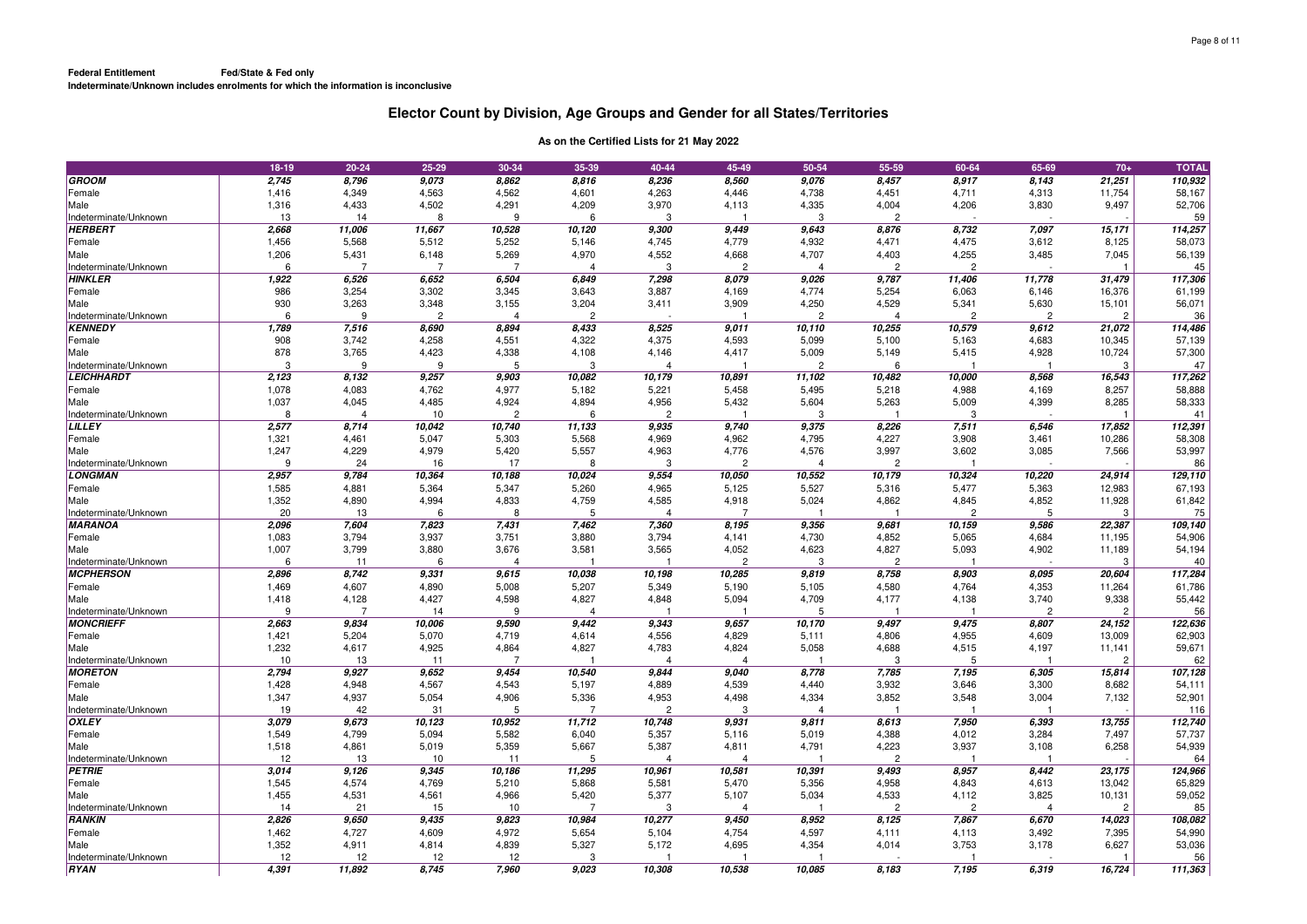|                                           | 18-19      | $20 - 24$               | 25-29          | 30-34          | 35-39             | 40-44                  | 45-49               | 50-54           | 55-59          | 60-64          | 65-69                   | $70+$                    | <b>TOTAL</b>  |
|-------------------------------------------|------------|-------------------------|----------------|----------------|-------------------|------------------------|---------------------|-----------------|----------------|----------------|-------------------------|--------------------------|---------------|
| GROOM                                     | 2,745      | 8,796                   | 9,073          | 8,862          | 8,816             | 8,236                  | 8,560               | 9,076           | 8,457          | 8,917          | 8,143                   | 21,251                   | 110,932       |
| Female                                    | 1,416      | 4,349                   | 4,563          | 4,562          | 4,601             | 4,263                  | 4,446               | 4,738           | 4,451          | 4,711          | 4,313                   | 11,754                   | 58,167        |
| Male                                      | 1,316      | 4,433                   | 4,502          | 4,291          | 4,209             | 3,970                  | 4,113               | 4,335           | 4,004          | 4,206          | 3,830                   | 9,497                    | 52,706        |
| Indeterminate/Unknown                     | 13         | 14                      | 8              | 9              | 6                 | 3                      |                     | 3               | $\overline{c}$ |                |                         |                          | 59            |
| <b>HERBERT</b>                            | 2,668      | 11,006                  | 11,667         | 10,528         | 10,120            | 9,300                  | 9,449               | 9,643           | 8,876          | 8,732          | 7,097                   | 15,171                   | 114,257       |
| Female                                    | 1,456      | 5,568                   | 5,512          | 5,252          | 5,146             | 4,745                  | 4,779               | 4,932           | 4,471          | 4,475          | 3,612                   | 8,125                    | 58,073        |
| Male                                      | 1,206      | 5,431                   | 6,148          | 5,269          | 4,970             | 4,552                  | 4,668               | 4,707           | 4,403          | 4,255          | 3,485                   | 7,045                    | 56,139        |
| Indeterminate/Unknown                     | 6          | $\overline{7}$          | $\overline{7}$ | $\overline{7}$ | 4                 | 3                      | $\overline{2}$      | $\overline{4}$  | $\overline{2}$ | $\overline{2}$ |                         |                          | 45            |
| <b>HINKLER</b>                            | 1,922      | 6,526                   | 6,652          | 6,504          | 6,849             | 7,298                  | 8,079               | 9,026           | 9,787          | 11,406         | 11,778                  | 31,479                   | 117,306       |
| Female                                    | 986        | 3,254                   | 3,302          | 3,345          | 3,643             | 3,887                  | 4,169               | 4,774           | 5,254          | 6,063          | 6,146                   | 16,376                   | 61,199        |
| Male                                      | 930        | 3,263                   | 3,348          | 3,155          | 3,204             | 3,411                  | 3,909               | 4,250           | 4,529          | 5,341          | 5,630                   | 15,101                   | 56,071        |
| Indeterminate/Unknown                     | 6          | 9                       | $\mathfrak{p}$ | $\overline{4}$ | $\overline{2}$    |                        |                     | $\overline{c}$  | $\Delta$       | $\overline{c}$ | $\overline{c}$          | $\overline{2}$           | 36            |
| <b>KENNEDY</b>                            | 1,789      | 7,516                   | 8,690          | 8,894          | 8,433             | 8,525                  | 9,011               | 10,110          | 10,255         | 10,579         | 9,612                   | 21,072                   | 114,486       |
| Female                                    | 908        | 3,742                   | 4,258          | 4,551          | 4,322             | 4,375                  | 4,593               | 5,099           | 5,100          | 5,163          | 4,683                   | 10,345                   | 57,139        |
| Male                                      | 878        | 3,765                   | 4,423          | 4,338          | 4,108             | 4,146                  | 4,417               | 5,009           | 5,149          | 5,415          | 4,928                   | 10,724                   | 57,300        |
| Indeterminate/Unknown                     | 3          | 9                       | 9              | 5              | 3                 | $\boldsymbol{\Lambda}$ |                     | $\overline{c}$  | 6              |                |                         | 3                        | 47            |
| <b>LEICHHARDT</b>                         | 2,123      | 8,132                   | 9,257          | 9,903          | 10,082            | 10,179                 | 10,891              | 11,102          | 10,482         | 10,000         | 8,568                   | 16,543                   | 117,262       |
| Female                                    | 1,078      | 4,083                   | 4,762          | 4,977          | 5,182             | 5,221                  | 5,458               | 5,495           | 5,218          | 4,988          | 4,169                   | 8,257                    | 58,888        |
| Male                                      | 1,037      | 4,045                   | 4,485          | 4,924          | 4,894             | 4,956                  | 5,432               | 5,604           | 5,263          | 5,009          | 4,399                   | 8,285                    | 58,333        |
| Indeterminate/Unknown                     | 8          | $\overline{4}$          | 10             | $\overline{c}$ | 6                 | $\overline{c}$         |                     | 3               |                | 3              |                         |                          | 41            |
| <b>LILLEY</b>                             | 2,577      | 8,714                   | 10,042         | 10,740         | 11,133            | 9,935                  | 9,740               | 9,375           | 8,226          | 7,511          | 6,546                   | 17,852                   | 112,391       |
| Female                                    | 1,321      | 4,461                   | 5,047          | 5,303          | 5,568             | 4,969                  | 4,962               | 4,795           | 4,227          | 3,908          | 3,461                   | 10,286                   | 58,308        |
| Male                                      | 1,247      | 4,229                   | 4,979          | 5,420          | 5,557             | 4,963                  | 4,776               | 4,576           | 3,997          | 3,602          | 3,085                   | 7,566                    | 53,997        |
| Indeterminate/Unknown                     | 9          | 24                      | 16             | 17             | 8                 | 3                      | $\overline{2}$      | $\overline{4}$  | $\overline{2}$ |                |                         |                          | 86            |
| <b>LONGMAN</b>                            | 2,957      | 9,784                   | 10,364         | 10,188         | 10,024            | 9,554                  | 10,050              | 10,552          | 10,179         | 10,324         | 10,220                  | 24,914                   | 129,110       |
| Female                                    | 1,585      | 4,881                   | 5,364          | 5,347          | 5,260             | 4,965                  | 5,125               | 5,527           | 5,316          | 5,477          | 5,363                   | 12,983                   | 67,193        |
| Male                                      | 1,352      | 4,890                   | 4,994          | 4,833          | 4,759             | 4,585                  | 4,918               | 5,024           | 4,862          | 4,845          | 4,852                   | 11,928                   | 61,842        |
| Indeterminate/Unknown                     | 20         | 13                      | 6              | 8              | 5                 | $\overline{4}$         | 7                   |                 |                | $\overline{2}$ | 5                       | 3                        | 75            |
| <b>MARANOA</b>                            | 2.096      | 7,604                   | 7,823          | 7,431          | 7,462             | 7,360                  | 8,195               | 9,356           | 9,681          | 10,159         | 9,586                   | 22,387                   | 109,140       |
| Female                                    | 1,083      | 3,794                   | 3,937          | 3,751          | 3,880             | 3,794                  | 4,141               | 4,730           | 4,852          | 5,065          | 4,684                   | 11,195                   | 54,906        |
| Male                                      | 1,007      | 3,799                   | 3,880          | 3,676          | 3,581             | 3,565                  | 4,052               | 4,623           | 4,827          | 5,093          | 4,902                   | 11,189                   | 54,194        |
| Indeterminate/Unknown                     | 6          | 11                      | 6              | $\overline{4}$ |                   |                        | $\overline{c}$      | 3               | $\overline{c}$ |                |                         | 3                        | 40            |
| <b>MCPHERSON</b>                          | 2,896      | 8,742                   | 9,331          | 9,615          | 10,038            | 10,198                 | 10,285              | 9,819           | 8,758          | 8,903          | 8,095                   | 20,604                   | 117,284       |
| Female                                    | 1,469      | 4,607                   | 4,890          | 5,008          | 5,207             | 5,349                  | 5,190               | 5,105           | 4,580          | 4,764          | 4,353                   | 11,264                   | 61,786        |
| Male                                      | 1,418<br>9 | 4,128                   | 4,427          | 4,598          | 4,827<br>$\Delta$ | 4,848                  | 5,094               | 4,709           | 4,177          | 4,138          | 3,740<br>$\overline{2}$ | 9,338                    | 55,442        |
| Indeterminate/Unknown<br><b>MONCRIEFF</b> | 2,663      | $\overline{7}$<br>9,834 | 14<br>10,006   | 9<br>9,590     | 9,442             | 9,343                  | 9,657               | 5               | 9,497          | 9,475          | 8,807                   | $\overline{2}$<br>24,152 | 56<br>122,636 |
| Female                                    | 1,421      | 5,204                   | 5,070          | 4,719          |                   | 4,556                  |                     | 10,170<br>5,111 | 4,806          | 4,955          | 4,609                   | 13,009                   | 62,903        |
| Male                                      | 1,232      | 4,617                   | 4,925          | 4,864          | 4,614<br>4,827    | 4,783                  | 4,829<br>4,824      | 5,058           | 4,688          | 4,515          | 4,197                   | 11,141                   | 59,671        |
| Indeterminate/Unknown                     | 10         | 13                      | 11             | $\overline{7}$ |                   | $\boldsymbol{\Lambda}$ | $\overline{\Delta}$ |                 | 3              | 5              |                         | $\overline{2}$           | 62            |
| <b>MORETON</b>                            | 2,794      | 9,927                   | 9,652          | 9,454          | 10,540            | 9,844                  | 9,040               | 8,778           | 7,785          | 7,195          | 6,305                   | 15,814                   | 107,128       |
| Female                                    | 1,428      | 4,948                   | 4,567          | 4,543          | 5,197             | 4,889                  | 4,539               | 4,440           | 3,932          | 3,646          | 3,300                   | 8,682                    | 54,111        |
| Male                                      | 1,347      | 4,937                   | 5,054          | 4,906          | 5,336             | 4,953                  | 4,498               | 4,334           | 3,852          | 3,548          | 3,004                   | 7,132                    | 52,901        |
| Indeterminate/Unknown                     | 19         | 42                      | 31             | 5              | 7                 | $\overline{2}$         | 3                   | $\Delta$        |                |                |                         |                          | 116           |
| <b>OXLEY</b>                              | 3,079      | 9,673                   | 10,123         | 10,952         | 11,712            | 10,748                 | 9,931               | 9,811           | 8,613          | 7,950          | 6,393                   | 13,755                   | 112,740       |
| Female                                    | 1,549      | 4,799                   | 5,094          | 5,582          | 6,040             | 5,357                  | 5,116               | 5,019           | 4,388          | 4,012          | 3,284                   | 7,497                    | 57,737        |
| Male                                      | 1,518      | 4,861                   | 5,019          | 5,359          | 5,667             | 5,387                  | 4,811               | 4,791           | 4,223          | 3,937          | 3,108                   | 6,258                    | 54,939        |
| Indeterminate/Unknown                     | 12         | 13                      | 10             | 11             | 5                 | $\overline{4}$         | 4                   |                 | $\overline{c}$ |                |                         |                          | 64            |
| PETRIE                                    | 3,014      | 9,126                   | 9,345          | 10,186         | 11,295            | 10,961                 | 10,581              | 10,391          | 9,493          | 8,957          | 8,442                   | 23,175                   | 124,966       |
| Female                                    | 1,545      | 4,574                   | 4,769          | 5,210          | 5,868             | 5,581                  | 5,470               | 5,356           | 4,958          | 4,843          | 4,613                   | 13,042                   | 65,829        |
| Male                                      | 1,455      | 4,531                   | 4,561          | 4,966          | 5,420             | 5,377                  | 5,107               | 5,034           | 4,533          | 4,112          | 3,825                   | 10,131                   | 59,052        |
| Indeterminate/Unknown                     | 14         | 21                      | 15             | 10             | $\overline{7}$    | 3                      | $\overline{\Delta}$ |                 | $\overline{c}$ | $\overline{c}$ | 4                       | $\overline{c}$           | 85            |
| <b>RANKIN</b>                             | 2,826      | 9,650                   | 9,435          | 9,823          | 10,984            | 10,277                 | 9,450               | 8,952           | 8,125          | 7,867          | 6,670                   | 14,023                   | 108,082       |
| Female                                    | 1,462      | 4,727                   | 4,609          | 4,972          | 5,654             | 5,104                  | 4,754               | 4,597           | 4,111          | 4,113          | 3,492                   | 7,395                    | 54,990        |
| Male                                      | 1,352      | 4,911                   | 4,814          | 4,839          | 5,327             | 5,172                  | 4,695               | 4,354           | 4,014          | 3,753          | 3,178                   | 6,627                    | 53,036        |
| Indeterminate/Unknown                     | 12         | 12                      | 12             | 12             | 3                 |                        |                     |                 |                |                |                         |                          | 56            |
| <b>RYAN</b>                               | 4.391      | 11,892                  | 8.745          | 7.960          | 9.023             | 10,308                 | 10,538              | 10.085          | 8.183          | 7,195          | 6,319                   | 16,724                   | 111,363       |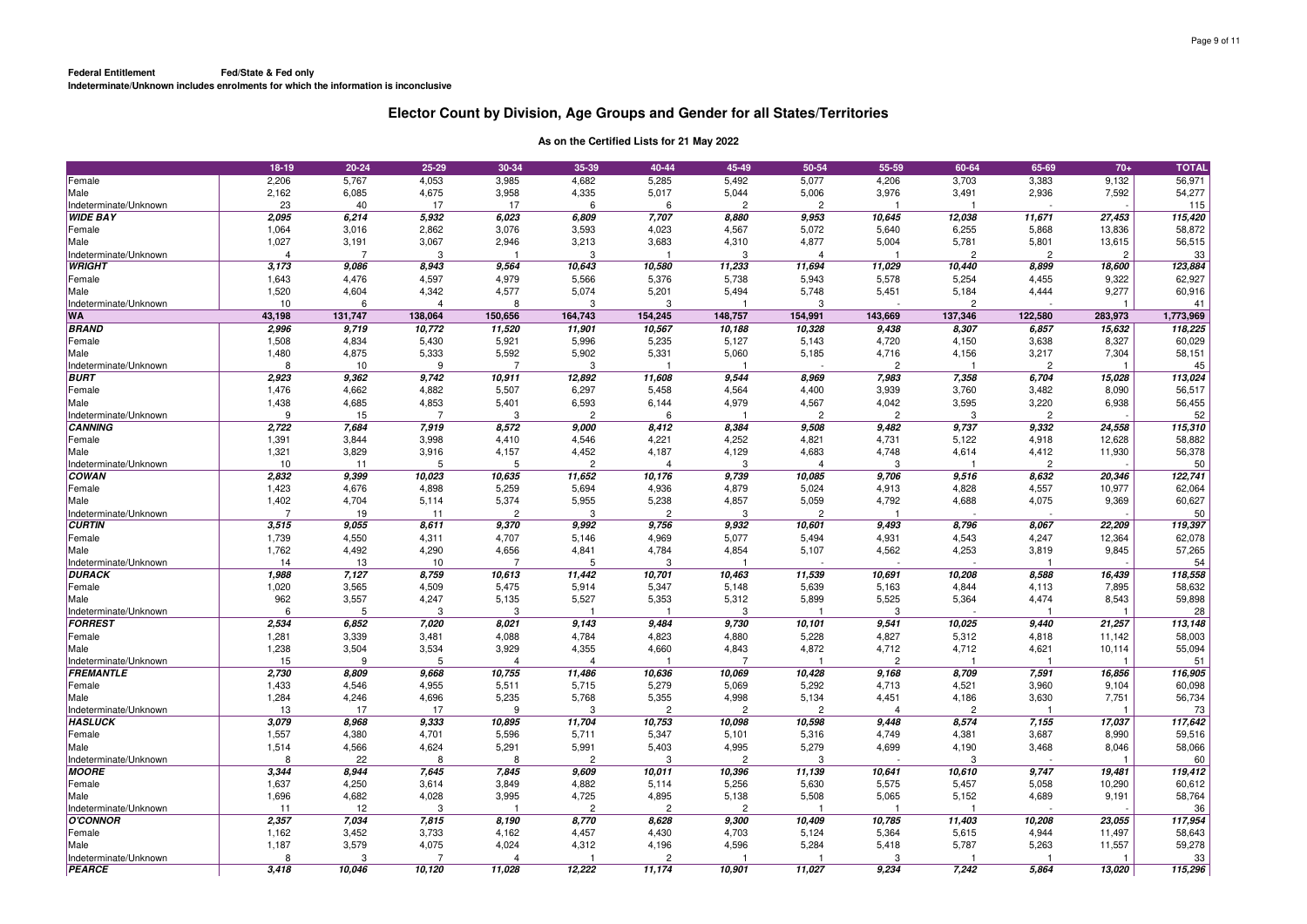|                       | 18-19          | $20 - 24$      | $25 - 29$  | 30-34          | 35-39          | 40-44          | 45-49          | 50-54          | 55-59          | 60-64          | 65-69          | $70+$          | <b>TOTAL</b> |
|-----------------------|----------------|----------------|------------|----------------|----------------|----------------|----------------|----------------|----------------|----------------|----------------|----------------|--------------|
| Female                | 2,206          | 5,767          | 4,053      | 3,985          | 4,682          | 5,285          | 5,492          | 5,077          | 4,206          | 3,703          | 3,383          | 9,132          | 56,971       |
| Male                  | 2,162          | 6,085          | 4,675      | 3,958          | 4,335          | 5,017          | 5,044          | 5,006          | 3,976          | 3,491          | 2,936          | 7,592          | 54,277       |
| Indeterminate/Unknown | 23             | 40             | 17         | 17             | 6              | 6              | $\overline{c}$ | $\overline{c}$ |                |                |                |                | 115          |
| <b>WIDE BAY</b>       | 2,095          | 6,214          | 5,932      | 6,023          | 6,809          | 7,707          | 8,880          | 9,953          | 10,645         | 12,038         | 11,671         | 27,453         | 115,420      |
| Female                | 1,064          | 3,016          | 2,862      | 3,076          | 3,593          | 4,023          | 4,567          | 5,072          | 5,640          | 6,255          | 5,868          | 13,836         | 58,872       |
| Male                  | 1,027          | 3,191          | 3,067      | 2,946          | 3,213          | 3,683          | 4,310          | 4,877          | 5,004          | 5,781          | 5,801          | 13,615         | 56,515       |
| Indeterminate/Unknown | $\overline{4}$ | $\overline{7}$ | 3          |                | 3              |                | 3              | $\overline{4}$ |                | $\overline{c}$ | $\overline{c}$ | $\overline{c}$ | 33           |
| <b>WRIGHT</b>         | 3,173          | 9,086          | 8,943      | 9,564          | 10,643         | 10,580         | 11,233         | 11,694         | 11,029         | 10,440         | 8,899          | 18,600         | 123,884      |
| Female                | 1,643          | 4,476          | 4,597      | 4,979          | 5,566          | 5,376          | 5,738          | 5,943          | 5,578          | 5,254          | 4,455          | 9,322          | 62,927       |
| Male                  | 1,520          | 4,604          | 4,342      | 4,577          | 5,074          | 5,201          | 5,494          | 5,748          | 5,451          | 5,184          | 4,444          | 9,277          | 60,916       |
| Indeterminate/Unknown | 10             | 6              | $\Delta$   | 8              | 3              | 3              |                | 3              |                | $\overline{2}$ |                |                | 41           |
| <b>WA</b>             | 43,198         | 131,747        | 138,064    | 150,656        | 164,743        | 154,245        | 148,757        | 154,991        | 143,669        | 137,346        | 122,580        | 283,973        | 1,773,969    |
| <b>BRAND</b>          | 2,996          | 9.719          | 10,772     | 11,520         | 11,901         | 10,567         | 10,188         | 10,328         | 9,438          | 8,307          | 6,857          | 15,632         | 118,225      |
|                       | 1,508          |                |            |                |                |                |                |                | 4,720          |                | 3,638          | 8,327          |              |
| Female                |                | 4,834          | 5,430      | 5,921          | 5,996          | 5,235          | 5,127          | 5,143          |                | 4,150          |                |                | 60,029       |
| Male                  | 1,480          | 4,875          | 5,333<br>9 | 5,592<br>7     | 5,902          | 5,331          | 5,060          | 5,185          | 4,716          | 4,156          | 3,217          | 7,304          | 58,151       |
| Indeterminate/Unknown | 8              | 10             |            |                | 3              |                |                |                | 2              |                | 2              |                | 45           |
| <b>BURT</b>           | 2,923          | 9,362          | 9,742      | 10,911         | 12,892         | 11,608         | 9,544          | 8,969          | 7,983          | 7,358          | 6,704          | 15,028         | 113,024      |
| Female                | 1,476          | 4,662          | 4,882      | 5,507          | 6,297          | 5,458          | 4,564          | 4,400          | 3,939          | 3,760          | 3,482          | 8,090          | 56,517       |
| Male                  | 1,438          | 4,685          | 4,853      | 5,401          | 6,593          | 6,144          | 4,979          | 4,567          | 4,042          | 3,595          | 3,220          | 6,938          | 56,455       |
| Indeterminate/Unknown | 9              | 15             | -7         | 3              | $\overline{c}$ | 6              |                | $\overline{2}$ | $\overline{c}$ | 3              | $\overline{2}$ |                | 52           |
| <b>CANNING</b>        | 2,722          | 7,684          | 7,919      | 8,572          | 9,000          | 8,412          | 8,384          | 9,508          | 9,482          | 9,737          | 9,332          | 24,558         | 115,310      |
| Female                | 1,391          | 3,844          | 3,998      | 4,410          | 4,546          | 4,221          | 4,252          | 4,821          | 4,731          | 5,122          | 4,918          | 12,628         | 58,882       |
| Male                  | 1,321          | 3,829          | 3,916      | 4,157          | 4,452          | 4,187          | 4,129          | 4,683          | 4,748          | 4,614          | 4,412          | 11,930         | 56,378       |
| Indeterminate/Unknown | 10             | 11             | 5          | 5              | $\overline{c}$ | $\overline{4}$ | 3              | $\overline{4}$ | 3              |                | $\overline{c}$ |                | 50           |
| <b>COWAN</b>          | 2,832          | 9,399          | 10,023     | 10,635         | 11,652         | 10,176         | 9,739          | 10,085         | 9,706          | 9,516          | 8,632          | 20,346         | 122,741      |
| Female                | 1,423          | 4,676          | 4,898      | 5,259          | 5,694          | 4,936          | 4,879          | 5,024          | 4,913          | 4,828          | 4,557          | 10,977         | 62,064       |
| Male                  | 1,402          | 4,704          | 5,114      | 5,374          | 5,955          | 5,238          | 4,857          | 5,059          | 4,792          | 4,688          | 4,075          | 9,369          | 60,627       |
| Indeterminate/Unknown | 7              | 19             | 11         | $\overline{2}$ | 3              | $\overline{c}$ | 3              | $\overline{c}$ |                |                |                |                | 50           |
| <b>CURTIN</b>         | 3,515          | 9,055          | 8,611      | 9,370          | 9,992          | 9,756          | 9,932          | 10,601         | 9,493          | 8,796          | 8,067          | 22,209         | 119,397      |
| Female                | 1,739          | 4,550          | 4,311      | 4,707          | 5,146          | 4,969          | 5,077          | 5,494          | 4,931          | 4,543          | 4,247          | 12,364         | 62,078       |
| Male                  | 1,762          | 4,492          | 4,290      | 4,656          | 4,841          | 4,784          | 4,854          | 5,107          | 4,562          | 4,253          | 3,819          | 9,845          | 57,265       |
| Indeterminate/Unknown | 14             | 13             | 10         | 7              | 5              | 3              |                |                |                |                |                |                | 54           |
| <b>DURACK</b>         | 1,988          | 7,127          | 8,759      | 10,613         | 11,442         | 10,701         | 10,463         | 11,539         | 10,691         | 10,208         | 8,588          | 16,439         | 118,558      |
| Female                | 1,020          | 3,565          | 4,509      | 5,475          | 5,914          | 5,347          | 5,148          | 5,639          | 5,163          | 4,844          | 4,113          | 7,895          | 58,632       |
| Male                  | 962            | 3,557          | 4,247      | 5,135          | 5,527          | 5,353          | 5,312          | 5,899          | 5,525          | 5,364          | 4,474          | 8,543          | 59,898       |
| Indeterminate/Unknown | 6              | 5              | 3          | 3              |                |                | 3              |                | 3              |                |                |                | 28           |
| <b>FORREST</b>        | 2,534          | 6,852          | 7,020      | 8,021          | 9,143          | 9,484          | 9,730          | 10,101         | 9,541          | 10,025         | 9,440          | 21,257         | 113,148      |
| Female                | 1,281          | 3,339          | 3,481      | 4,088          | 4,784          | 4,823          | 4,880          | 5,228          | 4,827          | 5,312          | 4,818          | 11,142         | 58,003       |
| Male                  | 1,238          | 3,504          | 3,534      | 3,929          | 4,355          | 4,660          | 4,843          | 4,872          | 4,712          | 4,712          | 4,621          | 10,114         | 55,094       |
| Indeterminate/Unknown | 15             | 9              | 5          | $\overline{4}$ | $\overline{4}$ |                | 7              |                | $\overline{c}$ |                |                |                | 51           |
| <b>FREMANTLE</b>      | 2,730          | 8,809          | 9,668      | 10,755         | 11,486         | 10,636         | 10,069         | 10,428         | 9,168          | 8,709          | 7,591          | 16,856         | 116,905      |
| Female                | 1,433          | 4,546          | 4,955      | 5,511          | 5,715          | 5,279          | 5,069          | 5,292          | 4,713          | 4,521          | 3,960          | 9,104          | 60,098       |
| Male                  | 1,284          | 4,246          | 4,696      | 5,235          | 5,768          | 5,355          | 4,998          | 5,134          | 4,451          | 4,186          | 3,630          | 7,751          | 56,734       |
| Indeterminate/Unknown | 13             | 17             | 17         | 9              | 3              | $\overline{c}$ | $\overline{c}$ | $\overline{c}$ | $\Delta$       | $\mathfrak{p}$ |                |                | 73           |
| <b>HASLUCK</b>        | 3,079          | 8,968          | 9,333      | 10,895         | 11,704         | 10,753         | 10,098         | 10,598         | 9,448          | 8,574          | 7,155          | 17,037         | 117,642      |
| Female                | 1,557          | 4,380          | 4,701      | 5,596          | 5,711          | 5,347          | 5,101          | 5,316          | 4,749          | 4,381          | 3,687          | 8,990          | 59,516       |
| Male                  | 1,514          | 4,566          | 4,624      | 5,291          | 5,991          | 5,403          | 4,995          | 5,279          | 4,699          | 4,190          | 3,468          | 8,046          | 58,066       |
| Indeterminate/Unknown | 8              | 22             | 8          | 8              | $\overline{c}$ | 3              | $\overline{c}$ | 3              |                | 3              |                |                | 60           |
| <b>MOORE</b>          | 3,344          | 8,944          | 7,645      | 7,845          | 9,609          | 10,011         | 10,396         | 11,139         | 10,641         | 10,610         | 9,747          | 19,481         | 119,412      |
| Female                | 1,637          | 4,250          | 3,614      | 3,849          | 4,882          | 5,114          | 5,256          | 5,630          | 5,575          | 5,457          | 5,058          | 10,290         | 60,612       |
| Male                  | 1,696          | 4,682          | 4,028      | 3,995          | 4,725          | 4,895          | 5,138          | 5,508          | 5,065          | 5,152          | 4,689          | 9,191          | 58,764       |
| Indeterminate/Unknown | 11             | 12             | 3          |                | $\overline{c}$ | $\overline{c}$ | $\overline{c}$ |                |                |                |                |                | 36           |
| <b>O'CONNOR</b>       | 2,357          | 7,034          | 7,815      | 8,190          | 8,770          | 8,628          | 9,300          | 10,409         | 10,785         | 11,403         | 10,208         | 23,055         | 117,954      |
| Female                | 1,162          | 3,452          | 3,733      | 4,162          | 4,457          | 4,430          | 4,703          | 5,124          | 5,364          | 5,615          | 4,944          | 11,497         | 58,643       |
| Male                  | 1,187          | 3,579          | 4,075      | 4,024          | 4,312          | 4,196          | 4,596          | 5,284          | 5,418          | 5,787          | 5,263          | 11,557         | 59,278       |
| Indeterminate/Unknown | 8              | 3              |            | $\overline{4}$ |                | $\overline{c}$ |                |                | 3              |                |                |                | 33           |
| <b>PEARCE</b>         | 3.418          | 10,046         | 10,120     | 11,028         | 12,222         | 11.174         | 10,901         | 11,027         | 9,234          | 7,242          | 5,864          | 13,020         | 115,296      |
|                       |                |                |            |                |                |                |                |                |                |                |                |                |              |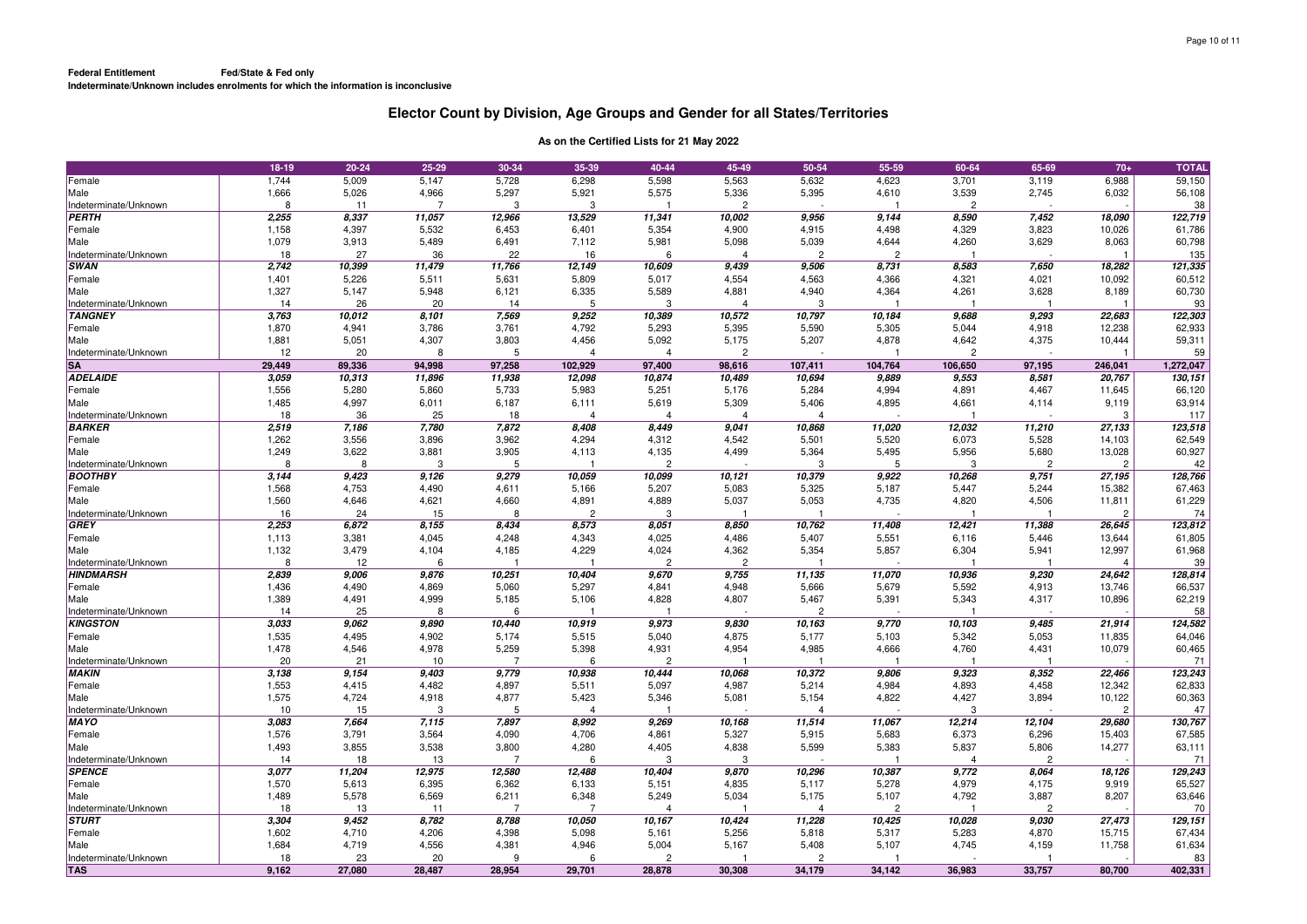|                                           | 18-19       | $20 - 24$   | 25-29          | 30-34          | 35-39                    | 40-44                   | 45-49                   | 50-54                   | 55-59          | 60-64          | 65-69          | $70+$          | <b>TOTAL</b> |
|-------------------------------------------|-------------|-------------|----------------|----------------|--------------------------|-------------------------|-------------------------|-------------------------|----------------|----------------|----------------|----------------|--------------|
| Female                                    | 1,744       | 5,009       | 5,147          | 5,728          | 6,298                    | 5,598                   | 5,563                   | 5,632                   | 4,623          | 3,701          | 3,119          | 6,988          | 59,150       |
| Male                                      | 1,666       | 5,026       | 4,966          | 5,297          | 5,921                    | 5,575                   | 5,336                   | 5,395                   | 4,610          | 3,539          | 2,745          | 6,032          | 56,108       |
| Indeterminate/Unknown                     | 8           | 11          | $\overline{7}$ | 3              | 3                        |                         | $\overline{2}$          |                         |                | $\overline{2}$ |                |                | 38           |
| PERTH                                     | 2,255       | 8,337       | 11,057         | 12,966         | 13,529                   | 11,341                  | 10,002                  | 9,956                   | 9,144          | 8,590          | 7,452          | 18,090         | 122,719      |
| Female                                    | 1,158       | 4,397       | 5,532          | 6,453          | 6,401                    | 5,354                   | 4,900                   | 4,915                   | 4,498          | 4,329          | 3,823          | 10,026         | 61,786       |
| Male                                      | 1,079       | 3,913       | 5,489          | 6,491          | 7,112                    | 5,981                   | 5,098                   | 5,039                   | 4,644          | 4,260          | 3,629          | 8,063          | 60,798       |
| Indeterminate/Unknown                     | 18          | 27          | 36             | 22             | 16                       | 6                       | $\overline{4}$          | $\overline{2}$          | $\overline{c}$ |                |                |                | 135          |
| <b>SWAN</b>                               | 2,742       | 10,399      | 11,479         | 11,766         | 12,149                   | 10,609                  | 9,439                   | 9,506                   | 8,731          | 8,583          | 7,650          | 18,282         | 121,335      |
| Female                                    | 1,401       | 5,226       | 5,511          | 5,631          | 5,809                    | 5,017                   | 4,554                   | 4,563                   | 4,366          | 4,321          | 4,021          | 10,092         | 60,512       |
| Male                                      | 1,327       | 5,147       | 5,948          | 6,121          | 6,335                    | 5,589                   | 4,881                   | 4,940                   | 4,364          | 4,261          | 3,628          | 8,189          | 60,730       |
| Indeterminate/Unknown                     | 14          | 26          | 20             | 14             | 5                        | 3                       | $\overline{4}$          | 3                       |                |                |                |                | 93           |
| <b>TANGNEY</b>                            | 3,763       | 10,012      | 8,101          | 7,569          | 9,252                    | 10,389                  | 10,572                  | 10,797                  | 10,184         | 9,688          | 9,293          | 22,683         | 122,303      |
| Female                                    | 1,870       | 4,941       | 3,786          | 3,761          | 4,792                    | 5,293                   | 5,395                   | 5,590                   | 5,305          | 5,044          | 4,918          | 12,238         | 62,933       |
| Male                                      | 1,881       | 5,051       | 4,307          | 3,803          | 4,456                    | 5,092                   | 5,175                   | 5,207                   | 4,878          | 4,642          | 4,375          | 10,444         | 59,311       |
| Indeterminate/Unknown                     | 12          | 20          | 8              | 5              | $\overline{4}$           | 4                       | $\overline{2}$          |                         |                | $\overline{2}$ |                |                | 59           |
| SA                                        | 29,449      | 89,336      | 94,998         | 97,258         | 102,929                  | 97,400                  | 98,616                  | 107,411                 | 104,764        | 106,650        | 97,195         | 246,041        | 1,272,047    |
| <b>ADELAIDE</b>                           | 3,059       | 10,313      | 11,896         | 11,938         | 12,098                   | 10,874                  | 10,489                  | 10,694                  | 9,889          | 9,553          | 8,581          | 20,767         | 130, 151     |
| Female                                    | 1,556       | 5,280       | 5,860          | 5,733          | 5,983                    | 5,251                   | 5,176                   | 5,284                   | 4,994          | 4,891          | 4,467          | 11,645         | 66,120       |
| Male                                      | 1,485       | 4,997       | 6,011          | 6,187          | 6,111                    | 5,619                   | 5,309                   | 5,406                   | 4,895          | 4,661          | 4,114          | 9,119          | 63,914       |
| Indeterminate/Unknown                     | 18          | 36          | 25             | 18             | $\overline{\phantom{a}}$ | $\Delta$                | Λ                       | $\Delta$                |                |                |                | 3              | 117          |
| <b>BARKER</b>                             | 2,519       | 7,186       | 7,780          | 7,872          | 8,408                    | 8,449                   | 9,041                   | 10,868                  | 11,020         | 12,032         | 11,210         | 27,133         | 123,518      |
| Female                                    | 1,262       | 3,556       | 3,896          | 3,962          | 4,294                    | 4,312                   | 4,542                   | 5,501                   | 5,520          | 6,073          | 5,528          | 14,103         | 62,549       |
| Male                                      | 1,249       | 3,622       | 3,881          | 3,905          | 4,113                    | 4,135                   | 4,499                   | 5,364                   | 5,495          | 5,956          | 5,680          | 13,028         | 60,927       |
| Indeterminate/Unknown                     | 8           | 8           | 3              | 5              |                          | $\overline{2}$          |                         | 3                       | 5              | -3             | $\overline{2}$ | $\overline{2}$ | 42           |
| <b>BOOTHBY</b>                            | 3,144       | 9,423       | 9,126          | 9,279          | 10,059                   | 10,099                  | 10,121                  | 10,379                  | 9,922          | 10,268         | 9,751          | 27,195         | 128,766      |
| Female                                    | 1,568       | 4,753       | 4,490          | 4,611          | 5,166                    | 5,207                   | 5,083                   | 5,325                   | 5,187          | 5,447          | 5,244          | 15,382         | 67,463       |
| Male                                      | 1,560       | 4,646       | 4,621          | 4,660          | 4,891                    | 4,889                   | 5,037                   | 5,053                   | 4,735          | 4,820          | 4,506          | 11,811         | 61,229       |
| Indeterminate/Unknown                     | 16          | 24          | 15             | 8              | $\overline{2}$           | 3                       |                         |                         |                |                |                | $\overline{2}$ | 74           |
| GREY                                      | 2,253       | 6,872       | 8,155          | 8,434          | 8,573                    | 8,051                   | 8,850                   | 10,762                  | 11,408         | 12,421         | 11,388         | 26,645         | 123,812      |
| Female                                    | 1,113       | 3,381       | 4,045          | 4,248          | 4,343                    | 4,025                   | 4,486                   | 5,407                   | 5,551          | 6,116          | 5,446          | 13,644         | 61,805       |
| Male                                      | 1,132<br>8  | 3,479       | 4,104<br>6     | 4,185          | 4,229                    | 4,024<br>$\overline{2}$ | 4,362<br>$\overline{c}$ | 5,354                   | 5,857          | 6,304          | 5,941          | 12,997         | 61,968       |
| Indeterminate/Unknown<br><b>HINDMARSH</b> |             | 12          |                |                |                          |                         |                         |                         |                |                |                | $\overline{4}$ | 39           |
|                                           | 2,839       | 9,006       | 9,876          | 10,251         | 10,404                   | 9,670                   | 9,755                   | 11,135                  | 11,070         | 10,936         | 9,230          | 24,642         | 128,814      |
| Female                                    | 1,436       | 4,490       | 4,869          | 5,060          | 5,297                    | 4,841                   | 4,948                   | 5,666                   | 5,679          | 5,592          | 4,913          | 13,746         | 66,537       |
| Male<br>Indeterminate/Unknown             | 1,389<br>14 | 4,491<br>25 | 4,999<br>8     | 5,185<br>6     | 5,106                    | 4,828                   | 4,807                   | 5,467<br>$\overline{c}$ | 5,391          | 5,343          | 4,317          | 10,896         | 62,219<br>58 |
| <b>KINGSTON</b>                           | 3,033       | 9,062       | 9,890          | 10,440         | 10,919                   | 9,973                   | 9,830                   | 10,163                  | 9,770          | 10,103         | 9,485          | 21,914         | 124,582      |
| Female                                    | 1,535       | 4,495       | 4,902          | 5,174          | 5,515                    | 5,040                   | 4,875                   | 5,177                   | 5,103          | 5,342          | 5,053          | 11,835         | 64,046       |
| Male                                      | 1,478       | 4,546       | 4,978          | 5,259          | 5,398                    | 4,931                   | 4,954                   | 4,985                   | 4,666          | 4,760          | 4,431          | 10,079         | 60,465       |
| Indeterminate/Unknown                     | 20          | 21          | 10             | $\overline{7}$ | 6                        | $\overline{2}$          |                         | $\overline{\mathbf{1}}$ |                |                |                |                | 71           |
| <b>MAKIN</b>                              | 3,138       | 9,154       | 9,403          | 9,779          | 10,938                   | 10,444                  | 10,068                  | 10,372                  | 9,806          | 9,323          | 8,352          | 22,466         | 123,243      |
| Female                                    | 1,553       | 4,415       | 4,482          | 4,897          | 5,511                    | 5,097                   | 4,987                   | 5,214                   | 4,984          | 4,893          | 4,458          | 12,342         | 62,833       |
| Male                                      | 1,575       | 4,724       | 4,918          | 4,877          | 5,423                    | 5,346                   | 5,081                   | 5,154                   | 4,822          | 4,427          | 3,894          | 10,122         | 60,363       |
| Indeterminate/Unknown                     | 10          | 15          | 3              | 5              | $\overline{4}$           |                         |                         | $\overline{4}$          |                | 3              |                | $\overline{2}$ | 47           |
| <b>MAYO</b>                               | 3,083       | 7,664       | 7,115          | 7,897          | 8,992                    | 9,269                   | 10,168                  | 11,514                  | 11,067         | 12,214         | 12,104         | 29,680         | 130,767      |
| Female                                    | 1,576       | 3,791       | 3,564          | 4,090          | 4,706                    | 4,861                   | 5,327                   | 5,915                   | 5,683          | 6,373          | 6,296          | 15,403         | 67,585       |
| Male                                      | 1,493       | 3,855       | 3,538          | 3,800          | 4,280                    | 4,405                   | 4,838                   | 5,599                   | 5,383          | 5,837          | 5,806          | 14,277         | 63,111       |
| Indeterminate/Unknown                     | 14          | 18          | 13             | 7              | 6                        | 3                       | 3                       |                         |                | $\overline{4}$ | $\overline{2}$ |                | 71           |
| <b>SPENCE</b>                             | 3,077       | 11,204      | 12,975         | 12,580         | 12,488                   | 10,404                  | 9,870                   | 10,296                  | 10,387         | 9,772          | 8,064          | 18,126         | 129,243      |
| Female                                    | 1,570       | 5,613       | 6,395          | 6,362          | 6,133                    | 5,151                   | 4,835                   | 5,117                   | 5,278          | 4,979          | 4,175          | 9,919          | 65,527       |
| Male                                      | 1,489       | 5,578       | 6,569          | 6,211          | 6,348                    | 5,249                   | 5,034                   | 5,175                   | 5,107          | 4,792          | 3,887          | 8,207          | 63,646       |
| Indeterminate/Unknown                     | 18          | 13          | 11             | 7              | 7                        | 4                       |                         | 4                       | $\overline{c}$ |                | $\overline{c}$ |                | 70           |
| <b>STURT</b>                              | 3,304       | 9,452       | 8,782          | 8,788          | 10,050                   | 10,167                  | 10,424                  | 11,228                  | 10,425         | 10,028         | 9,030          | 27,473         | 129,151      |
| Female                                    | 1,602       | 4,710       | 4,206          | 4,398          | 5,098                    | 5,161                   | 5,256                   | 5,818                   | 5,317          | 5,283          | 4,870          | 15,715         | 67,434       |
| Male                                      | 1,684       | 4,719       | 4,556          | 4,381          | 4,946                    | 5,004                   | 5,167                   | 5,408                   | 5,107          | 4,745          | 4,159          | 11,758         | 61,634       |
| Indeterminate/Unknown                     | 18          | 23          | 20             | 9              | 6                        | $\overline{c}$          |                         | $\overline{2}$          |                |                |                |                | 83           |
| <b>TAS</b>                                | 9,162       | 27,080      | 28,487         | 28,954         | 29,701                   | 28,878                  | 30,308                  | 34,179                  | 34,142         | 36,983         | 33,757         | 80,700         | 402,331      |